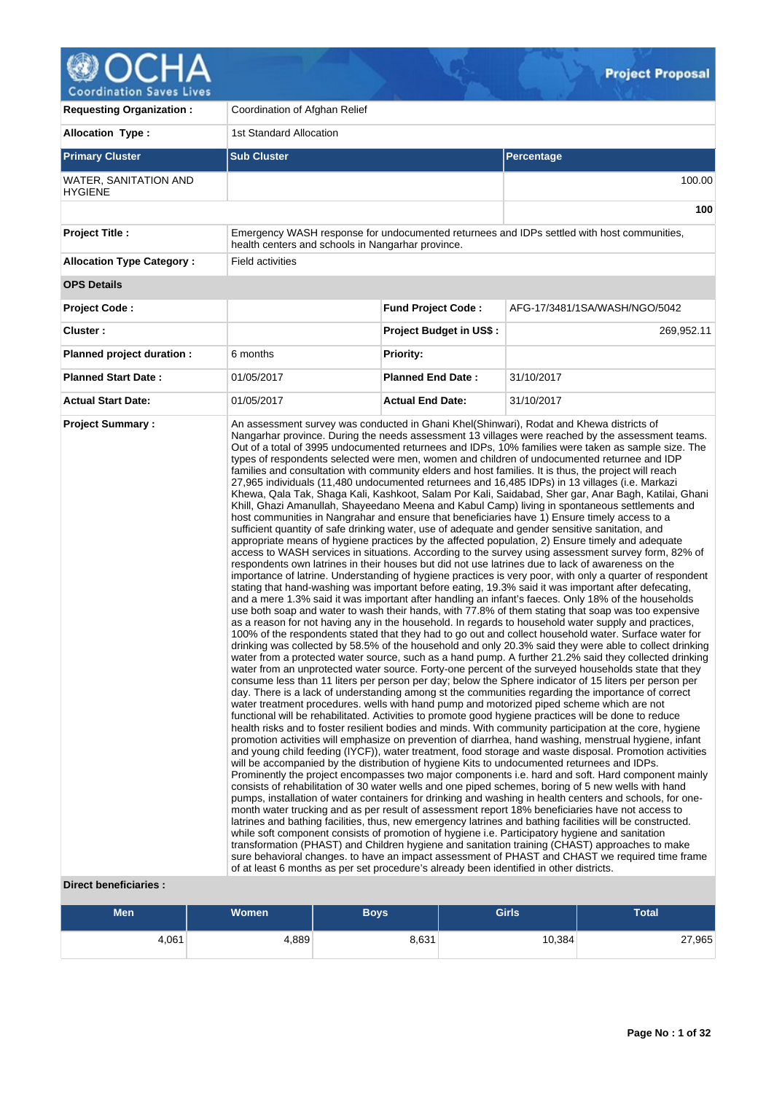

v

| <b>Requesting Organization:</b>         | Coordination of Afghan Relief                                                           |                                |                                                                                                                                                                                                                                                                                                                                                                                                                                                                                                                                                                                                                                                                                                                                                                                                                                                                                                                                                                                                                                                                                                                                                                                                                                                                                                                                                                                                                                                                                                                                                                                                                                                                                                                                                                                                                                                                                                                                                                                                                                                                                                                                                                                                                                                                                                                                                                                                                                                                                                                                                                                                                                                                                                                                                                                                                                                                                                                                                                                                                                                                                                                                                                                                                                                                                                                                                                                                                                                                                                                                                                                                                                                                                                                                                                                                                                                                                                                                            |
|-----------------------------------------|-----------------------------------------------------------------------------------------|--------------------------------|--------------------------------------------------------------------------------------------------------------------------------------------------------------------------------------------------------------------------------------------------------------------------------------------------------------------------------------------------------------------------------------------------------------------------------------------------------------------------------------------------------------------------------------------------------------------------------------------------------------------------------------------------------------------------------------------------------------------------------------------------------------------------------------------------------------------------------------------------------------------------------------------------------------------------------------------------------------------------------------------------------------------------------------------------------------------------------------------------------------------------------------------------------------------------------------------------------------------------------------------------------------------------------------------------------------------------------------------------------------------------------------------------------------------------------------------------------------------------------------------------------------------------------------------------------------------------------------------------------------------------------------------------------------------------------------------------------------------------------------------------------------------------------------------------------------------------------------------------------------------------------------------------------------------------------------------------------------------------------------------------------------------------------------------------------------------------------------------------------------------------------------------------------------------------------------------------------------------------------------------------------------------------------------------------------------------------------------------------------------------------------------------------------------------------------------------------------------------------------------------------------------------------------------------------------------------------------------------------------------------------------------------------------------------------------------------------------------------------------------------------------------------------------------------------------------------------------------------------------------------------------------------------------------------------------------------------------------------------------------------------------------------------------------------------------------------------------------------------------------------------------------------------------------------------------------------------------------------------------------------------------------------------------------------------------------------------------------------------------------------------------------------------------------------------------------------------------------------------------------------------------------------------------------------------------------------------------------------------------------------------------------------------------------------------------------------------------------------------------------------------------------------------------------------------------------------------------------------------------------------------------------------------------------------------------------------|
| <b>Allocation Type:</b>                 | <b>1st Standard Allocation</b>                                                          |                                |                                                                                                                                                                                                                                                                                                                                                                                                                                                                                                                                                                                                                                                                                                                                                                                                                                                                                                                                                                                                                                                                                                                                                                                                                                                                                                                                                                                                                                                                                                                                                                                                                                                                                                                                                                                                                                                                                                                                                                                                                                                                                                                                                                                                                                                                                                                                                                                                                                                                                                                                                                                                                                                                                                                                                                                                                                                                                                                                                                                                                                                                                                                                                                                                                                                                                                                                                                                                                                                                                                                                                                                                                                                                                                                                                                                                                                                                                                                                            |
| <b>Primary Cluster</b>                  | <b>Sub Cluster</b>                                                                      |                                | <b>Percentage</b>                                                                                                                                                                                                                                                                                                                                                                                                                                                                                                                                                                                                                                                                                                                                                                                                                                                                                                                                                                                                                                                                                                                                                                                                                                                                                                                                                                                                                                                                                                                                                                                                                                                                                                                                                                                                                                                                                                                                                                                                                                                                                                                                                                                                                                                                                                                                                                                                                                                                                                                                                                                                                                                                                                                                                                                                                                                                                                                                                                                                                                                                                                                                                                                                                                                                                                                                                                                                                                                                                                                                                                                                                                                                                                                                                                                                                                                                                                                          |
| WATER, SANITATION AND<br><b>HYGIENE</b> |                                                                                         |                                | 100.00                                                                                                                                                                                                                                                                                                                                                                                                                                                                                                                                                                                                                                                                                                                                                                                                                                                                                                                                                                                                                                                                                                                                                                                                                                                                                                                                                                                                                                                                                                                                                                                                                                                                                                                                                                                                                                                                                                                                                                                                                                                                                                                                                                                                                                                                                                                                                                                                                                                                                                                                                                                                                                                                                                                                                                                                                                                                                                                                                                                                                                                                                                                                                                                                                                                                                                                                                                                                                                                                                                                                                                                                                                                                                                                                                                                                                                                                                                                                     |
|                                         |                                                                                         |                                | 100                                                                                                                                                                                                                                                                                                                                                                                                                                                                                                                                                                                                                                                                                                                                                                                                                                                                                                                                                                                                                                                                                                                                                                                                                                                                                                                                                                                                                                                                                                                                                                                                                                                                                                                                                                                                                                                                                                                                                                                                                                                                                                                                                                                                                                                                                                                                                                                                                                                                                                                                                                                                                                                                                                                                                                                                                                                                                                                                                                                                                                                                                                                                                                                                                                                                                                                                                                                                                                                                                                                                                                                                                                                                                                                                                                                                                                                                                                                                        |
| <b>Project Title:</b>                   | health centers and schools in Nangarhar province.                                       |                                | Emergency WASH response for undocumented returnees and IDPs settled with host communities,                                                                                                                                                                                                                                                                                                                                                                                                                                                                                                                                                                                                                                                                                                                                                                                                                                                                                                                                                                                                                                                                                                                                                                                                                                                                                                                                                                                                                                                                                                                                                                                                                                                                                                                                                                                                                                                                                                                                                                                                                                                                                                                                                                                                                                                                                                                                                                                                                                                                                                                                                                                                                                                                                                                                                                                                                                                                                                                                                                                                                                                                                                                                                                                                                                                                                                                                                                                                                                                                                                                                                                                                                                                                                                                                                                                                                                                 |
| <b>Allocation Type Category:</b>        | <b>Field activities</b>                                                                 |                                |                                                                                                                                                                                                                                                                                                                                                                                                                                                                                                                                                                                                                                                                                                                                                                                                                                                                                                                                                                                                                                                                                                                                                                                                                                                                                                                                                                                                                                                                                                                                                                                                                                                                                                                                                                                                                                                                                                                                                                                                                                                                                                                                                                                                                                                                                                                                                                                                                                                                                                                                                                                                                                                                                                                                                                                                                                                                                                                                                                                                                                                                                                                                                                                                                                                                                                                                                                                                                                                                                                                                                                                                                                                                                                                                                                                                                                                                                                                                            |
| <b>OPS Details</b>                      |                                                                                         |                                |                                                                                                                                                                                                                                                                                                                                                                                                                                                                                                                                                                                                                                                                                                                                                                                                                                                                                                                                                                                                                                                                                                                                                                                                                                                                                                                                                                                                                                                                                                                                                                                                                                                                                                                                                                                                                                                                                                                                                                                                                                                                                                                                                                                                                                                                                                                                                                                                                                                                                                                                                                                                                                                                                                                                                                                                                                                                                                                                                                                                                                                                                                                                                                                                                                                                                                                                                                                                                                                                                                                                                                                                                                                                                                                                                                                                                                                                                                                                            |
| <b>Project Code:</b>                    |                                                                                         | <b>Fund Project Code:</b>      | AFG-17/3481/1SA/WASH/NGO/5042                                                                                                                                                                                                                                                                                                                                                                                                                                                                                                                                                                                                                                                                                                                                                                                                                                                                                                                                                                                                                                                                                                                                                                                                                                                                                                                                                                                                                                                                                                                                                                                                                                                                                                                                                                                                                                                                                                                                                                                                                                                                                                                                                                                                                                                                                                                                                                                                                                                                                                                                                                                                                                                                                                                                                                                                                                                                                                                                                                                                                                                                                                                                                                                                                                                                                                                                                                                                                                                                                                                                                                                                                                                                                                                                                                                                                                                                                                              |
| Cluster:                                |                                                                                         | <b>Project Budget in US\$:</b> | 269,952.11                                                                                                                                                                                                                                                                                                                                                                                                                                                                                                                                                                                                                                                                                                                                                                                                                                                                                                                                                                                                                                                                                                                                                                                                                                                                                                                                                                                                                                                                                                                                                                                                                                                                                                                                                                                                                                                                                                                                                                                                                                                                                                                                                                                                                                                                                                                                                                                                                                                                                                                                                                                                                                                                                                                                                                                                                                                                                                                                                                                                                                                                                                                                                                                                                                                                                                                                                                                                                                                                                                                                                                                                                                                                                                                                                                                                                                                                                                                                 |
| Planned project duration :              | 6 months                                                                                | <b>Priority:</b>               |                                                                                                                                                                                                                                                                                                                                                                                                                                                                                                                                                                                                                                                                                                                                                                                                                                                                                                                                                                                                                                                                                                                                                                                                                                                                                                                                                                                                                                                                                                                                                                                                                                                                                                                                                                                                                                                                                                                                                                                                                                                                                                                                                                                                                                                                                                                                                                                                                                                                                                                                                                                                                                                                                                                                                                                                                                                                                                                                                                                                                                                                                                                                                                                                                                                                                                                                                                                                                                                                                                                                                                                                                                                                                                                                                                                                                                                                                                                                            |
| <b>Planned Start Date:</b>              | 01/05/2017                                                                              | <b>Planned End Date:</b>       | 31/10/2017                                                                                                                                                                                                                                                                                                                                                                                                                                                                                                                                                                                                                                                                                                                                                                                                                                                                                                                                                                                                                                                                                                                                                                                                                                                                                                                                                                                                                                                                                                                                                                                                                                                                                                                                                                                                                                                                                                                                                                                                                                                                                                                                                                                                                                                                                                                                                                                                                                                                                                                                                                                                                                                                                                                                                                                                                                                                                                                                                                                                                                                                                                                                                                                                                                                                                                                                                                                                                                                                                                                                                                                                                                                                                                                                                                                                                                                                                                                                 |
| <b>Actual Start Date:</b>               | 01/05/2017                                                                              | <b>Actual End Date:</b>        | 31/10/2017                                                                                                                                                                                                                                                                                                                                                                                                                                                                                                                                                                                                                                                                                                                                                                                                                                                                                                                                                                                                                                                                                                                                                                                                                                                                                                                                                                                                                                                                                                                                                                                                                                                                                                                                                                                                                                                                                                                                                                                                                                                                                                                                                                                                                                                                                                                                                                                                                                                                                                                                                                                                                                                                                                                                                                                                                                                                                                                                                                                                                                                                                                                                                                                                                                                                                                                                                                                                                                                                                                                                                                                                                                                                                                                                                                                                                                                                                                                                 |
| Diract honoficiario                     | of at least 6 months as per set procedure's already been identified in other districts. |                                | Nangarhar province. During the needs assessment 13 villages were reached by the assessment teams.<br>Out of a total of 3995 undocumented returnees and IDPs, 10% families were taken as sample size. The<br>types of respondents selected were men, women and children of undocumented returnee and IDP<br>families and consultation with community elders and host families. It is thus, the project will reach<br>27,965 individuals (11,480 undocumented returnees and 16,485 IDPs) in 13 villages (i.e. Markazi<br>Khewa, Qala Tak, Shaga Kali, Kashkoot, Salam Por Kali, Saidabad, Sher gar, Anar Bagh, Katilai, Ghani<br>Khill, Ghazi Amanullah, Shayeedano Meena and Kabul Camp) living in spontaneous settlements and<br>host communities in Nangrahar and ensure that beneficiaries have 1) Ensure timely access to a<br>sufficient quantity of safe drinking water, use of adequate and gender sensitive sanitation, and<br>appropriate means of hygiene practices by the affected population, 2) Ensure timely and adequate<br>access to WASH services in situations. According to the survey using assessment survey form, 82% of<br>respondents own latrines in their houses but did not use latrines due to lack of awareness on the<br>importance of latrine. Understanding of hygiene practices is very poor, with only a quarter of respondent<br>stating that hand-washing was important before eating, 19.3% said it was important after defecating,<br>and a mere 1.3% said it was important after handling an infant's faeces. Only 18% of the households<br>use both soap and water to wash their hands, with 77.8% of them stating that soap was too expensive<br>as a reason for not having any in the household. In regards to household water supply and practices,<br>100% of the respondents stated that they had to go out and collect household water. Surface water for<br>drinking was collected by 58.5% of the household and only 20.3% said they were able to collect drinking<br>water from a protected water source, such as a hand pump. A further 21.2% said they collected drinking<br>water from an unprotected water source. Forty-one percent of the surveyed households state that they<br>consume less than 11 liters per person per day; below the Sphere indicator of 15 liters per person per<br>day. There is a lack of understanding among st the communities regarding the importance of correct<br>water treatment procedures, wells with hand pump and motorized piped scheme which are not<br>functional will be rehabilitated. Activities to promote good hygiene practices will be done to reduce<br>health risks and to foster resilient bodies and minds. With community participation at the core, hygiene<br>promotion activities will emphasize on prevention of diarrhea, hand washing, menstrual hygiene, infant<br>and young child feeding (IYCF), water treatment, food storage and waste disposal. Promotion activities<br>will be accompanied by the distribution of hygiene Kits to undocumented returnees and IDPs.<br>Prominently the project encompasses two major components i.e. hard and soft. Hard component mainly<br>consists of rehabilitation of 30 water wells and one piped schemes, boring of 5 new wells with hand<br>pumps, installation of water containers for drinking and washing in health centers and schools, for one-<br>month water trucking and as per result of assessment report 18% beneficiaries have not access to<br>latrines and bathing facilities, thus, new emergency latrines and bathing facilities will be constructed.<br>while soft component consists of promotion of hygiene i.e. Participatory hygiene and sanitation<br>transformation (PHAST) and Children hygiene and sanitation training (CHAST) approaches to make<br>sure behavioral changes. to have an impact assessment of PHAST and CHAST we required time frame |

 $\mathcal{G}$ 

# **Direct beneficiaries :**

| <b>Men</b> | Women | Boys' | <b>Girls</b> | <b>Total</b> |
|------------|-------|-------|--------------|--------------|
| 4,061      | 4,889 | 8,631 | 10,384       | 27,965       |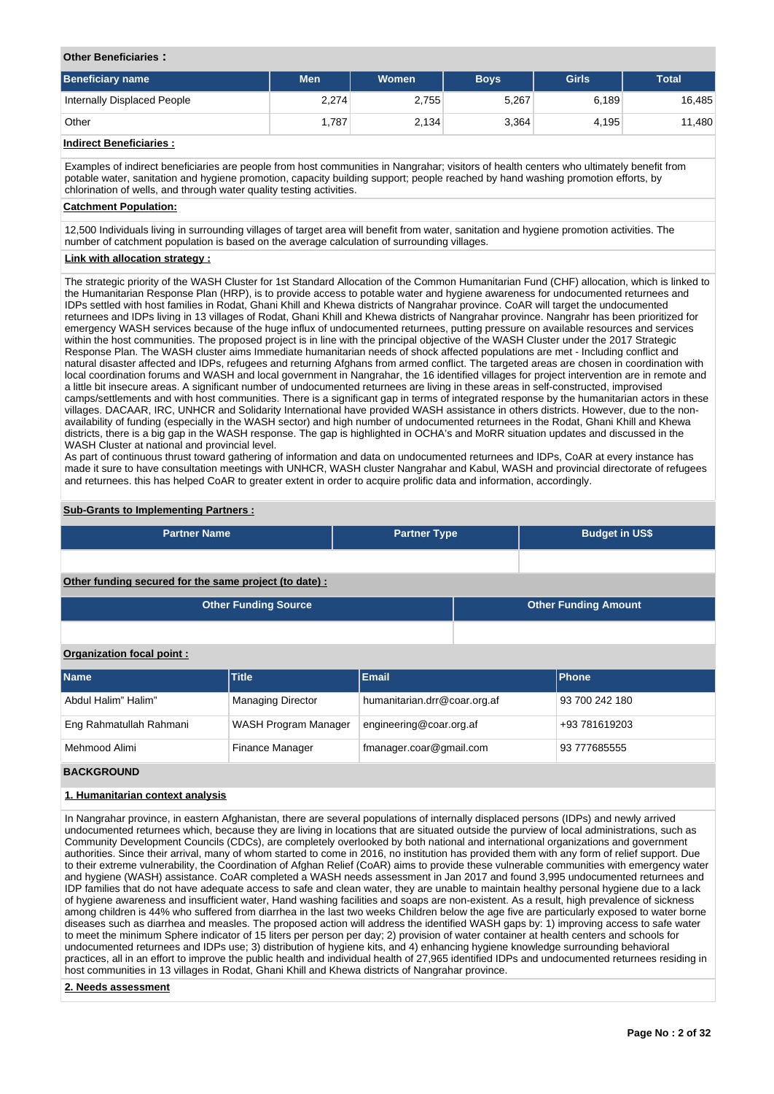# **Other Beneficiaries :**

| <b>Beneficiary name</b>     | <b>Men</b> | Women | <b>Boys</b> | <b>Girls</b> | <b>Total</b> |
|-----------------------------|------------|-------|-------------|--------------|--------------|
| Internally Displaced People | 2,274      | 2,755 | 5,267       | 6.189        | 16,485       |
| Other                       | .787       | 2,134 | 3,364       | 4,195        | 11,480       |

# **Indirect Beneficiaries :**

Examples of indirect beneficiaries are people from host communities in Nangrahar; visitors of health centers who ultimately benefit from potable water, sanitation and hygiene promotion, capacity building support; people reached by hand washing promotion efforts, by chlorination of wells, and through water quality testing activities.

# **Catchment Population:**

12,500 Individuals living in surrounding villages of target area will benefit from water, sanitation and hygiene promotion activities. The number of catchment population is based on the average calculation of surrounding villages.

# **Link with allocation strategy :**

The strategic priority of the WASH Cluster for 1st Standard Allocation of the Common Humanitarian Fund (CHF) allocation, which is linked to the Humanitarian Response Plan (HRP), is to provide access to potable water and hygiene awareness for undocumented returnees and IDPs settled with host families in Rodat, Ghani Khill and Khewa districts of Nangrahar province. CoAR will target the undocumented returnees and IDPs living in 13 villages of Rodat, Ghani Khill and Khewa districts of Nangrahar province. Nangrahr has been prioritized for emergency WASH services because of the huge influx of undocumented returnees, putting pressure on available resources and services within the host communities. The proposed project is in line with the principal objective of the WASH Cluster under the 2017 Strategic Response Plan. The WASH cluster aims Immediate humanitarian needs of shock affected populations are met - Including conflict and natural disaster affected and IDPs, refugees and returning Afghans from armed conflict. The targeted areas are chosen in coordination with local coordination forums and WASH and local government in Nangrahar, the 16 identified villages for project intervention are in remote and a little bit insecure areas. A significant number of undocumented returnees are living in these areas in self-constructed, improvised camps/settlements and with host communities. There is a significant gap in terms of integrated response by the humanitarian actors in these villages. DACAAR, IRC, UNHCR and Solidarity International have provided WASH assistance in others districts. However, due to the nonavailability of funding (especially in the WASH sector) and high number of undocumented returnees in the Rodat, Ghani Khill and Khewa districts, there is a big gap in the WASH response. The gap is highlighted in OCHA's and MoRR situation updates and discussed in the WASH Cluster at national and provincial level.

As part of continuous thrust toward gathering of information and data on undocumented returnees and IDPs, CoAR at every instance has made it sure to have consultation meetings with UNHCR, WASH cluster Nangrahar and Kabul, WASH and provincial directorate of refugees and returnees. this has helped CoAR to greater extent in order to acquire prolific data and information, accordingly.

# **Sub-Grants to Implementing Partners :**

| <b>Partner Name</b>                                   | <b>Partner Type</b> | <b>Budget in US\$</b> |
|-------------------------------------------------------|---------------------|-----------------------|
|                                                       |                     |                       |
| Other funding secured for the same project (to date): |                     |                       |

| <b>Other Funding Source</b> | <b>Other Funding Amount</b> |
|-----------------------------|-----------------------------|
|                             |                             |

# **Organization focal point :**

| <b>Name</b>             | Title <sup>1</sup>       | <b>Email</b>                 | <b>Phone</b>   |
|-------------------------|--------------------------|------------------------------|----------------|
| Abdul Halim" Halim"     | <b>Managing Director</b> | humanitarian.drr@coar.org.af | 93 700 242 180 |
| Eng Rahmatullah Rahmani | WASH Program Manager     | engineering@coar.org.af      | +93 781619203  |
| Mehmood Alimi           | <b>Finance Manager</b>   | fmanager.coar@gmail.com      | 93 777685555   |

# **BACKGROUND**

# **1. Humanitarian context analysis**

In Nangrahar province, in eastern Afghanistan, there are several populations of internally displaced persons (IDPs) and newly arrived undocumented returnees which, because they are living in locations that are situated outside the purview of local administrations, such as Community Development Councils (CDCs), are completely overlooked by both national and international organizations and government authorities. Since their arrival, many of whom started to come in 2016, no institution has provided them with any form of relief support. Due to their extreme vulnerability, the Coordination of Afghan Relief (CoAR) aims to provide these vulnerable communities with emergency water and hygiene (WASH) assistance. CoAR completed a WASH needs assessment in Jan 2017 and found 3,995 undocumented returnees and IDP families that do not have adequate access to safe and clean water, they are unable to maintain healthy personal hygiene due to a lack of hygiene awareness and insufficient water, Hand washing facilities and soaps are non-existent. As a result, high prevalence of sickness among children is 44% who suffered from diarrhea in the last two weeks Children below the age five are particularly exposed to water borne diseases such as diarrhea and measles. The proposed action will address the identified WASH gaps by: 1) improving access to safe water to meet the minimum Sphere indicator of 15 liters per person per day; 2) provision of water container at health centers and schools for undocumented returnees and IDPs use; 3) distribution of hygiene kits, and 4) enhancing hygiene knowledge surrounding behavioral practices, all in an effort to improve the public health and individual health of 27,965 identified IDPs and undocumented returnees residing in host communities in 13 villages in Rodat, Ghani Khill and Khewa districts of Nangrahar province.

# **2. Needs assessment**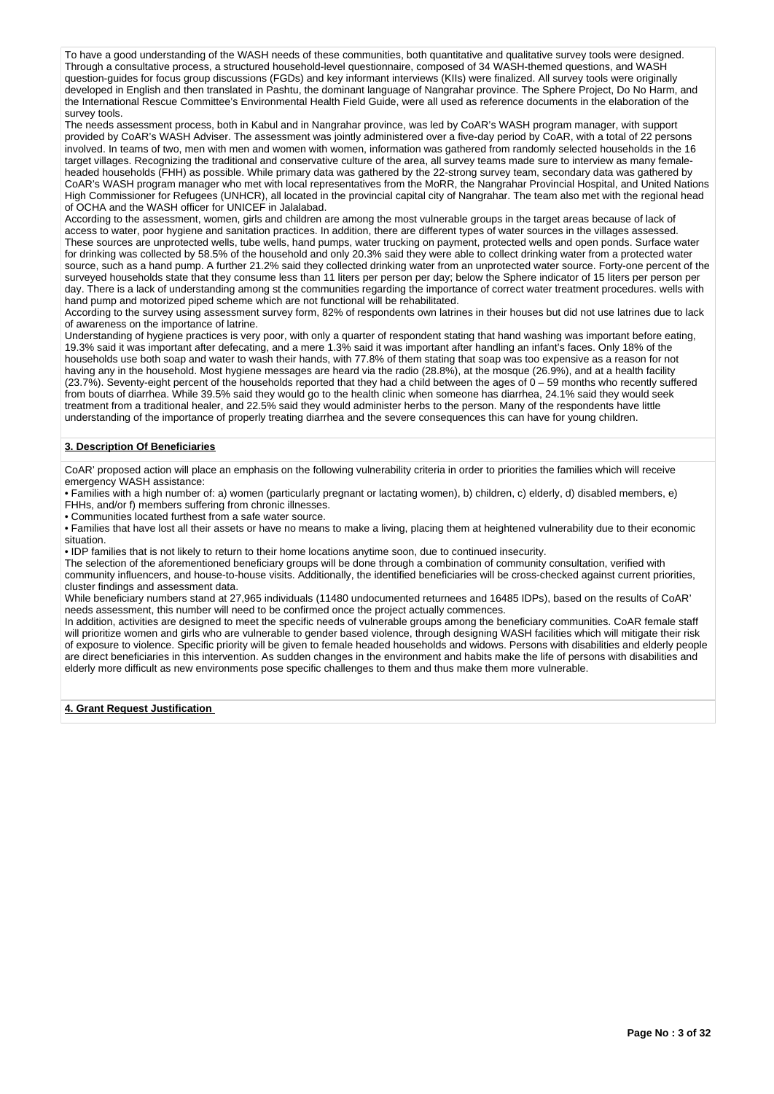To have a good understanding of the WASH needs of these communities, both quantitative and qualitative survey tools were designed. Through a consultative process, a structured household-level questionnaire, composed of 34 WASH-themed questions, and WASH question-guides for focus group discussions (FGDs) and key informant interviews (KIIs) were finalized. All survey tools were originally developed in English and then translated in Pashtu, the dominant language of Nangrahar province. The Sphere Project, Do No Harm, and the International Rescue Committee's Environmental Health Field Guide, were all used as reference documents in the elaboration of the survey tools.

The needs assessment process, both in Kabul and in Nangrahar province, was led by CoAR's WASH program manager, with support provided by CoAR's WASH Adviser. The assessment was jointly administered over a five-day period by CoAR, with a total of 22 persons involved. In teams of two, men with men and women with women, information was gathered from randomly selected households in the 16 target villages. Recognizing the traditional and conservative culture of the area, all survey teams made sure to interview as many femaleheaded households (FHH) as possible. While primary data was gathered by the 22-strong survey team, secondary data was gathered by CoAR's WASH program manager who met with local representatives from the MoRR, the Nangrahar Provincial Hospital, and United Nations High Commissioner for Refugees (UNHCR), all located in the provincial capital city of Nangrahar. The team also met with the regional head of OCHA and the WASH officer for UNICEF in Jalalabad.

According to the assessment, women, girls and children are among the most vulnerable groups in the target areas because of lack of access to water, poor hygiene and sanitation practices. In addition, there are different types of water sources in the villages assessed. These sources are unprotected wells, tube wells, hand pumps, water trucking on payment, protected wells and open ponds. Surface water for drinking was collected by 58.5% of the household and only 20.3% said they were able to collect drinking water from a protected water source, such as a hand pump. A further 21.2% said they collected drinking water from an unprotected water source. Forty-one percent of the surveyed households state that they consume less than 11 liters per person per day; below the Sphere indicator of 15 liters per person per day. There is a lack of understanding among st the communities regarding the importance of correct water treatment procedures. wells with hand pump and motorized piped scheme which are not functional will be rehabilitated.

According to the survey using assessment survey form, 82% of respondents own latrines in their houses but did not use latrines due to lack of awareness on the importance of latrine.

Understanding of hygiene practices is very poor, with only a quarter of respondent stating that hand washing was important before eating, 19.3% said it was important after defecating, and a mere 1.3% said it was important after handling an infant's faces. Only 18% of the households use both soap and water to wash their hands, with 77.8% of them stating that soap was too expensive as a reason for not having any in the household. Most hygiene messages are heard via the radio (28.8%), at the mosque (26.9%), and at a health facility (23.7%). Seventy-eight percent of the households reported that they had a child between the ages of 0 – 59 months who recently suffered from bouts of diarrhea. While 39.5% said they would go to the health clinic when someone has diarrhea, 24.1% said they would seek treatment from a traditional healer, and 22.5% said they would administer herbs to the person. Many of the respondents have little understanding of the importance of properly treating diarrhea and the severe consequences this can have for young children.

# **3. Description Of Beneficiaries**

CoAR' proposed action will place an emphasis on the following vulnerability criteria in order to priorities the families which will receive emergency WASH assistance:

• Families with a high number of: a) women (particularly pregnant or lactating women), b) children, c) elderly, d) disabled members, e) FHHs, and/or f) members suffering from chronic illnesses.

• Communities located furthest from a safe water source.

• Families that have lost all their assets or have no means to make a living, placing them at heightened vulnerability due to their economic situation.

• IDP families that is not likely to return to their home locations anytime soon, due to continued insecurity.

The selection of the aforementioned beneficiary groups will be done through a combination of community consultation, verified with community influencers, and house-to-house visits. Additionally, the identified beneficiaries will be cross-checked against current priorities, cluster findings and assessment data.

While beneficiary numbers stand at 27,965 individuals (11480 undocumented returnees and 16485 IDPs), based on the results of CoAR' needs assessment, this number will need to be confirmed once the project actually commences.

In addition, activities are designed to meet the specific needs of vulnerable groups among the beneficiary communities. CoAR female staff will prioritize women and girls who are vulnerable to gender based violence, through designing WASH facilities which will mitigate their risk of exposure to violence. Specific priority will be given to female headed households and widows. Persons with disabilities and elderly people are direct beneficiaries in this intervention. As sudden changes in the environment and habits make the life of persons with disabilities and elderly more difficult as new environments pose specific challenges to them and thus make them more vulnerable.

**4. Grant Request Justification**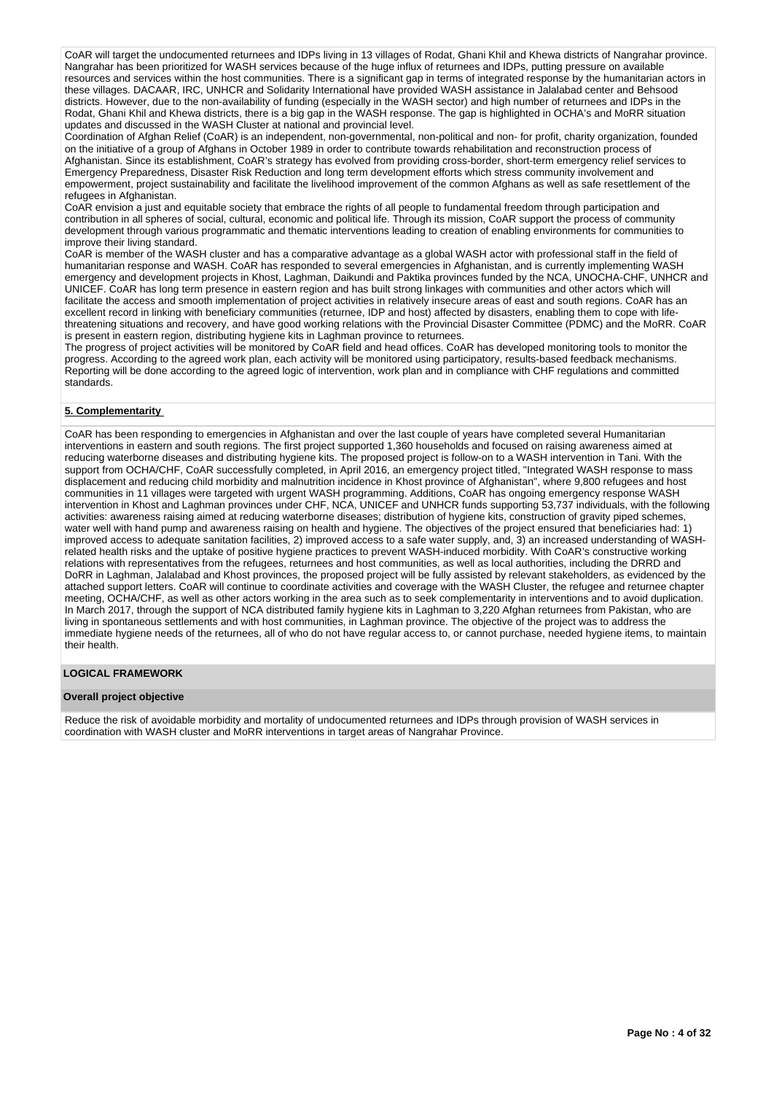CoAR will target the undocumented returnees and IDPs living in 13 villages of Rodat, Ghani Khil and Khewa districts of Nangrahar province. Nangrahar has been prioritized for WASH services because of the huge influx of returnees and IDPs, putting pressure on available resources and services within the host communities. There is a significant gap in terms of integrated response by the humanitarian actors in these villages. DACAAR, IRC, UNHCR and Solidarity International have provided WASH assistance in Jalalabad center and Behsood districts. However, due to the non-availability of funding (especially in the WASH sector) and high number of returnees and IDPs in the Rodat, Ghani Khil and Khewa districts, there is a big gap in the WASH response. The gap is highlighted in OCHA's and MoRR situation updates and discussed in the WASH Cluster at national and provincial level.

Coordination of Afghan Relief (CoAR) is an independent, non-governmental, non-political and non- for profit, charity organization, founded on the initiative of a group of Afghans in October 1989 in order to contribute towards rehabilitation and reconstruction process of Afghanistan. Since its establishment, CoAR's strategy has evolved from providing cross-border, short-term emergency relief services to Emergency Preparedness, Disaster Risk Reduction and long term development efforts which stress community involvement and empowerment, project sustainability and facilitate the livelihood improvement of the common Afghans as well as safe resettlement of the refugees in Afghanistan.

CoAR envision a just and equitable society that embrace the rights of all people to fundamental freedom through participation and contribution in all spheres of social, cultural, economic and political life. Through its mission, CoAR support the process of community development through various programmatic and thematic interventions leading to creation of enabling environments for communities to improve their living standard.

CoAR is member of the WASH cluster and has a comparative advantage as a global WASH actor with professional staff in the field of humanitarian response and WASH. CoAR has responded to several emergencies in Afghanistan, and is currently implementing WASH emergency and development projects in Khost, Laghman, Daikundi and Paktika provinces funded by the NCA, UNOCHA-CHF, UNHCR and UNICEF. CoAR has long term presence in eastern region and has built strong linkages with communities and other actors which will facilitate the access and smooth implementation of project activities in relatively insecure areas of east and south regions. CoAR has an excellent record in linking with beneficiary communities (returnee, IDP and host) affected by disasters, enabling them to cope with lifethreatening situations and recovery, and have good working relations with the Provincial Disaster Committee (PDMC) and the MoRR. CoAR is present in eastern region, distributing hygiene kits in Laghman province to returnees.

The progress of project activities will be monitored by CoAR field and head offices. CoAR has developed monitoring tools to monitor the progress. According to the agreed work plan, each activity will be monitored using participatory, results-based feedback mechanisms. Reporting will be done according to the agreed logic of intervention, work plan and in compliance with CHF regulations and committed standards.

# **5. Complementarity**

CoAR has been responding to emergencies in Afghanistan and over the last couple of years have completed several Humanitarian interventions in eastern and south regions. The first project supported 1,360 households and focused on raising awareness aimed at reducing waterborne diseases and distributing hygiene kits. The proposed project is follow-on to a WASH intervention in Tani. With the support from OCHA/CHF, CoAR successfully completed, in April 2016, an emergency project titled, "Integrated WASH response to mass displacement and reducing child morbidity and malnutrition incidence in Khost province of Afghanistan", where 9,800 refugees and host communities in 11 villages were targeted with urgent WASH programming. Additions, CoAR has ongoing emergency response WASH intervention in Khost and Laghman provinces under CHF, NCA, UNICEF and UNHCR funds supporting 53,737 individuals, with the following activities: awareness raising aimed at reducing waterborne diseases; distribution of hygiene kits, construction of gravity piped schemes, water well with hand pump and awareness raising on health and hygiene. The objectives of the project ensured that beneficiaries had: 1) improved access to adequate sanitation facilities, 2) improved access to a safe water supply, and, 3) an increased understanding of WASHrelated health risks and the uptake of positive hygiene practices to prevent WASH-induced morbidity. With CoAR's constructive working relations with representatives from the refugees, returnees and host communities, as well as local authorities, including the DRRD and DoRR in Laghman, Jalalabad and Khost provinces, the proposed project will be fully assisted by relevant stakeholders, as evidenced by the attached support letters. CoAR will continue to coordinate activities and coverage with the WASH Cluster, the refugee and returnee chapter meeting, OCHA/CHF, as well as other actors working in the area such as to seek complementarity in interventions and to avoid duplication. In March 2017, through the support of NCA distributed family hygiene kits in Laghman to 3,220 Afghan returnees from Pakistan, who are living in spontaneous settlements and with host communities, in Laghman province. The objective of the project was to address the immediate hygiene needs of the returnees, all of who do not have regular access to, or cannot purchase, needed hygiene items, to maintain their health.

# **LOGICAL FRAMEWORK**

#### **Overall project objective**

Reduce the risk of avoidable morbidity and mortality of undocumented returnees and IDPs through provision of WASH services in coordination with WASH cluster and MoRR interventions in target areas of Nangrahar Province.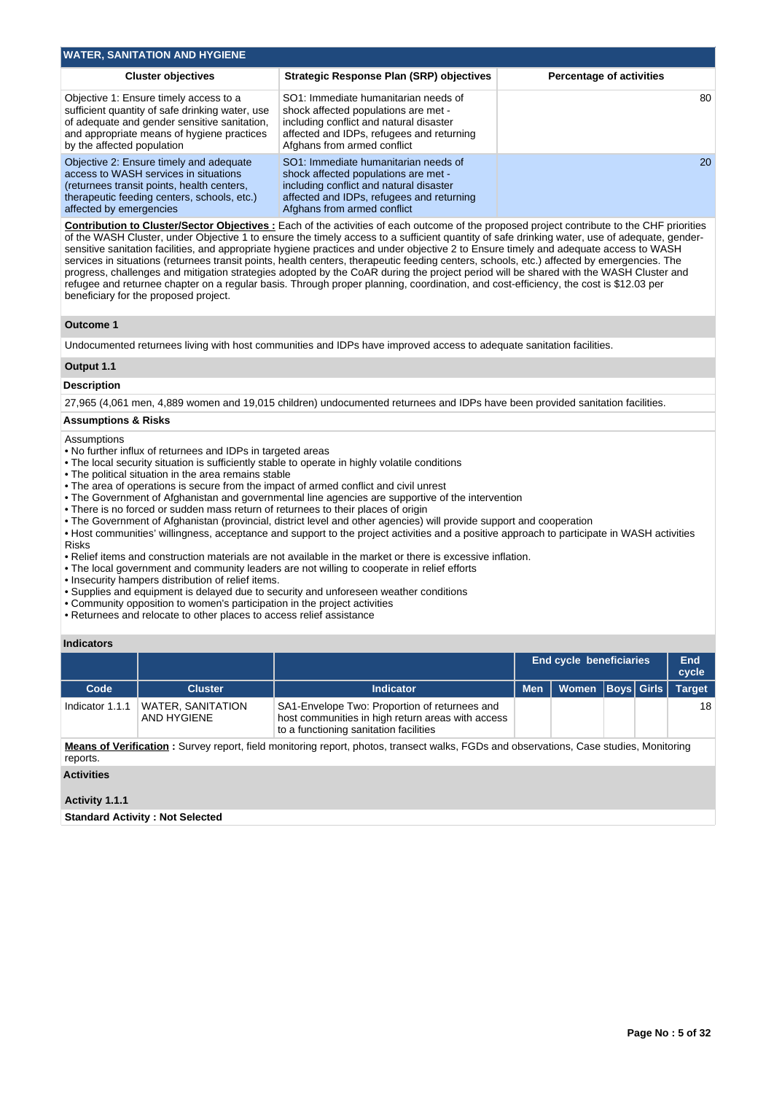| <b>WATER, SANITATION AND HYGIENE</b>                                                                                                                                                                                  |                                                                                                                                                                                                     |                                 |
|-----------------------------------------------------------------------------------------------------------------------------------------------------------------------------------------------------------------------|-----------------------------------------------------------------------------------------------------------------------------------------------------------------------------------------------------|---------------------------------|
| <b>Cluster objectives</b>                                                                                                                                                                                             | Strategic Response Plan (SRP) objectives                                                                                                                                                            | <b>Percentage of activities</b> |
| Objective 1: Ensure timely access to a<br>sufficient quantity of safe drinking water, use<br>of adequate and gender sensitive sanitation,<br>and appropriate means of hygiene practices<br>by the affected population | SO1: Immediate humanitarian needs of<br>shock affected populations are met -<br>including conflict and natural disaster<br>affected and IDPs, refugees and returning<br>Afghans from armed conflict | 80                              |
| Objective 2: Ensure timely and adequate<br>access to WASH services in situations<br>(returnees transit points, health centers,<br>therapeutic feeding centers, schools, etc.)<br>affected by emergencies              | SO1: Immediate humanitarian needs of<br>shock affected populations are met -<br>including conflict and natural disaster<br>affected and IDPs, refugees and returning<br>Afghans from armed conflict | <b>20</b>                       |

**Contribution to Cluster/Sector Objectives :** Each of the activities of each outcome of the proposed project contribute to the CHF priorities of the WASH Cluster, under Objective 1 to ensure the timely access to a sufficient quantity of safe drinking water, use of adequate, gendersensitive sanitation facilities, and appropriate hygiene practices and under objective 2 to Ensure timely and adequate access to WASH services in situations (returnees transit points, health centers, therapeutic feeding centers, schools, etc.) affected by emergencies. The progress, challenges and mitigation strategies adopted by the CoAR during the project period will be shared with the WASH Cluster and refugee and returnee chapter on a regular basis. Through proper planning, coordination, and cost-efficiency, the cost is \$12.03 per beneficiary for the proposed project.

# **Outcome 1**

Undocumented returnees living with host communities and IDPs have improved access to adequate sanitation facilities.

# **Output 1.1**

# **Description**

27,965 (4,061 men, 4,889 women and 19,015 children) undocumented returnees and IDPs have been provided sanitation facilities.

### **Assumptions & Risks**

#### **Assumptions**

- No further influx of returnees and IDPs in targeted areas
- The local security situation is sufficiently stable to operate in highly volatile conditions
- The political situation in the area remains stable
- The area of operations is secure from the impact of armed conflict and civil unrest
- The Government of Afghanistan and governmental line agencies are supportive of the intervention
- There is no forced or sudden mass return of returnees to their places of origin
- The Government of Afghanistan (provincial, district level and other agencies) will provide support and cooperation
- Host communities' willingness, acceptance and support to the project activities and a positive approach to participate in WASH activities Risks
- Relief items and construction materials are not available in the market or there is excessive inflation.
- The local government and community leaders are not willing to cooperate in relief efforts
- Insecurity hampers distribution of relief items.
- Supplies and equipment is delayed due to security and unforeseen weather conditions
- Community opposition to women's participation in the project activities
- Returnees and relocate to other places to access relief assistance

# **Indicators**

|                 |                                         |                                                                                                                                              |            | <b>End cycle beneficiaries</b> |  | End<br>cycle  |
|-----------------|-----------------------------------------|----------------------------------------------------------------------------------------------------------------------------------------------|------------|--------------------------------|--|---------------|
| Code            | <b>Cluster</b>                          | <b>Indicator</b>                                                                                                                             | <b>Men</b> | Women   Boys   Girls           |  | <b>Target</b> |
| Indicator 1.1.1 | <b>WATER, SANITATION</b><br>AND HYGIENE | SA1-Envelope Two: Proportion of returnees and<br>host communities in high return areas with access<br>to a functioning sanitation facilities |            |                                |  | 18            |
| reports.        |                                         | Means of Verification: Survey report, field monitoring report, photos, transect walks, FGDs and observations, Case studies, Monitoring       |            |                                |  |               |

**Activities**

### **Activity 1.1.1**

**Standard Activity : Not Selected**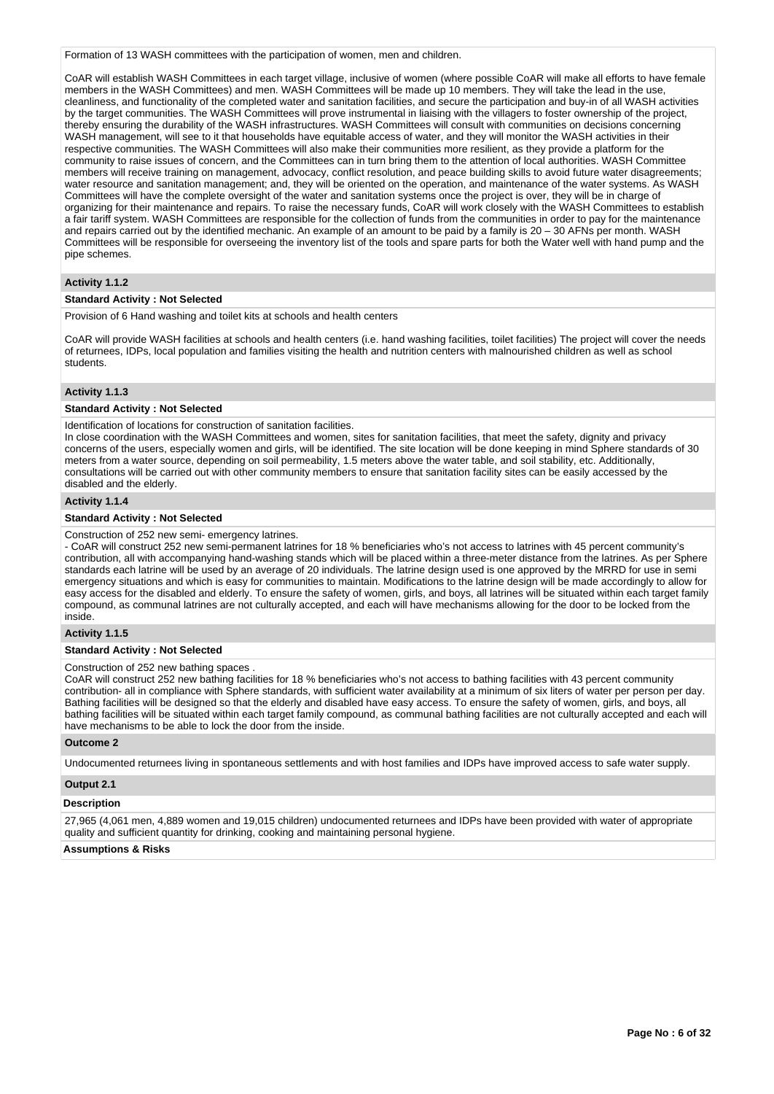Formation of 13 WASH committees with the participation of women, men and children.

CoAR will establish WASH Committees in each target village, inclusive of women (where possible CoAR will make all efforts to have female members in the WASH Committees) and men. WASH Committees will be made up 10 members. They will take the lead in the use, cleanliness, and functionality of the completed water and sanitation facilities, and secure the participation and buy-in of all WASH activities by the target communities. The WASH Committees will prove instrumental in liaising with the villagers to foster ownership of the project, thereby ensuring the durability of the WASH infrastructures. WASH Committees will consult with communities on decisions concerning WASH management, will see to it that households have equitable access of water, and they will monitor the WASH activities in their respective communities. The WASH Committees will also make their communities more resilient, as they provide a platform for the community to raise issues of concern, and the Committees can in turn bring them to the attention of local authorities. WASH Committee members will receive training on management, advocacy, conflict resolution, and peace building skills to avoid future water disagreements; water resource and sanitation management; and, they will be oriented on the operation, and maintenance of the water systems. As WASH Committees will have the complete oversight of the water and sanitation systems once the project is over, they will be in charge of organizing for their maintenance and repairs. To raise the necessary funds, CoAR will work closely with the WASH Committees to establish a fair tariff system. WASH Committees are responsible for the collection of funds from the communities in order to pay for the maintenance and repairs carried out by the identified mechanic. An example of an amount to be paid by a family is 20 – 30 AFNs per month. WASH Committees will be responsible for overseeing the inventory list of the tools and spare parts for both the Water well with hand pump and the pipe schemes.

# **Activity 1.1.2**

#### **Standard Activity : Not Selected**

Provision of 6 Hand washing and toilet kits at schools and health centers

CoAR will provide WASH facilities at schools and health centers (i.e. hand washing facilities, toilet facilities) The project will cover the needs of returnees, IDPs, local population and families visiting the health and nutrition centers with malnourished children as well as school students.

# **Activity 1.1.3**

### **Standard Activity : Not Selected**

Identification of locations for construction of sanitation facilities.

In close coordination with the WASH Committees and women, sites for sanitation facilities, that meet the safety, dignity and privacy concerns of the users, especially women and girls, will be identified. The site location will be done keeping in mind Sphere standards of 30 meters from a water source, depending on soil permeability, 1.5 meters above the water table, and soil stability, etc. Additionally, consultations will be carried out with other community members to ensure that sanitation facility sites can be easily accessed by the disabled and the elderly.

#### **Activity 1.1.4**

### **Standard Activity : Not Selected**

#### Construction of 252 new semi- emergency latrines.

- CoAR will construct 252 new semi-permanent latrines for 18 % beneficiaries who's not access to latrines with 45 percent community's contribution, all with accompanying hand-washing stands which will be placed within a three-meter distance from the latrines. As per Sphere standards each latrine will be used by an average of 20 individuals. The latrine design used is one approved by the MRRD for use in semi emergency situations and which is easy for communities to maintain. Modifications to the latrine design will be made accordingly to allow for easy access for the disabled and elderly. To ensure the safety of women, girls, and boys, all latrines will be situated within each target family compound, as communal latrines are not culturally accepted, and each will have mechanisms allowing for the door to be locked from the inside.

### **Activity 1.1.5**

### **Standard Activity : Not Selected**

#### Construction of 252 new bathing spaces .

CoAR will construct 252 new bathing facilities for 18 % beneficiaries who's not access to bathing facilities with 43 percent community contribution- all in compliance with Sphere standards, with sufficient water availability at a minimum of six liters of water per person per day. Bathing facilities will be designed so that the elderly and disabled have easy access. To ensure the safety of women, girls, and boys, all bathing facilities will be situated within each target family compound, as communal bathing facilities are not culturally accepted and each will have mechanisms to be able to lock the door from the inside.

#### **Outcome 2**

Undocumented returnees living in spontaneous settlements and with host families and IDPs have improved access to safe water supply.

### **Output 2.1**

### **Description**

27,965 (4,061 men, 4,889 women and 19,015 children) undocumented returnees and IDPs have been provided with water of appropriate quality and sufficient quantity for drinking, cooking and maintaining personal hygiene.

### **Assumptions & Risks**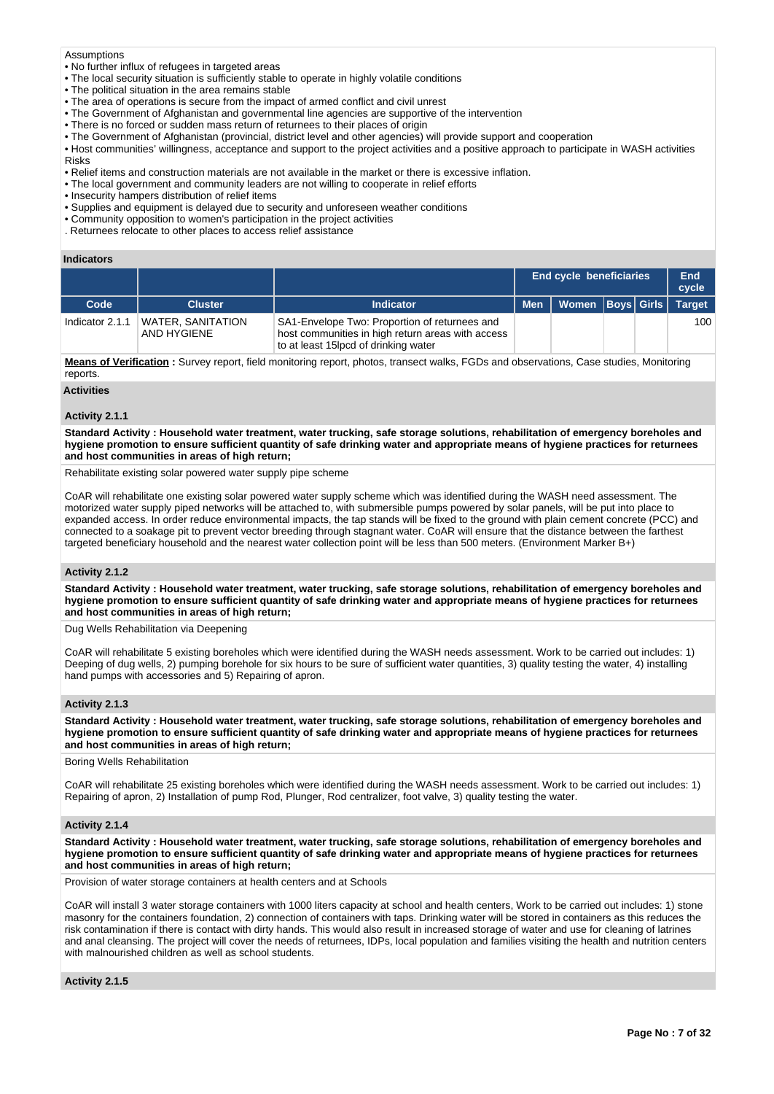### Assumptions

- No further influx of refugees in targeted areas
- The local security situation is sufficiently stable to operate in highly volatile conditions
- The political situation in the area remains stable
- The area of operations is secure from the impact of armed conflict and civil unrest
- The Government of Afghanistan and governmental line agencies are supportive of the intervention
- There is no forced or sudden mass return of returnees to their places of origin
- The Government of Afghanistan (provincial, district level and other agencies) will provide support and cooperation
- Host communities' willingness, acceptance and support to the project activities and a positive approach to participate in WASH activities Risks
- Relief items and construction materials are not available in the market or there is excessive inflation.
- The local government and community leaders are not willing to cooperate in relief efforts
- Insecurity hampers distribution of relief items
- Supplies and equipment is delayed due to security and unforeseen weather conditions
- Community opposition to women's participation in the project activities
- . Returnees relocate to other places to access relief assistance

### **Indicators**

|                 |                                  |                                                                                                                                            | <b>End cycle beneficiaries</b> |  | End<br>cycle  |
|-----------------|----------------------------------|--------------------------------------------------------------------------------------------------------------------------------------------|--------------------------------|--|---------------|
| Code            | <b>Cluster</b>                   | <b>Indicator</b>                                                                                                                           | Men   Women   Boys   Girls     |  | <b>Target</b> |
| Indicator 2.1.1 | WATER, SANITATION<br>AND HYGIENE | SA1-Envelope Two: Proportion of returnees and<br>host communities in high return areas with access<br>to at least 15lpcd of drinking water |                                |  | 100           |

**Means of Verification :** Survey report, field monitoring report, photos, transect walks, FGDs and observations, Case studies, Monitoring reports.

**Activities**

### **Activity 2.1.1**

**Standard Activity : Household water treatment, water trucking, safe storage solutions, rehabilitation of emergency boreholes and hygiene promotion to ensure sufficient quantity of safe drinking water and appropriate means of hygiene practices for returnees and host communities in areas of high return;**

Rehabilitate existing solar powered water supply pipe scheme

CoAR will rehabilitate one existing solar powered water supply scheme which was identified during the WASH need assessment. The motorized water supply piped networks will be attached to, with submersible pumps powered by solar panels, will be put into place to expanded access. In order reduce environmental impacts, the tap stands will be fixed to the ground with plain cement concrete (PCC) and connected to a soakage pit to prevent vector breeding through stagnant water. CoAR will ensure that the distance between the farthest targeted beneficiary household and the nearest water collection point will be less than 500 meters. (Environment Marker B+)

### **Activity 2.1.2**

**Standard Activity : Household water treatment, water trucking, safe storage solutions, rehabilitation of emergency boreholes and hygiene promotion to ensure sufficient quantity of safe drinking water and appropriate means of hygiene practices for returnees and host communities in areas of high return;**

Dug Wells Rehabilitation via Deepening

CoAR will rehabilitate 5 existing boreholes which were identified during the WASH needs assessment. Work to be carried out includes: 1) Deeping of dug wells, 2) pumping borehole for six hours to be sure of sufficient water quantities, 3) quality testing the water, 4) installing hand pumps with accessories and 5) Repairing of apron.

# **Activity 2.1.3**

**Standard Activity : Household water treatment, water trucking, safe storage solutions, rehabilitation of emergency boreholes and hygiene promotion to ensure sufficient quantity of safe drinking water and appropriate means of hygiene practices for returnees and host communities in areas of high return;**

Boring Wells Rehabilitation

CoAR will rehabilitate 25 existing boreholes which were identified during the WASH needs assessment. Work to be carried out includes: 1) Repairing of apron, 2) Installation of pump Rod, Plunger, Rod centralizer, foot valve, 3) quality testing the water.

# **Activity 2.1.4**

**Standard Activity : Household water treatment, water trucking, safe storage solutions, rehabilitation of emergency boreholes and hygiene promotion to ensure sufficient quantity of safe drinking water and appropriate means of hygiene practices for returnees and host communities in areas of high return;**

Provision of water storage containers at health centers and at Schools

CoAR will install 3 water storage containers with 1000 liters capacity at school and health centers, Work to be carried out includes: 1) stone masonry for the containers foundation, 2) connection of containers with taps. Drinking water will be stored in containers as this reduces the risk contamination if there is contact with dirty hands. This would also result in increased storage of water and use for cleaning of latrines and anal cleansing. The project will cover the needs of returnees, IDPs, local population and families visiting the health and nutrition centers with malnourished children as well as school students.

### **Activity 2.1.5**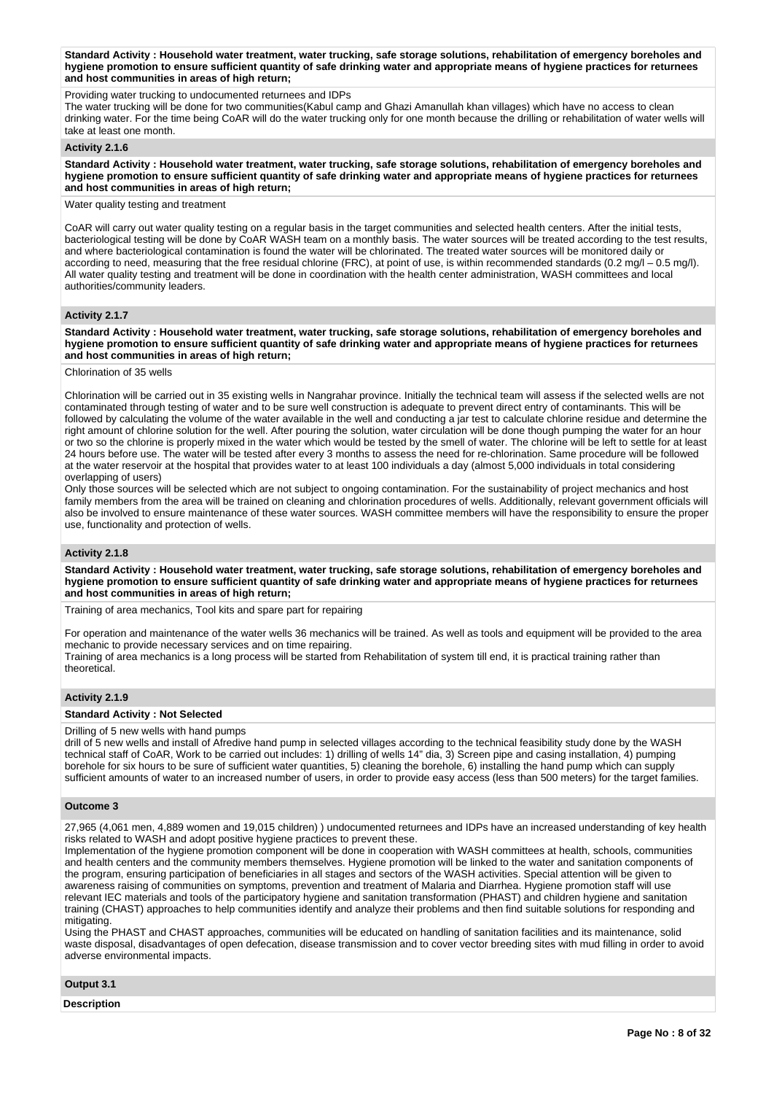**Standard Activity : Household water treatment, water trucking, safe storage solutions, rehabilitation of emergency boreholes and hygiene promotion to ensure sufficient quantity of safe drinking water and appropriate means of hygiene practices for returnees and host communities in areas of high return;**

Providing water trucking to undocumented returnees and IDPs

The water trucking will be done for two communities(Kabul camp and Ghazi Amanullah khan villages) which have no access to clean drinking water. For the time being CoAR will do the water trucking only for one month because the drilling or rehabilitation of water wells will take at least one month.

# **Activity 2.1.6**

**Standard Activity : Household water treatment, water trucking, safe storage solutions, rehabilitation of emergency boreholes and hygiene promotion to ensure sufficient quantity of safe drinking water and appropriate means of hygiene practices for returnees and host communities in areas of high return;**

# Water quality testing and treatment

CoAR will carry out water quality testing on a regular basis in the target communities and selected health centers. After the initial tests, bacteriological testing will be done by CoAR WASH team on a monthly basis. The water sources will be treated according to the test results, and where bacteriological contamination is found the water will be chlorinated. The treated water sources will be monitored daily or according to need, measuring that the free residual chlorine (FRC), at point of use, is within recommended standards (0.2 mg/l - 0.5 mg/l). All water quality testing and treatment will be done in coordination with the health center administration, WASH committees and local authorities/community leaders.

# **Activity 2.1.7**

**Standard Activity : Household water treatment, water trucking, safe storage solutions, rehabilitation of emergency boreholes and hygiene promotion to ensure sufficient quantity of safe drinking water and appropriate means of hygiene practices for returnees and host communities in areas of high return;**

Chlorination of 35 wells

Chlorination will be carried out in 35 existing wells in Nangrahar province. Initially the technical team will assess if the selected wells are not contaminated through testing of water and to be sure well construction is adequate to prevent direct entry of contaminants. This will be followed by calculating the volume of the water available in the well and conducting a jar test to calculate chlorine residue and determine the right amount of chlorine solution for the well. After pouring the solution, water circulation will be done though pumping the water for an hour or two so the chlorine is properly mixed in the water which would be tested by the smell of water. The chlorine will be left to settle for at least 24 hours before use. The water will be tested after every 3 months to assess the need for re-chlorination. Same procedure will be followed at the water reservoir at the hospital that provides water to at least 100 individuals a day (almost 5,000 individuals in total considering overlapping of users)

Only those sources will be selected which are not subject to ongoing contamination. For the sustainability of project mechanics and host family members from the area will be trained on cleaning and chlorination procedures of wells. Additionally, relevant government officials will also be involved to ensure maintenance of these water sources. WASH committee members will have the responsibility to ensure the proper use, functionality and protection of wells.

### **Activity 2.1.8**

**Standard Activity : Household water treatment, water trucking, safe storage solutions, rehabilitation of emergency boreholes and hygiene promotion to ensure sufficient quantity of safe drinking water and appropriate means of hygiene practices for returnees and host communities in areas of high return;**

Training of area mechanics, Tool kits and spare part for repairing

For operation and maintenance of the water wells 36 mechanics will be trained. As well as tools and equipment will be provided to the area mechanic to provide necessary services and on time repairing.

Training of area mechanics is a long process will be started from Rehabilitation of system till end, it is practical training rather than theoretical.

# **Activity 2.1.9**

### **Standard Activity : Not Selected**

Drilling of 5 new wells with hand pumps

drill of 5 new wells and install of Afredive hand pump in selected villages according to the technical feasibility study done by the WASH technical staff of CoAR, Work to be carried out includes: 1) drilling of wells 14" dia, 3) Screen pipe and casing installation, 4) pumping borehole for six hours to be sure of sufficient water quantities, 5) cleaning the borehole, 6) installing the hand pump which can supply sufficient amounts of water to an increased number of users, in order to provide easy access (less than 500 meters) for the target families.

#### **Outcome 3**

27,965 (4,061 men, 4,889 women and 19,015 children) ) undocumented returnees and IDPs have an increased understanding of key health risks related to WASH and adopt positive hygiene practices to prevent these.

Implementation of the hygiene promotion component will be done in cooperation with WASH committees at health, schools, communities and health centers and the community members themselves. Hygiene promotion will be linked to the water and sanitation components of the program, ensuring participation of beneficiaries in all stages and sectors of the WASH activities. Special attention will be given to awareness raising of communities on symptoms, prevention and treatment of Malaria and Diarrhea. Hygiene promotion staff will use relevant IEC materials and tools of the participatory hygiene and sanitation transformation (PHAST) and children hygiene and sanitation training (CHAST) approaches to help communities identify and analyze their problems and then find suitable solutions for responding and mitigating.

Using the PHAST and CHAST approaches, communities will be educated on handling of sanitation facilities and its maintenance, solid waste disposal, disadvantages of open defecation, disease transmission and to cover vector breeding sites with mud filling in order to avoid adverse environmental impacts.

**Output 3.1**

**Description**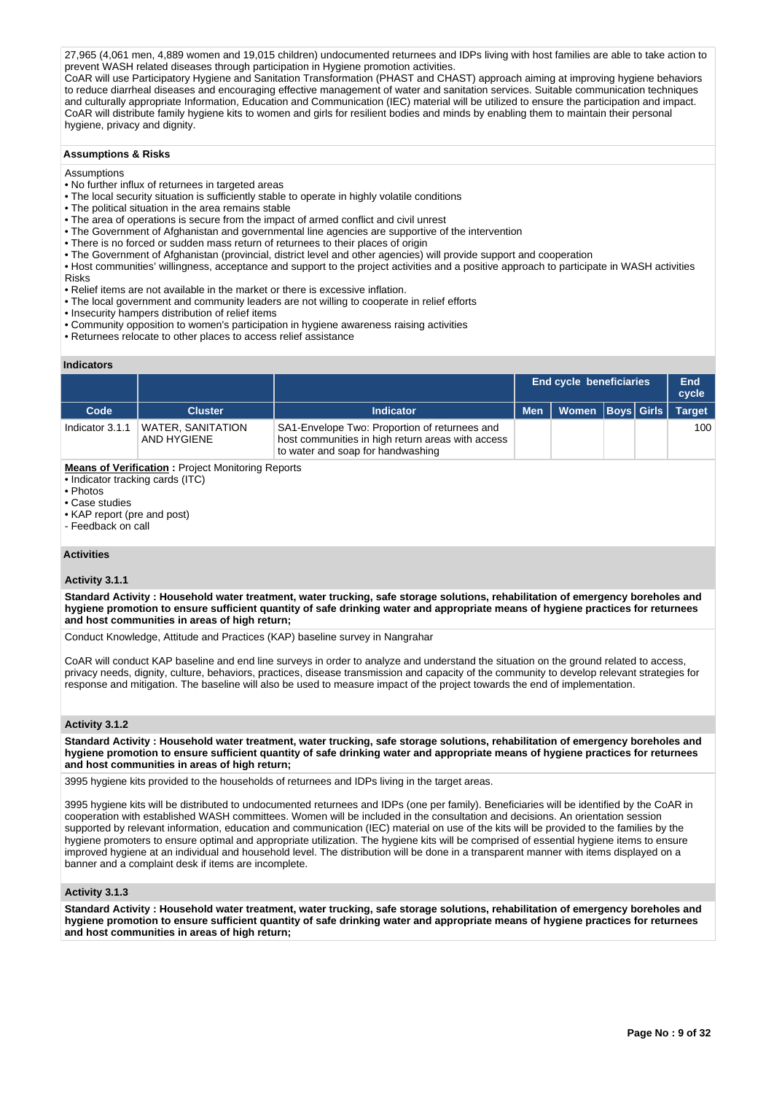27,965 (4,061 men, 4,889 women and 19,015 children) undocumented returnees and IDPs living with host families are able to take action to prevent WASH related diseases through participation in Hygiene promotion activities.

CoAR will use Participatory Hygiene and Sanitation Transformation (PHAST and CHAST) approach aiming at improving hygiene behaviors to reduce diarrheal diseases and encouraging effective management of water and sanitation services. Suitable communication techniques and culturally appropriate Information, Education and Communication (IEC) material will be utilized to ensure the participation and impact. CoAR will distribute family hygiene kits to women and girls for resilient bodies and minds by enabling them to maintain their personal hygiene, privacy and dignity.

# **Assumptions & Risks**

### **Assumptions**

- No further influx of returnees in targeted areas
- The local security situation is sufficiently stable to operate in highly volatile conditions
- The political situation in the area remains stable
- The area of operations is secure from the impact of armed conflict and civil unrest
- The Government of Afghanistan and governmental line agencies are supportive of the intervention
- There is no forced or sudden mass return of returnees to their places of origin
- The Government of Afghanistan (provincial, district level and other agencies) will provide support and cooperation
- Host communities' willingness, acceptance and support to the project activities and a positive approach to participate in WASH activities Risks
- Relief items are not available in the market or there is excessive inflation.
- The local government and community leaders are not willing to cooperate in relief efforts
- Insecurity hampers distribution of relief items
- Community opposition to women's participation in hygiene awareness raising activities
- Returnees relocate to other places to access relief assistance

# **Indicators**

|                                              |                                                          |                                                                                                                                         | <b>End cycle beneficiaries</b> |  | <b>Boys Girls</b><br>Women |  |               |  | End<br>cycle |
|----------------------------------------------|----------------------------------------------------------|-----------------------------------------------------------------------------------------------------------------------------------------|--------------------------------|--|----------------------------|--|---------------|--|--------------|
| Code                                         | <b>Cluster</b>                                           | <b>Indicator</b>                                                                                                                        | <b>Men</b>                     |  |                            |  | <b>Target</b> |  |              |
| Indicator 3.1.1                              | <b>WATER, SANITATION</b><br>AND HYGIENE                  | SA1-Envelope Two: Proportion of returnees and<br>host communities in high return areas with access<br>to water and soap for handwashing |                                |  |                            |  | 100           |  |              |
| • Indicator tracking cards (ITC)<br>• Photos | <b>Means of Verification:</b> Project Monitoring Reports |                                                                                                                                         |                                |  |                            |  |               |  |              |

• Case studies

- KAP report (pre and post)
- Feedback on call

# **Activities**

# **Activity 3.1.1**

**Standard Activity : Household water treatment, water trucking, safe storage solutions, rehabilitation of emergency boreholes and hygiene promotion to ensure sufficient quantity of safe drinking water and appropriate means of hygiene practices for returnees and host communities in areas of high return;**

Conduct Knowledge, Attitude and Practices (KAP) baseline survey in Nangrahar

CoAR will conduct KAP baseline and end line surveys in order to analyze and understand the situation on the ground related to access, privacy needs, dignity, culture, behaviors, practices, disease transmission and capacity of the community to develop relevant strategies for response and mitigation. The baseline will also be used to measure impact of the project towards the end of implementation.

# **Activity 3.1.2**

**Standard Activity : Household water treatment, water trucking, safe storage solutions, rehabilitation of emergency boreholes and hygiene promotion to ensure sufficient quantity of safe drinking water and appropriate means of hygiene practices for returnees and host communities in areas of high return;**

3995 hygiene kits provided to the households of returnees and IDPs living in the target areas.

3995 hygiene kits will be distributed to undocumented returnees and IDPs (one per family). Beneficiaries will be identified by the CoAR in cooperation with established WASH committees. Women will be included in the consultation and decisions. An orientation session supported by relevant information, education and communication (IEC) material on use of the kits will be provided to the families by the hygiene promoters to ensure optimal and appropriate utilization. The hygiene kits will be comprised of essential hygiene items to ensure improved hygiene at an individual and household level. The distribution will be done in a transparent manner with items displayed on a banner and a complaint desk if items are incomplete.

# **Activity 3.1.3**

**Standard Activity : Household water treatment, water trucking, safe storage solutions, rehabilitation of emergency boreholes and hygiene promotion to ensure sufficient quantity of safe drinking water and appropriate means of hygiene practices for returnees and host communities in areas of high return;**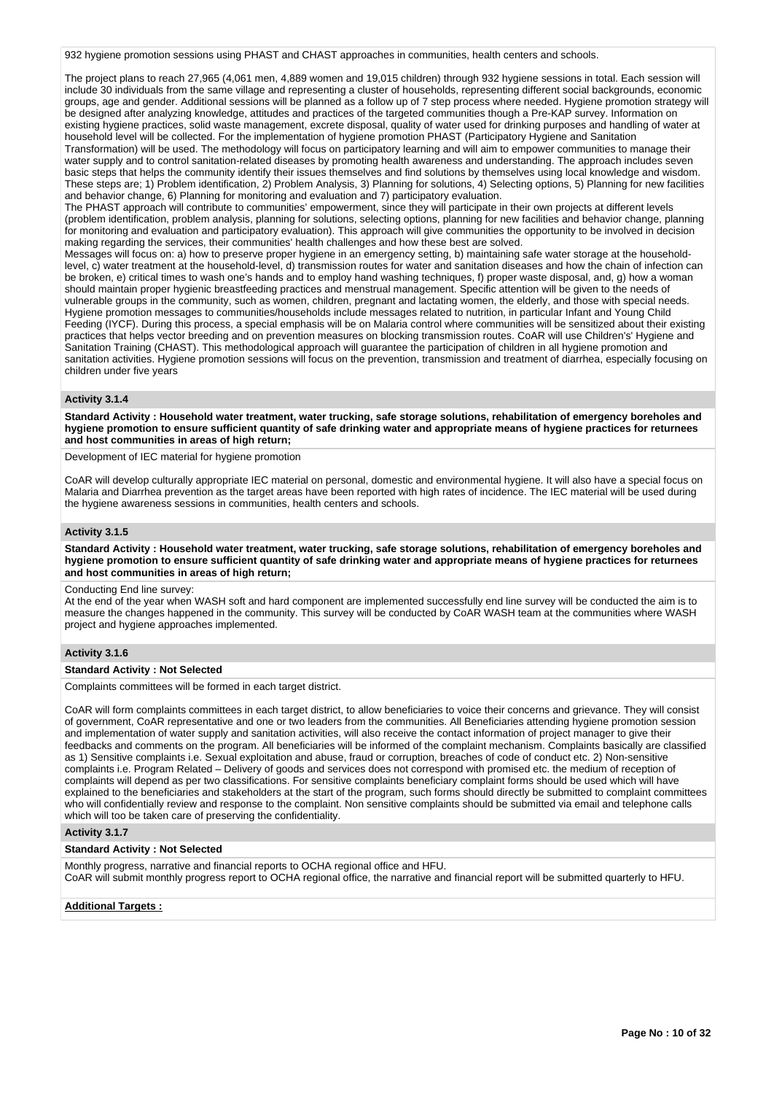932 hygiene promotion sessions using PHAST and CHAST approaches in communities, health centers and schools.

The project plans to reach 27,965 (4,061 men, 4,889 women and 19,015 children) through 932 hygiene sessions in total. Each session will include 30 individuals from the same village and representing a cluster of households, representing different social backgrounds, economic groups, age and gender. Additional sessions will be planned as a follow up of 7 step process where needed. Hygiene promotion strategy will be designed after analyzing knowledge, attitudes and practices of the targeted communities though a Pre-KAP survey. Information on existing hygiene practices, solid waste management, excrete disposal, quality of water used for drinking purposes and handling of water at household level will be collected. For the implementation of hygiene promotion PHAST (Participatory Hygiene and Sanitation Transformation) will be used. The methodology will focus on participatory learning and will aim to empower communities to manage their water supply and to control sanitation-related diseases by promoting health awareness and understanding. The approach includes seven basic steps that helps the community identify their issues themselves and find solutions by themselves using local knowledge and wisdom. These steps are; 1) Problem identification, 2) Problem Analysis, 3) Planning for solutions, 4) Selecting options, 5) Planning for new facilities and behavior change, 6) Planning for monitoring and evaluation and 7) participatory evaluation.

The PHAST approach will contribute to communities' empowerment, since they will participate in their own projects at different levels (problem identification, problem analysis, planning for solutions, selecting options, planning for new facilities and behavior change, planning for monitoring and evaluation and participatory evaluation). This approach will give communities the opportunity to be involved in decision making regarding the services, their communities' health challenges and how these best are solved.

Messages will focus on: a) how to preserve proper hygiene in an emergency setting, b) maintaining safe water storage at the householdlevel, c) water treatment at the household-level, d) transmission routes for water and sanitation diseases and how the chain of infection can be broken, e) critical times to wash one's hands and to employ hand washing techniques, f) proper waste disposal, and, g) how a woman should maintain proper hygienic breastfeeding practices and menstrual management. Specific attention will be given to the needs of vulnerable groups in the community, such as women, children, pregnant and lactating women, the elderly, and those with special needs. Hygiene promotion messages to communities/households include messages related to nutrition, in particular Infant and Young Child Feeding (IYCF). During this process, a special emphasis will be on Malaria control where communities will be sensitized about their existing practices that helps vector breeding and on prevention measures on blocking transmission routes. CoAR will use Children's' Hygiene and Sanitation Training (CHAST). This methodological approach will guarantee the participation of children in all hygiene promotion and sanitation activities. Hygiene promotion sessions will focus on the prevention, transmission and treatment of diarrhea, especially focusing on children under five years

### **Activity 3.1.4**

**Standard Activity : Household water treatment, water trucking, safe storage solutions, rehabilitation of emergency boreholes and hygiene promotion to ensure sufficient quantity of safe drinking water and appropriate means of hygiene practices for returnees and host communities in areas of high return;**

Development of IEC material for hygiene promotion

CoAR will develop culturally appropriate IEC material on personal, domestic and environmental hygiene. It will also have a special focus on Malaria and Diarrhea prevention as the target areas have been reported with high rates of incidence. The IEC material will be used during the hygiene awareness sessions in communities, health centers and schools.

# **Activity 3.1.5**

**Standard Activity : Household water treatment, water trucking, safe storage solutions, rehabilitation of emergency boreholes and hygiene promotion to ensure sufficient quantity of safe drinking water and appropriate means of hygiene practices for returnees and host communities in areas of high return;**

Conducting End line survey:

At the end of the year when WASH soft and hard component are implemented successfully end line survey will be conducted the aim is to measure the changes happened in the community. This survey will be conducted by CoAR WASH team at the communities where WASH project and hygiene approaches implemented.

# **Activity 3.1.6**

#### **Standard Activity : Not Selected**

Complaints committees will be formed in each target district.

CoAR will form complaints committees in each target district, to allow beneficiaries to voice their concerns and grievance. They will consist of government, CoAR representative and one or two leaders from the communities. All Beneficiaries attending hygiene promotion session and implementation of water supply and sanitation activities, will also receive the contact information of project manager to give their feedbacks and comments on the program. All beneficiaries will be informed of the complaint mechanism. Complaints basically are classified as 1) Sensitive complaints i.e. Sexual exploitation and abuse, fraud or corruption, breaches of code of conduct etc. 2) Non-sensitive complaints i.e. Program Related – Delivery of goods and services does not correspond with promised etc. the medium of reception of complaints will depend as per two classifications. For sensitive complaints beneficiary complaint forms should be used which will have explained to the beneficiaries and stakeholders at the start of the program, such forms should directly be submitted to complaint committees who will confidentially review and response to the complaint. Non sensitive complaints should be submitted via email and telephone calls which will too be taken care of preserving the confidentiality.

# **Activity 3.1.7**

# **Standard Activity : Not Selected**

Monthly progress, narrative and financial reports to OCHA regional office and HFU.

CoAR will submit monthly progress report to OCHA regional office, the narrative and financial report will be submitted quarterly to HFU.

#### **Additional Targets :**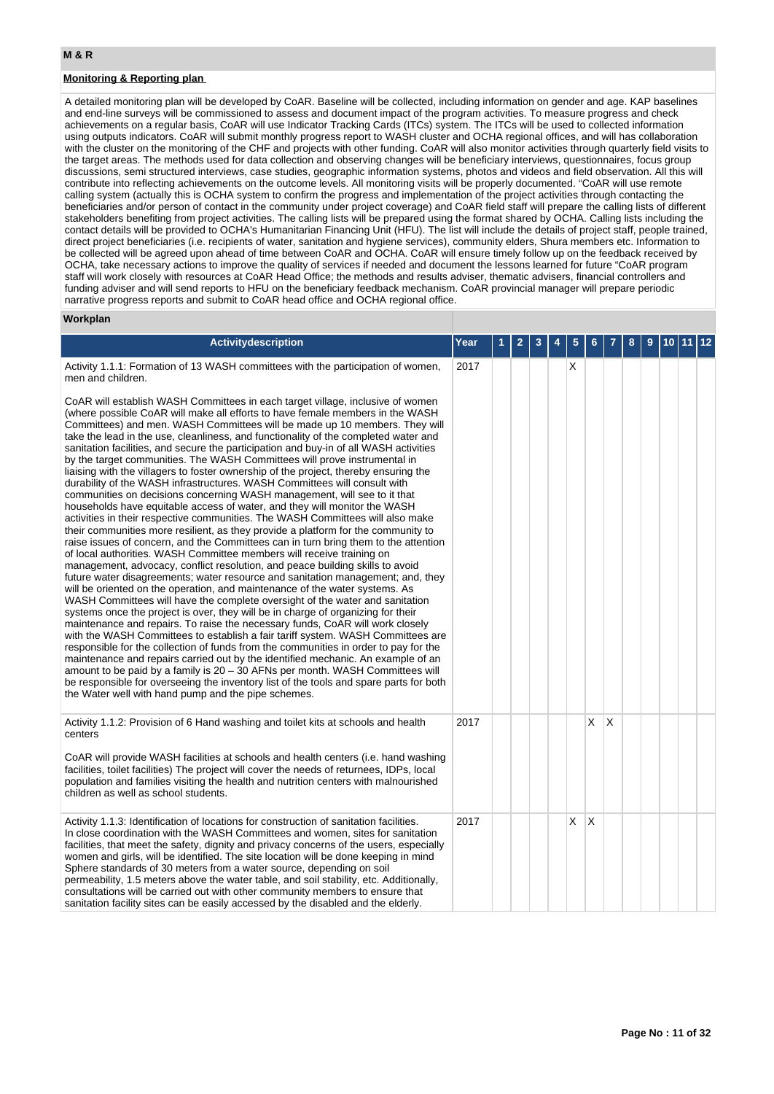# **Monitoring & Reporting plan**

A detailed monitoring plan will be developed by CoAR. Baseline will be collected, including information on gender and age. KAP baselines and end-line surveys will be commissioned to assess and document impact of the program activities. To measure progress and check achievements on a regular basis, CoAR will use Indicator Tracking Cards (ITCs) system. The ITCs will be used to collected information using outputs indicators. CoAR will submit monthly progress report to WASH cluster and OCHA regional offices, and will has collaboration with the cluster on the monitoring of the CHF and projects with other funding. CoAR will also monitor activities through quarterly field visits to the target areas. The methods used for data collection and observing changes will be beneficiary interviews, questionnaires, focus group discussions, semi structured interviews, case studies, geographic information systems, photos and videos and field observation. All this will contribute into reflecting achievements on the outcome levels. All monitoring visits will be properly documented. "CoAR will use remote calling system (actually this is OCHA system to confirm the progress and implementation of the project activities through contacting the beneficiaries and/or person of contact in the community under project coverage) and CoAR field staff will prepare the calling lists of different stakeholders benefiting from project activities. The calling lists will be prepared using the format shared by OCHA. Calling lists including the contact details will be provided to OCHA's Humanitarian Financing Unit (HFU). The list will include the details of project staff, people trained, direct project beneficiaries (i.e. recipients of water, sanitation and hygiene services), community elders, Shura members etc. Information to be collected will be agreed upon ahead of time between CoAR and OCHA. CoAR will ensure timely follow up on the feedback received by OCHA, take necessary actions to improve the quality of services if needed and document the lessons learned for future "CoAR program staff will work closely with resources at CoAR Head Office; the methods and results adviser, thematic advisers, financial controllers and funding adviser and will send reports to HFU on the beneficiary feedback mechanism. CoAR provincial manager will prepare periodic narrative progress reports and submit to CoAR head office and OCHA regional office.

#### **Workplan**

| Activitydescription                                                                                                                                                                                                                                                                                                                                                                                                                                                                                                                                                                                                                                                                                                                                                                                                                                                                                                                                                                                                                                                                                                                                                                                                                                                                                                                                                                                                                                                                                                                                                                                                                                                                                                                                                                                                                                                                                                                                                                                                                                                                                                                                                                      | Year |  |  |   |   |          |  |  |  |
|------------------------------------------------------------------------------------------------------------------------------------------------------------------------------------------------------------------------------------------------------------------------------------------------------------------------------------------------------------------------------------------------------------------------------------------------------------------------------------------------------------------------------------------------------------------------------------------------------------------------------------------------------------------------------------------------------------------------------------------------------------------------------------------------------------------------------------------------------------------------------------------------------------------------------------------------------------------------------------------------------------------------------------------------------------------------------------------------------------------------------------------------------------------------------------------------------------------------------------------------------------------------------------------------------------------------------------------------------------------------------------------------------------------------------------------------------------------------------------------------------------------------------------------------------------------------------------------------------------------------------------------------------------------------------------------------------------------------------------------------------------------------------------------------------------------------------------------------------------------------------------------------------------------------------------------------------------------------------------------------------------------------------------------------------------------------------------------------------------------------------------------------------------------------------------------|------|--|--|---|---|----------|--|--|--|
| Activity 1.1.1: Formation of 13 WASH committees with the participation of women,<br>men and children.                                                                                                                                                                                                                                                                                                                                                                                                                                                                                                                                                                                                                                                                                                                                                                                                                                                                                                                                                                                                                                                                                                                                                                                                                                                                                                                                                                                                                                                                                                                                                                                                                                                                                                                                                                                                                                                                                                                                                                                                                                                                                    | 2017 |  |  | X |   |          |  |  |  |
| CoAR will establish WASH Committees in each target village, inclusive of women<br>(where possible CoAR will make all efforts to have female members in the WASH<br>Committees) and men. WASH Committees will be made up 10 members. They will<br>take the lead in the use, cleanliness, and functionality of the completed water and<br>sanitation facilities, and secure the participation and buy-in of all WASH activities<br>by the target communities. The WASH Committees will prove instrumental in<br>liaising with the villagers to foster ownership of the project, thereby ensuring the<br>durability of the WASH infrastructures. WASH Committees will consult with<br>communities on decisions concerning WASH management, will see to it that<br>households have equitable access of water, and they will monitor the WASH<br>activities in their respective communities. The WASH Committees will also make<br>their communities more resilient, as they provide a platform for the community to<br>raise issues of concern, and the Committees can in turn bring them to the attention<br>of local authorities. WASH Committee members will receive training on<br>management, advocacy, conflict resolution, and peace building skills to avoid<br>future water disagreements; water resource and sanitation management; and, they<br>will be oriented on the operation, and maintenance of the water systems. As<br>WASH Committees will have the complete oversight of the water and sanitation<br>systems once the project is over, they will be in charge of organizing for their<br>maintenance and repairs. To raise the necessary funds, CoAR will work closely<br>with the WASH Committees to establish a fair tariff system. WASH Committees are<br>responsible for the collection of funds from the communities in order to pay for the<br>maintenance and repairs carried out by the identified mechanic. An example of an<br>amount to be paid by a family is 20 - 30 AFNs per month. WASH Committees will<br>be responsible for overseeing the inventory list of the tools and spare parts for both<br>the Water well with hand pump and the pipe schemes. |      |  |  |   |   |          |  |  |  |
| Activity 1.1.2: Provision of 6 Hand washing and toilet kits at schools and health<br>centers                                                                                                                                                                                                                                                                                                                                                                                                                                                                                                                                                                                                                                                                                                                                                                                                                                                                                                                                                                                                                                                                                                                                                                                                                                                                                                                                                                                                                                                                                                                                                                                                                                                                                                                                                                                                                                                                                                                                                                                                                                                                                             | 2017 |  |  |   | X | $\times$ |  |  |  |
| CoAR will provide WASH facilities at schools and health centers (i.e. hand washing<br>facilities, toilet facilities) The project will cover the needs of returnees, IDPs, local<br>population and families visiting the health and nutrition centers with malnourished<br>children as well as school students.                                                                                                                                                                                                                                                                                                                                                                                                                                                                                                                                                                                                                                                                                                                                                                                                                                                                                                                                                                                                                                                                                                                                                                                                                                                                                                                                                                                                                                                                                                                                                                                                                                                                                                                                                                                                                                                                           |      |  |  |   |   |          |  |  |  |
| Activity 1.1.3: Identification of locations for construction of sanitation facilities.<br>In close coordination with the WASH Committees and women, sites for sanitation<br>facilities, that meet the safety, dignity and privacy concerns of the users, especially<br>women and girls, will be identified. The site location will be done keeping in mind<br>Sphere standards of 30 meters from a water source, depending on soil<br>permeability, 1.5 meters above the water table, and soil stability, etc. Additionally,<br>consultations will be carried out with other community members to ensure that<br>sanitation facility sites can be easily accessed by the disabled and the elderly.                                                                                                                                                                                                                                                                                                                                                                                                                                                                                                                                                                                                                                                                                                                                                                                                                                                                                                                                                                                                                                                                                                                                                                                                                                                                                                                                                                                                                                                                                       | 2017 |  |  | X | X |          |  |  |  |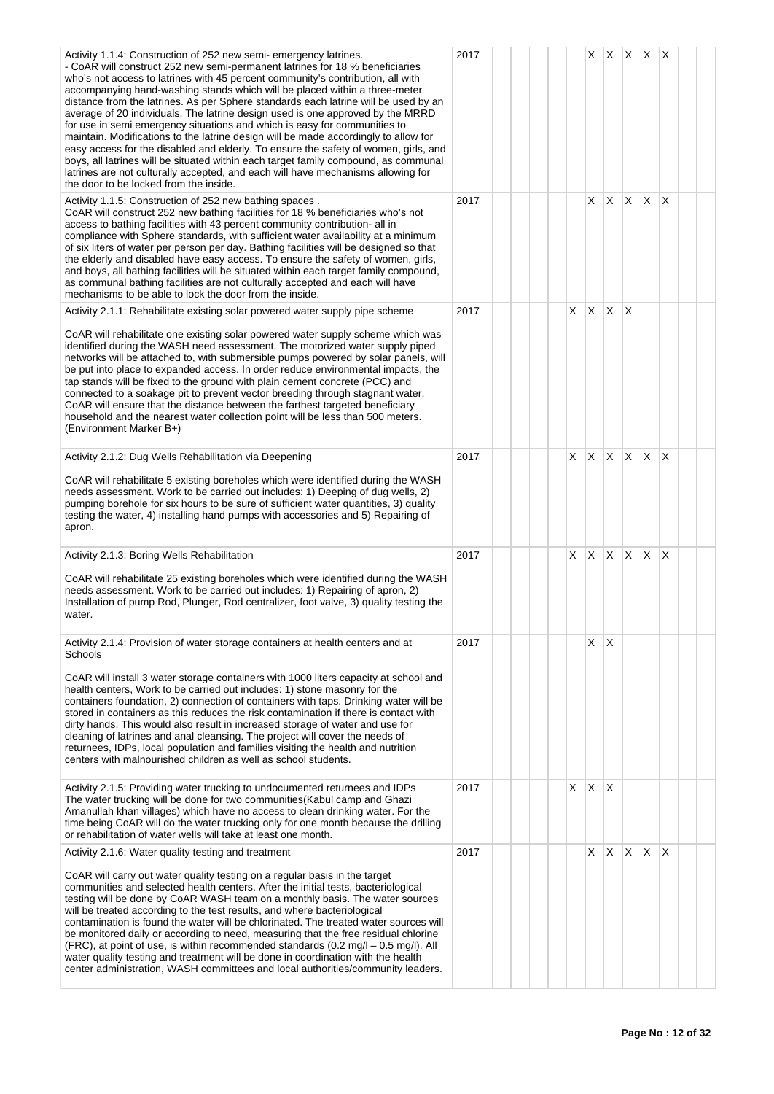| Activity 1.1.4: Construction of 252 new semi-emergency latrines.<br>- CoAR will construct 252 new semi-permanent latrines for 18 % beneficiaries<br>who's not access to latrines with 45 percent community's contribution, all with<br>accompanying hand-washing stands which will be placed within a three-meter<br>distance from the latrines. As per Sphere standards each latrine will be used by an<br>average of 20 individuals. The latrine design used is one approved by the MRRD<br>for use in semi emergency situations and which is easy for communities to<br>maintain. Modifications to the latrine design will be made accordingly to allow for<br>easy access for the disabled and elderly. To ensure the safety of women, girls, and<br>boys, all latrines will be situated within each target family compound, as communal<br>latrines are not culturally accepted, and each will have mechanisms allowing for<br>the door to be locked from the inside. | 2017 |   |              | XXXX         |    |              | $\mathsf{I} \mathsf{X}$ |  |
|----------------------------------------------------------------------------------------------------------------------------------------------------------------------------------------------------------------------------------------------------------------------------------------------------------------------------------------------------------------------------------------------------------------------------------------------------------------------------------------------------------------------------------------------------------------------------------------------------------------------------------------------------------------------------------------------------------------------------------------------------------------------------------------------------------------------------------------------------------------------------------------------------------------------------------------------------------------------------|------|---|--------------|--------------|----|--------------|-------------------------|--|
| Activity 1.1.5: Construction of 252 new bathing spaces.<br>CoAR will construct 252 new bathing facilities for 18 % beneficiaries who's not<br>access to bathing facilities with 43 percent community contribution- all in<br>compliance with Sphere standards, with sufficient water availability at a minimum<br>of six liters of water per person per day. Bathing facilities will be designed so that<br>the elderly and disabled have easy access. To ensure the safety of women, girls,<br>and boys, all bathing facilities will be situated within each target family compound,<br>as communal bathing facilities are not culturally accepted and each will have<br>mechanisms to be able to lock the door from the inside.                                                                                                                                                                                                                                          | 2017 |   |              | $X \times$   | X. | $\mathsf{X}$ | $\mathsf{I} \mathsf{X}$ |  |
| Activity 2.1.1: Rehabilitate existing solar powered water supply pipe scheme<br>CoAR will rehabilitate one existing solar powered water supply scheme which was<br>identified during the WASH need assessment. The motorized water supply piped<br>networks will be attached to, with submersible pumps powered by solar panels, will<br>be put into place to expanded access. In order reduce environmental impacts, the<br>tap stands will be fixed to the ground with plain cement concrete (PCC) and<br>connected to a soakage pit to prevent vector breeding through stagnant water.<br>CoAR will ensure that the distance between the farthest targeted beneficiary<br>household and the nearest water collection point will be less than 500 meters.<br>(Environment Marker B+)                                                                                                                                                                                     | 2017 | X | X            | X.           | X  |              |                         |  |
| Activity 2.1.2: Dug Wells Rehabilitation via Deepening<br>CoAR will rehabilitate 5 existing boreholes which were identified during the WASH<br>needs assessment. Work to be carried out includes: 1) Deeping of dug wells, 2)<br>pumping borehole for six hours to be sure of sufficient water quantities, 3) quality<br>testing the water, 4) installing hand pumps with accessories and 5) Repairing of<br>apron.                                                                                                                                                                                                                                                                                                                                                                                                                                                                                                                                                        | 2017 | X | X            | X.           | X  | $\mathsf{X}$ | X                       |  |
| Activity 2.1.3: Boring Wells Rehabilitation<br>CoAR will rehabilitate 25 existing boreholes which were identified during the WASH<br>needs assessment. Work to be carried out includes: 1) Repairing of apron, 2)<br>Installation of pump Rod, Plunger, Rod centralizer, foot valve, 3) quality testing the<br>water.                                                                                                                                                                                                                                                                                                                                                                                                                                                                                                                                                                                                                                                      | 2017 | X | $X \times X$ |              |    | $\mathsf{X}$ | $\mathsf{I} \mathsf{X}$ |  |
| Activity 2.1.4: Provision of water storage containers at health centers and at<br>Schools<br>CoAR will install 3 water storage containers with 1000 liters capacity at school and<br>health centers, Work to be carried out includes: 1) stone masonry for the<br>containers foundation, 2) connection of containers with taps. Drinking water will be<br>stored in containers as this reduces the risk contamination if there is contact with<br>dirty hands. This would also result in increased storage of water and use for<br>cleaning of latrines and anal cleansing. The project will cover the needs of<br>returnees, IDPs, local population and families visiting the health and nutrition<br>centers with malnourished children as well as school students.                                                                                                                                                                                                      | 2017 |   | X            | ΙX           |    |              |                         |  |
| Activity 2.1.5: Providing water trucking to undocumented returnees and IDPs<br>The water trucking will be done for two communities(Kabul camp and Ghazi<br>Amanullah khan villages) which have no access to clean drinking water. For the<br>time being CoAR will do the water trucking only for one month because the drilling<br>or rehabilitation of water wells will take at least one month.                                                                                                                                                                                                                                                                                                                                                                                                                                                                                                                                                                          | 2017 | X | X            | $\mathsf{X}$ |    |              |                         |  |
| Activity 2.1.6: Water quality testing and treatment<br>CoAR will carry out water quality testing on a regular basis in the target<br>communities and selected health centers. After the initial tests, bacteriological<br>testing will be done by CoAR WASH team on a monthly basis. The water sources<br>will be treated according to the test results, and where bacteriological<br>contamination is found the water will be chlorinated. The treated water sources will<br>be monitored daily or according to need, measuring that the free residual chlorine<br>(FRC), at point of use, is within recommended standards (0.2 mg/l - 0.5 mg/l). All<br>water quality testing and treatment will be done in coordination with the health<br>center administration, WASH committees and local authorities/community leaders.                                                                                                                                              | 2017 |   | X            | $\mathsf{X}$ | X. | $\mathsf{X}$ | $\mathsf{I} \mathsf{X}$ |  |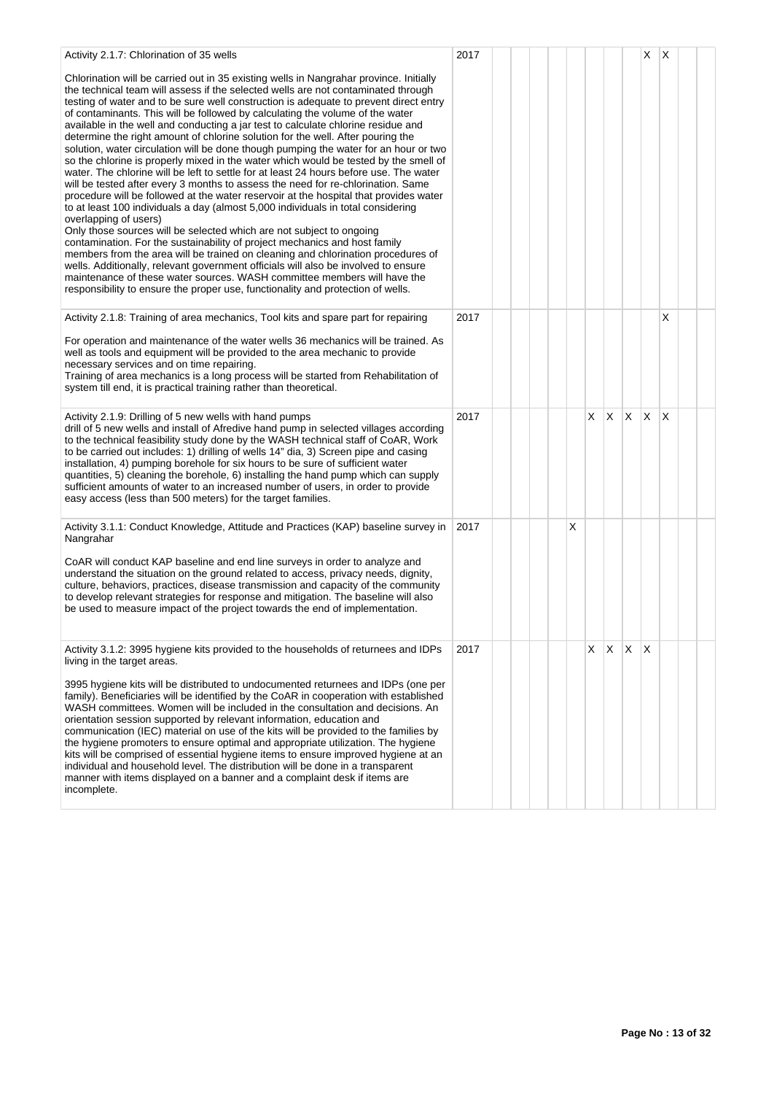| Activity 2.1.7: Chlorination of 35 wells                                                                                                                                                                                                                                                                                                                                                                                                                                                                                                                                                                                                                                                                                                                                                                                                                                                                                                                                                                                                                                                                                                                                                                                                                                                                                                                                                                                                                                                                                                                                                         | 2017 |  |  |   |    |             |    | X        | X                       |  |
|--------------------------------------------------------------------------------------------------------------------------------------------------------------------------------------------------------------------------------------------------------------------------------------------------------------------------------------------------------------------------------------------------------------------------------------------------------------------------------------------------------------------------------------------------------------------------------------------------------------------------------------------------------------------------------------------------------------------------------------------------------------------------------------------------------------------------------------------------------------------------------------------------------------------------------------------------------------------------------------------------------------------------------------------------------------------------------------------------------------------------------------------------------------------------------------------------------------------------------------------------------------------------------------------------------------------------------------------------------------------------------------------------------------------------------------------------------------------------------------------------------------------------------------------------------------------------------------------------|------|--|--|---|----|-------------|----|----------|-------------------------|--|
| Chlorination will be carried out in 35 existing wells in Nangrahar province. Initially<br>the technical team will assess if the selected wells are not contaminated through<br>testing of water and to be sure well construction is adequate to prevent direct entry<br>of contaminants. This will be followed by calculating the volume of the water<br>available in the well and conducting a jar test to calculate chlorine residue and<br>determine the right amount of chlorine solution for the well. After pouring the<br>solution, water circulation will be done though pumping the water for an hour or two<br>so the chlorine is properly mixed in the water which would be tested by the smell of<br>water. The chlorine will be left to settle for at least 24 hours before use. The water<br>will be tested after every 3 months to assess the need for re-chlorination. Same<br>procedure will be followed at the water reservoir at the hospital that provides water<br>to at least 100 individuals a day (almost 5,000 individuals in total considering<br>overlapping of users)<br>Only those sources will be selected which are not subject to ongoing<br>contamination. For the sustainability of project mechanics and host family<br>members from the area will be trained on cleaning and chlorination procedures of<br>wells. Additionally, relevant government officials will also be involved to ensure<br>maintenance of these water sources. WASH committee members will have the<br>responsibility to ensure the proper use, functionality and protection of wells. |      |  |  |   |    |             |    |          |                         |  |
| Activity 2.1.8: Training of area mechanics, Tool kits and spare part for repairing                                                                                                                                                                                                                                                                                                                                                                                                                                                                                                                                                                                                                                                                                                                                                                                                                                                                                                                                                                                                                                                                                                                                                                                                                                                                                                                                                                                                                                                                                                               | 2017 |  |  |   |    |             |    |          | X                       |  |
| For operation and maintenance of the water wells 36 mechanics will be trained. As<br>well as tools and equipment will be provided to the area mechanic to provide<br>necessary services and on time repairing.<br>Training of area mechanics is a long process will be started from Rehabilitation of<br>system till end, it is practical training rather than theoretical.                                                                                                                                                                                                                                                                                                                                                                                                                                                                                                                                                                                                                                                                                                                                                                                                                                                                                                                                                                                                                                                                                                                                                                                                                      |      |  |  |   |    |             |    |          |                         |  |
| Activity 2.1.9: Drilling of 5 new wells with hand pumps<br>drill of 5 new wells and install of Afredive hand pump in selected villages according<br>to the technical feasibility study done by the WASH technical staff of CoAR, Work<br>to be carried out includes: 1) drilling of wells 14" dia, 3) Screen pipe and casing<br>installation, 4) pumping borehole for six hours to be sure of sufficient water<br>quantities, 5) cleaning the borehole, 6) installing the hand pump which can supply<br>sufficient amounts of water to an increased number of users, in order to provide<br>easy access (less than 500 meters) for the target families.                                                                                                                                                                                                                                                                                                                                                                                                                                                                                                                                                                                                                                                                                                                                                                                                                                                                                                                                          | 2017 |  |  |   | X. | $X$ $X$ $X$ |    |          | $\overline{\mathsf{x}}$ |  |
| Activity 3.1.1: Conduct Knowledge, Attitude and Practices (KAP) baseline survey in<br>Nangrahar                                                                                                                                                                                                                                                                                                                                                                                                                                                                                                                                                                                                                                                                                                                                                                                                                                                                                                                                                                                                                                                                                                                                                                                                                                                                                                                                                                                                                                                                                                  | 2017 |  |  | X |    |             |    |          |                         |  |
| CoAR will conduct KAP baseline and end line surveys in order to analyze and<br>understand the situation on the ground related to access, privacy needs, dignity,<br>culture, behaviors, practices, disease transmission and capacity of the community<br>to develop relevant strategies for response and mitigation. The baseline will also<br>be used to measure impact of the project towards the end of implementation.                                                                                                                                                                                                                                                                                                                                                                                                                                                                                                                                                                                                                                                                                                                                                                                                                                                                                                                                                                                                                                                                                                                                                                       |      |  |  |   |    |             |    |          |                         |  |
| Activity 3.1.2: 3995 hygiene kits provided to the households of returnees and IDPs<br>living in the target areas.                                                                                                                                                                                                                                                                                                                                                                                                                                                                                                                                                                                                                                                                                                                                                                                                                                                                                                                                                                                                                                                                                                                                                                                                                                                                                                                                                                                                                                                                                | 2017 |  |  |   | X. | X.          | X. | $\times$ |                         |  |
| 3995 hygiene kits will be distributed to undocumented returnees and IDPs (one per<br>family). Beneficiaries will be identified by the CoAR in cooperation with established<br>WASH committees. Women will be included in the consultation and decisions. An<br>orientation session supported by relevant information, education and<br>communication (IEC) material on use of the kits will be provided to the families by<br>the hygiene promoters to ensure optimal and appropriate utilization. The hygiene<br>kits will be comprised of essential hygiene items to ensure improved hygiene at an<br>individual and household level. The distribution will be done in a transparent<br>manner with items displayed on a banner and a complaint desk if items are<br>incomplete.                                                                                                                                                                                                                                                                                                                                                                                                                                                                                                                                                                                                                                                                                                                                                                                                               |      |  |  |   |    |             |    |          |                         |  |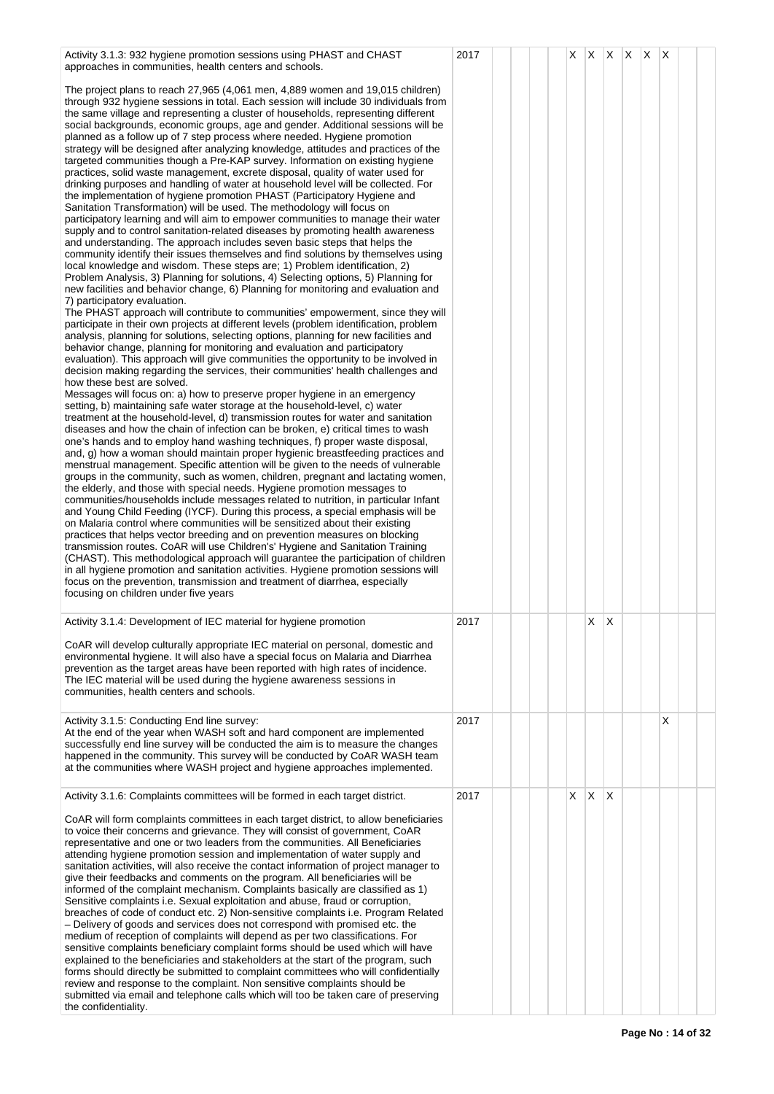| Activity 3.1.3: 932 hygiene promotion sessions using PHAST and CHAST<br>approaches in communities, health centers and schools.                                                                                                                                                                                                                                                                                                                                                                                                                                                                                                                                                                                                                                                                                                                                                                                                                                                                                                                                                                                                                                                                                                                                                                                                                                                                                                                                                                                                                                                                                                                                                                                                                                                                                                                                                                                                                                                                                                                                                                                                                                                                                                                                                                                                                                                                                                                                                                                                                                                                                                                                                                                                                                                                                                                                                                                                                                                                                                                                                                                                                                                                                                                                                                                                                                                                                                                                                                                                                                                                                          | 2017 |  | X. | $X$ $X$ $X$ $X$ |                         |  | $\mathsf{X}$ |  |
|-------------------------------------------------------------------------------------------------------------------------------------------------------------------------------------------------------------------------------------------------------------------------------------------------------------------------------------------------------------------------------------------------------------------------------------------------------------------------------------------------------------------------------------------------------------------------------------------------------------------------------------------------------------------------------------------------------------------------------------------------------------------------------------------------------------------------------------------------------------------------------------------------------------------------------------------------------------------------------------------------------------------------------------------------------------------------------------------------------------------------------------------------------------------------------------------------------------------------------------------------------------------------------------------------------------------------------------------------------------------------------------------------------------------------------------------------------------------------------------------------------------------------------------------------------------------------------------------------------------------------------------------------------------------------------------------------------------------------------------------------------------------------------------------------------------------------------------------------------------------------------------------------------------------------------------------------------------------------------------------------------------------------------------------------------------------------------------------------------------------------------------------------------------------------------------------------------------------------------------------------------------------------------------------------------------------------------------------------------------------------------------------------------------------------------------------------------------------------------------------------------------------------------------------------------------------------------------------------------------------------------------------------------------------------------------------------------------------------------------------------------------------------------------------------------------------------------------------------------------------------------------------------------------------------------------------------------------------------------------------------------------------------------------------------------------------------------------------------------------------------------------------------------------------------------------------------------------------------------------------------------------------------------------------------------------------------------------------------------------------------------------------------------------------------------------------------------------------------------------------------------------------------------------------------------------------------------------------------------------------------|------|--|----|-----------------|-------------------------|--|--------------|--|
| The project plans to reach 27,965 (4,061 men, 4,889 women and 19,015 children)<br>through 932 hygiene sessions in total. Each session will include 30 individuals from<br>the same village and representing a cluster of households, representing different<br>social backgrounds, economic groups, age and gender. Additional sessions will be<br>planned as a follow up of 7 step process where needed. Hygiene promotion<br>strategy will be designed after analyzing knowledge, attitudes and practices of the<br>targeted communities though a Pre-KAP survey. Information on existing hygiene<br>practices, solid waste management, excrete disposal, quality of water used for<br>drinking purposes and handling of water at household level will be collected. For<br>the implementation of hygiene promotion PHAST (Participatory Hygiene and<br>Sanitation Transformation) will be used. The methodology will focus on<br>participatory learning and will aim to empower communities to manage their water<br>supply and to control sanitation-related diseases by promoting health awareness<br>and understanding. The approach includes seven basic steps that helps the<br>community identify their issues themselves and find solutions by themselves using<br>local knowledge and wisdom. These steps are; 1) Problem identification, 2)<br>Problem Analysis, 3) Planning for solutions, 4) Selecting options, 5) Planning for<br>new facilities and behavior change, 6) Planning for monitoring and evaluation and<br>7) participatory evaluation.<br>The PHAST approach will contribute to communities' empowerment, since they will<br>participate in their own projects at different levels (problem identification, problem<br>analysis, planning for solutions, selecting options, planning for new facilities and<br>behavior change, planning for monitoring and evaluation and participatory<br>evaluation). This approach will give communities the opportunity to be involved in<br>decision making regarding the services, their communities' health challenges and<br>how these best are solved.<br>Messages will focus on: a) how to preserve proper hygiene in an emergency<br>setting, b) maintaining safe water storage at the household-level, c) water<br>treatment at the household-level, d) transmission routes for water and sanitation<br>diseases and how the chain of infection can be broken, e) critical times to wash<br>one's hands and to employ hand washing techniques, f) proper waste disposal,<br>and, g) how a woman should maintain proper hygienic breastfeeding practices and<br>menstrual management. Specific attention will be given to the needs of vulnerable<br>groups in the community, such as women, children, pregnant and lactating women,<br>the elderly, and those with special needs. Hygiene promotion messages to<br>communities/households include messages related to nutrition, in particular Infant<br>and Young Child Feeding (IYCF). During this process, a special emphasis will be<br>on Malaria control where communities will be sensitized about their existing<br>practices that helps vector breeding and on prevention measures on blocking<br>transmission routes. CoAR will use Children's' Hygiene and Sanitation Training<br>(CHAST). This methodological approach will guarantee the participation of children<br>in all hygiene promotion and sanitation activities. Hygiene promotion sessions will<br>focus on the prevention, transmission and treatment of diarrhea, especially<br>focusing on children under five years |      |  |    |                 |                         |  |              |  |
| Activity 3.1.4: Development of IEC material for hygiene promotion<br>CoAR will develop culturally appropriate IEC material on personal, domestic and<br>environmental hygiene. It will also have a special focus on Malaria and Diarrhea<br>prevention as the target areas have been reported with high rates of incidence.<br>The IEC material will be used during the hygiene awareness sessions in<br>communities, health centers and schools.                                                                                                                                                                                                                                                                                                                                                                                                                                                                                                                                                                                                                                                                                                                                                                                                                                                                                                                                                                                                                                                                                                                                                                                                                                                                                                                                                                                                                                                                                                                                                                                                                                                                                                                                                                                                                                                                                                                                                                                                                                                                                                                                                                                                                                                                                                                                                                                                                                                                                                                                                                                                                                                                                                                                                                                                                                                                                                                                                                                                                                                                                                                                                                       | 2017 |  |    | X               | $\mathsf{X}$            |  |              |  |
|                                                                                                                                                                                                                                                                                                                                                                                                                                                                                                                                                                                                                                                                                                                                                                                                                                                                                                                                                                                                                                                                                                                                                                                                                                                                                                                                                                                                                                                                                                                                                                                                                                                                                                                                                                                                                                                                                                                                                                                                                                                                                                                                                                                                                                                                                                                                                                                                                                                                                                                                                                                                                                                                                                                                                                                                                                                                                                                                                                                                                                                                                                                                                                                                                                                                                                                                                                                                                                                                                                                                                                                                                         |      |  |    |                 |                         |  |              |  |
| Activity 3.1.5: Conducting End line survey:<br>At the end of the year when WASH soft and hard component are implemented<br>successfully end line survey will be conducted the aim is to measure the changes<br>happened in the community. This survey will be conducted by CoAR WASH team<br>at the communities where WASH project and hygiene approaches implemented.                                                                                                                                                                                                                                                                                                                                                                                                                                                                                                                                                                                                                                                                                                                                                                                                                                                                                                                                                                                                                                                                                                                                                                                                                                                                                                                                                                                                                                                                                                                                                                                                                                                                                                                                                                                                                                                                                                                                                                                                                                                                                                                                                                                                                                                                                                                                                                                                                                                                                                                                                                                                                                                                                                                                                                                                                                                                                                                                                                                                                                                                                                                                                                                                                                                  | 2017 |  |    |                 |                         |  | X            |  |
| Activity 3.1.6: Complaints committees will be formed in each target district.                                                                                                                                                                                                                                                                                                                                                                                                                                                                                                                                                                                                                                                                                                                                                                                                                                                                                                                                                                                                                                                                                                                                                                                                                                                                                                                                                                                                                                                                                                                                                                                                                                                                                                                                                                                                                                                                                                                                                                                                                                                                                                                                                                                                                                                                                                                                                                                                                                                                                                                                                                                                                                                                                                                                                                                                                                                                                                                                                                                                                                                                                                                                                                                                                                                                                                                                                                                                                                                                                                                                           | 2017 |  | X  | $\mathsf{X}$    | $\mathsf{I} \mathsf{X}$ |  |              |  |
| CoAR will form complaints committees in each target district, to allow beneficiaries<br>to voice their concerns and grievance. They will consist of government, CoAR<br>representative and one or two leaders from the communities. All Beneficiaries<br>attending hygiene promotion session and implementation of water supply and<br>sanitation activities, will also receive the contact information of project manager to<br>give their feedbacks and comments on the program. All beneficiaries will be<br>informed of the complaint mechanism. Complaints basically are classified as 1)<br>Sensitive complaints i.e. Sexual exploitation and abuse, fraud or corruption,<br>breaches of code of conduct etc. 2) Non-sensitive complaints i.e. Program Related<br>- Delivery of goods and services does not correspond with promised etc. the<br>medium of reception of complaints will depend as per two classifications. For<br>sensitive complaints beneficiary complaint forms should be used which will have<br>explained to the beneficiaries and stakeholders at the start of the program, such<br>forms should directly be submitted to complaint committees who will confidentially<br>review and response to the complaint. Non sensitive complaints should be<br>submitted via email and telephone calls which will too be taken care of preserving<br>the confidentiality.                                                                                                                                                                                                                                                                                                                                                                                                                                                                                                                                                                                                                                                                                                                                                                                                                                                                                                                                                                                                                                                                                                                                                                                                                                                                                                                                                                                                                                                                                                                                                                                                                                                                                                                                                                                                                                                                                                                                                                                                                                                                                                                                                                                                                            |      |  |    |                 |                         |  |              |  |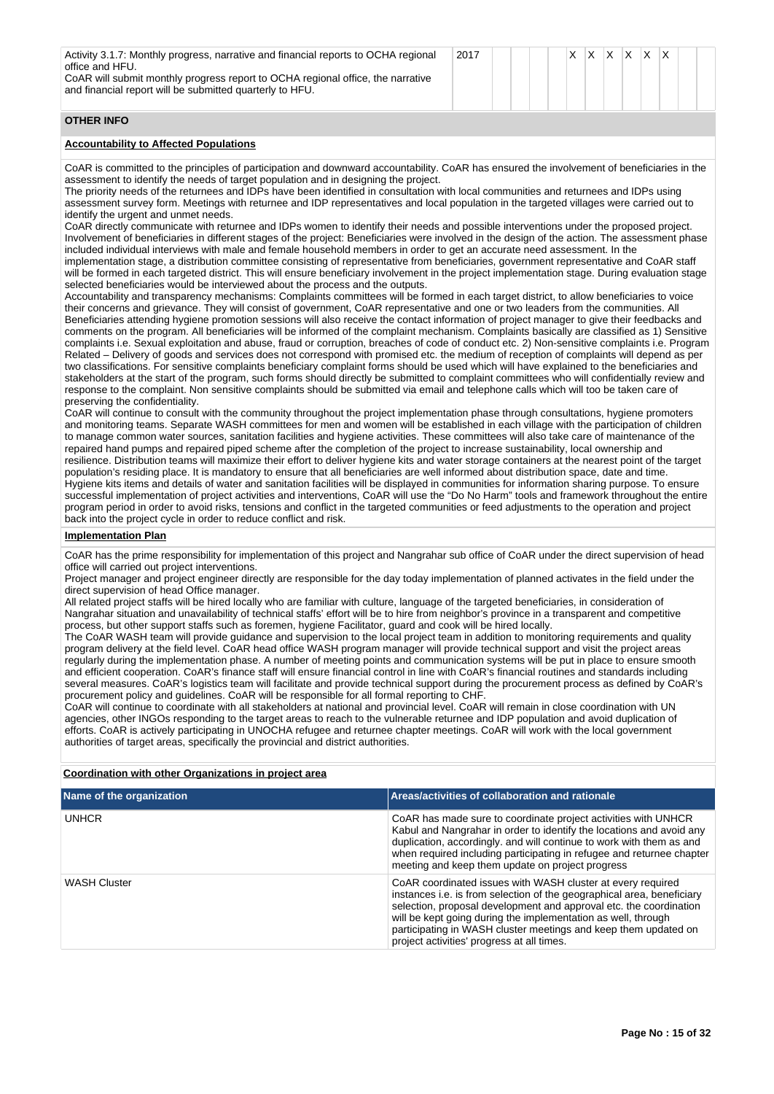| Activity 3.1.7: Monthly progress, narrative and financial reports to OCHA regional<br>office and HFU.<br>CoAR will submit monthly progress report to OCHA regional office, the narrative<br>and financial report will be submitted quarterly to HFU.                                                                                                                                                                                                                                                                                                                                                                                                                                                                                                                                                                                                                                                                                                                                                                                                                                                                                                                                                                                                                                                                                                                                                                                                                                                                                                                                                                                                                                                                                                                                                                                                                                                                                                                                                                                                                                                                                                                                                                                                                                                                                                                                                                                                                                                                                                                                                                                                                                                                                                                                                                                                                                                                                                                                                                                                                                                                                                                                                                                                                                                                                                                                                                                                                                                                                                                                                                                                                                                                                                                                                                                                                                                                                                                                                                                                                                                                       | 2017 |  | X. | X. | ΙX. | $x \times$ | $\mathsf{I} \mathsf{X}$ |  |
|----------------------------------------------------------------------------------------------------------------------------------------------------------------------------------------------------------------------------------------------------------------------------------------------------------------------------------------------------------------------------------------------------------------------------------------------------------------------------------------------------------------------------------------------------------------------------------------------------------------------------------------------------------------------------------------------------------------------------------------------------------------------------------------------------------------------------------------------------------------------------------------------------------------------------------------------------------------------------------------------------------------------------------------------------------------------------------------------------------------------------------------------------------------------------------------------------------------------------------------------------------------------------------------------------------------------------------------------------------------------------------------------------------------------------------------------------------------------------------------------------------------------------------------------------------------------------------------------------------------------------------------------------------------------------------------------------------------------------------------------------------------------------------------------------------------------------------------------------------------------------------------------------------------------------------------------------------------------------------------------------------------------------------------------------------------------------------------------------------------------------------------------------------------------------------------------------------------------------------------------------------------------------------------------------------------------------------------------------------------------------------------------------------------------------------------------------------------------------------------------------------------------------------------------------------------------------------------------------------------------------------------------------------------------------------------------------------------------------------------------------------------------------------------------------------------------------------------------------------------------------------------------------------------------------------------------------------------------------------------------------------------------------------------------------------------------------------------------------------------------------------------------------------------------------------------------------------------------------------------------------------------------------------------------------------------------------------------------------------------------------------------------------------------------------------------------------------------------------------------------------------------------------------------------------------------------------------------------------------------------------------------------------------------------------------------------------------------------------------------------------------------------------------------------------------------------------------------------------------------------------------------------------------------------------------------------------------------------------------------------------------------------------------------------------------------------------------------------------------------------------|------|--|----|----|-----|------------|-------------------------|--|
| <b>OTHER INFO</b>                                                                                                                                                                                                                                                                                                                                                                                                                                                                                                                                                                                                                                                                                                                                                                                                                                                                                                                                                                                                                                                                                                                                                                                                                                                                                                                                                                                                                                                                                                                                                                                                                                                                                                                                                                                                                                                                                                                                                                                                                                                                                                                                                                                                                                                                                                                                                                                                                                                                                                                                                                                                                                                                                                                                                                                                                                                                                                                                                                                                                                                                                                                                                                                                                                                                                                                                                                                                                                                                                                                                                                                                                                                                                                                                                                                                                                                                                                                                                                                                                                                                                                          |      |  |    |    |     |            |                         |  |
| <b>Accountability to Affected Populations</b>                                                                                                                                                                                                                                                                                                                                                                                                                                                                                                                                                                                                                                                                                                                                                                                                                                                                                                                                                                                                                                                                                                                                                                                                                                                                                                                                                                                                                                                                                                                                                                                                                                                                                                                                                                                                                                                                                                                                                                                                                                                                                                                                                                                                                                                                                                                                                                                                                                                                                                                                                                                                                                                                                                                                                                                                                                                                                                                                                                                                                                                                                                                                                                                                                                                                                                                                                                                                                                                                                                                                                                                                                                                                                                                                                                                                                                                                                                                                                                                                                                                                              |      |  |    |    |     |            |                         |  |
| CoAR is committed to the principles of participation and downward accountability. CoAR has ensured the involvement of beneficiaries in the<br>assessment to identify the needs of target population and in designing the project.<br>The priority needs of the returnees and IDPs have been identified in consultation with local communities and returnees and IDPs using<br>assessment survey form. Meetings with returnee and IDP representatives and local population in the targeted villages were carried out to<br>identify the urgent and unmet needs.<br>CoAR directly communicate with returnee and IDPs women to identify their needs and possible interventions under the proposed project.<br>Involvement of beneficiaries in different stages of the project: Beneficiaries were involved in the design of the action. The assessment phase<br>included individual interviews with male and female household members in order to get an accurate need assessment. In the<br>implementation stage, a distribution committee consisting of representative from beneficiaries, government representative and CoAR staff<br>will be formed in each targeted district. This will ensure beneficiary involvement in the project implementation stage. During evaluation stage<br>selected beneficiaries would be interviewed about the process and the outputs.<br>Accountability and transparency mechanisms: Complaints committees will be formed in each target district, to allow beneficiaries to voice<br>their concerns and grievance. They will consist of government, CoAR representative and one or two leaders from the communities. All<br>Beneficiaries attending hygiene promotion sessions will also receive the contact information of project manager to give their feedbacks and<br>comments on the program. All beneficiaries will be informed of the complaint mechanism. Complaints basically are classified as 1) Sensitive<br>complaints i.e. Sexual exploitation and abuse, fraud or corruption, breaches of code of conduct etc. 2) Non-sensitive complaints i.e. Program<br>Related – Delivery of goods and services does not correspond with promised etc. the medium of reception of complaints will depend as per<br>two classifications. For sensitive complaints beneficiary complaint forms should be used which will have explained to the beneficiaries and<br>stakeholders at the start of the program, such forms should directly be submitted to complaint committees who will confidentially review and<br>response to the complaint. Non sensitive complaints should be submitted via email and telephone calls which will too be taken care of<br>preserving the confidentiality.<br>CoAR will continue to consult with the community throughout the project implementation phase through consultations, hygiene promoters<br>and monitoring teams. Separate WASH committees for men and women will be established in each village with the participation of children<br>to manage common water sources, sanitation facilities and hygiene activities. These committees will also take care of maintenance of the<br>repaired hand pumps and repaired piped scheme after the completion of the project to increase sustainability, local ownership and<br>resilience. Distribution teams will maximize their effort to deliver hygiene kits and water storage containers at the nearest point of the target<br>population's residing place. It is mandatory to ensure that all beneficiaries are well informed about distribution space, date and time.<br>Hygiene kits items and details of water and sanitation facilities will be displayed in communities for information sharing purpose. To ensure<br>successful implementation of project activities and interventions, CoAR will use the "Do No Harm" tools and framework throughout the entire<br>program period in order to avoid risks, tensions and conflict in the targeted communities or feed adjustments to the operation and project<br>back into the project cycle in order to reduce conflict and risk. |      |  |    |    |     |            |                         |  |
| <b>Implementation Plan</b>                                                                                                                                                                                                                                                                                                                                                                                                                                                                                                                                                                                                                                                                                                                                                                                                                                                                                                                                                                                                                                                                                                                                                                                                                                                                                                                                                                                                                                                                                                                                                                                                                                                                                                                                                                                                                                                                                                                                                                                                                                                                                                                                                                                                                                                                                                                                                                                                                                                                                                                                                                                                                                                                                                                                                                                                                                                                                                                                                                                                                                                                                                                                                                                                                                                                                                                                                                                                                                                                                                                                                                                                                                                                                                                                                                                                                                                                                                                                                                                                                                                                                                 |      |  |    |    |     |            |                         |  |
| CoAR has the prime responsibility for implementation of this project and Nangrahar sub office of CoAR under the direct supervision of head<br>office will carried out project interventions.<br>Project manager and project engineer directly are responsible for the day today implementation of planned activates in the field under the<br>direct supervision of head Office manager.<br>All related project staffs will be hired locally who are familiar with culture, language of the targeted beneficiaries, in consideration of                                                                                                                                                                                                                                                                                                                                                                                                                                                                                                                                                                                                                                                                                                                                                                                                                                                                                                                                                                                                                                                                                                                                                                                                                                                                                                                                                                                                                                                                                                                                                                                                                                                                                                                                                                                                                                                                                                                                                                                                                                                                                                                                                                                                                                                                                                                                                                                                                                                                                                                                                                                                                                                                                                                                                                                                                                                                                                                                                                                                                                                                                                                                                                                                                                                                                                                                                                                                                                                                                                                                                                                    |      |  |    |    |     |            |                         |  |

Nangrahar situation and unavailability of technical staffs' effort will be to hire from neighbor's province in a transparent and competitive process, but other support staffs such as foremen, hygiene Facilitator, guard and cook will be hired locally.

The CoAR WASH team will provide guidance and supervision to the local project team in addition to monitoring requirements and quality program delivery at the field level. CoAR head office WASH program manager will provide technical support and visit the project areas regularly during the implementation phase. A number of meeting points and communication systems will be put in place to ensure smooth and efficient cooperation. CoAR's finance staff will ensure financial control in line with CoAR's financial routines and standards including several measures. CoAR's logistics team will facilitate and provide technical support during the procurement process as defined by CoAR's procurement policy and guidelines. CoAR will be responsible for all formal reporting to CHF.

CoAR will continue to coordinate with all stakeholders at national and provincial level. CoAR will remain in close coordination with UN agencies, other INGOs responding to the target areas to reach to the vulnerable returnee and IDP population and avoid duplication of efforts. CoAR is actively participating in UNOCHA refugee and returnee chapter meetings. CoAR will work with the local government authorities of target areas, specifically the provincial and district authorities.

# **Coordination with other Organizations in project area Name of the organization Areas/activities of collaboration and rationale** UNHCR CoAR has made sure to coordinate project activities with UNHCR Kabul and Nangrahar in order to identify the locations and avoid any duplication, accordingly. and will continue to work with them as and when required including participating in refugee and returnee chapter meeting and keep them update on project progress WASH Cluster Coare Coardinated issues with WASH cluster at every required instances i.e. is from selection of the geographical area, beneficiary selection, proposal development and approval etc. the coordination will be kept going during the implementation as well, through participating in WASH cluster meetings and keep them updated on project activities' progress at all times.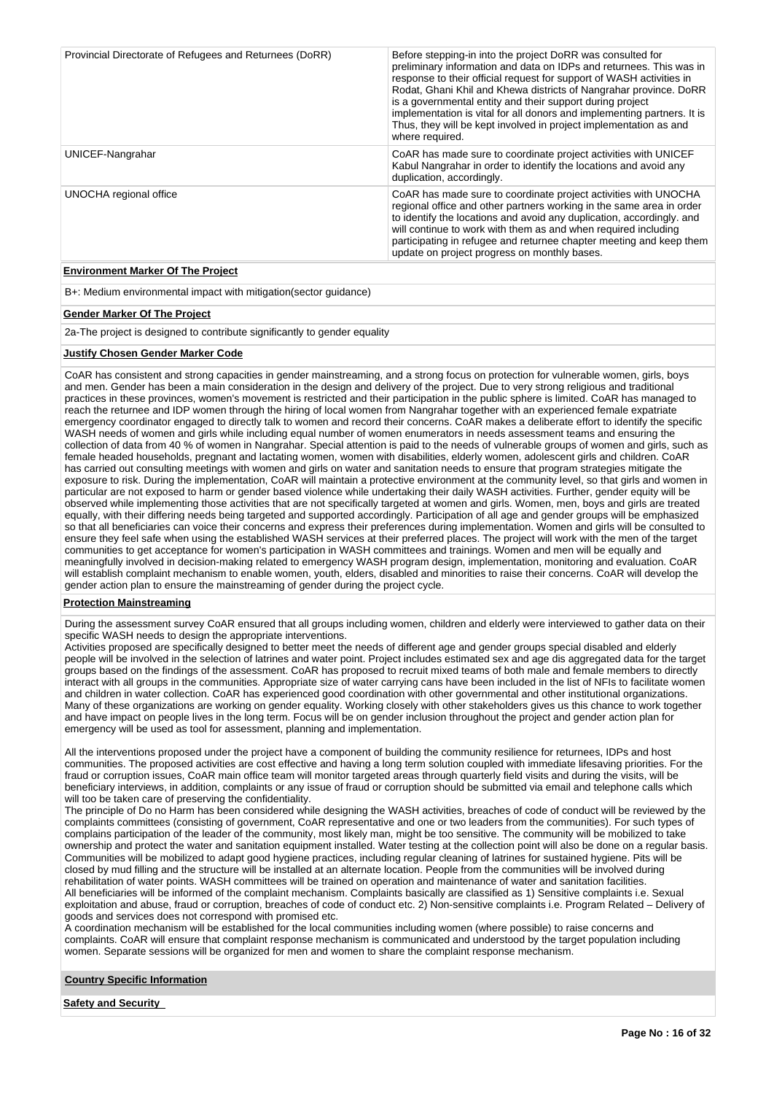| Provincial Directorate of Refugees and Returnees (DoRR) | Before stepping-in into the project DoRR was consulted for<br>preliminary information and data on IDPs and returnees. This was in<br>response to their official request for support of WASH activities in<br>Rodat, Ghani Khil and Khewa districts of Nangrahar province. DoRR<br>is a governmental entity and their support during project<br>implementation is vital for all donors and implementing partners. It is<br>Thus, they will be kept involved in project implementation as and<br>where required. |
|---------------------------------------------------------|----------------------------------------------------------------------------------------------------------------------------------------------------------------------------------------------------------------------------------------------------------------------------------------------------------------------------------------------------------------------------------------------------------------------------------------------------------------------------------------------------------------|
| UNICEF-Nangrahar                                        | CoAR has made sure to coordinate project activities with UNICEF<br>Kabul Nangrahar in order to identify the locations and avoid any<br>duplication, accordingly.                                                                                                                                                                                                                                                                                                                                               |
| UNOCHA regional office                                  | CoAR has made sure to coordinate project activities with UNOCHA<br>regional office and other partners working in the same area in order<br>to identify the locations and avoid any duplication, accordingly, and<br>will continue to work with them as and when required including<br>participating in refugee and returnee chapter meeting and keep them<br>update on project progress on monthly bases.                                                                                                      |

# **Environment Marker Of The Project**

B+: Medium environmental impact with mitigation(sector guidance)

# **Gender Marker Of The Project**

2a-The project is designed to contribute significantly to gender equality

# **Justify Chosen Gender Marker Code**

CoAR has consistent and strong capacities in gender mainstreaming, and a strong focus on protection for vulnerable women, girls, boys and men. Gender has been a main consideration in the design and delivery of the project. Due to very strong religious and traditional practices in these provinces, women's movement is restricted and their participation in the public sphere is limited. CoAR has managed to reach the returnee and IDP women through the hiring of local women from Nangrahar together with an experienced female expatriate emergency coordinator engaged to directly talk to women and record their concerns. CoAR makes a deliberate effort to identify the specific WASH needs of women and girls while including equal number of women enumerators in needs assessment teams and ensuring the collection of data from 40 % of women in Nangrahar. Special attention is paid to the needs of vulnerable groups of women and girls, such as female headed households, pregnant and lactating women, women with disabilities, elderly women, adolescent girls and children. CoAR has carried out consulting meetings with women and girls on water and sanitation needs to ensure that program strategies mitigate the exposure to risk. During the implementation, CoAR will maintain a protective environment at the community level, so that girls and women in particular are not exposed to harm or gender based violence while undertaking their daily WASH activities. Further, gender equity will be observed while implementing those activities that are not specifically targeted at women and girls. Women, men, boys and girls are treated equally, with their differing needs being targeted and supported accordingly. Participation of all age and gender groups will be emphasized so that all beneficiaries can voice their concerns and express their preferences during implementation. Women and girls will be consulted to ensure they feel safe when using the established WASH services at their preferred places. The project will work with the men of the target communities to get acceptance for women's participation in WASH committees and trainings. Women and men will be equally and meaningfully involved in decision-making related to emergency WASH program design, implementation, monitoring and evaluation. CoAR will establish complaint mechanism to enable women, youth, elders, disabled and minorities to raise their concerns. CoAR will develop the gender action plan to ensure the mainstreaming of gender during the project cycle.

### **Protection Mainstreaming**

During the assessment survey CoAR ensured that all groups including women, children and elderly were interviewed to gather data on their specific WASH needs to design the appropriate interventions.

Activities proposed are specifically designed to better meet the needs of different age and gender groups special disabled and elderly people will be involved in the selection of latrines and water point. Project includes estimated sex and age dis aggregated data for the target groups based on the findings of the assessment. CoAR has proposed to recruit mixed teams of both male and female members to directly interact with all groups in the communities. Appropriate size of water carrying cans have been included in the list of NFIs to facilitate women and children in water collection. CoAR has experienced good coordination with other governmental and other institutional organizations. Many of these organizations are working on gender equality. Working closely with other stakeholders gives us this chance to work together and have impact on people lives in the long term. Focus will be on gender inclusion throughout the project and gender action plan for emergency will be used as tool for assessment, planning and implementation.

All the interventions proposed under the project have a component of building the community resilience for returnees, IDPs and host communities. The proposed activities are cost effective and having a long term solution coupled with immediate lifesaving priorities. For the fraud or corruption issues, CoAR main office team will monitor targeted areas through quarterly field visits and during the visits, will be beneficiary interviews, in addition, complaints or any issue of fraud or corruption should be submitted via email and telephone calls which will too be taken care of preserving the confidentiality.

The principle of Do no Harm has been considered while designing the WASH activities, breaches of code of conduct will be reviewed by the complaints committees (consisting of government, CoAR representative and one or two leaders from the communities). For such types of complains participation of the leader of the community, most likely man, might be too sensitive. The community will be mobilized to take ownership and protect the water and sanitation equipment installed. Water testing at the collection point will also be done on a regular basis. Communities will be mobilized to adapt good hygiene practices, including regular cleaning of latrines for sustained hygiene. Pits will be closed by mud filling and the structure will be installed at an alternate location. People from the communities will be involved during rehabilitation of water points. WASH committees will be trained on operation and maintenance of water and sanitation facilities. All beneficiaries will be informed of the complaint mechanism. Complaints basically are classified as 1) Sensitive complaints i.e. Sexual exploitation and abuse, fraud or corruption, breaches of code of conduct etc. 2) Non-sensitive complaints i.e. Program Related – Delivery of goods and services does not correspond with promised etc.

A coordination mechanism will be established for the local communities including women (where possible) to raise concerns and complaints. CoAR will ensure that complaint response mechanism is communicated and understood by the target population including women. Separate sessions will be organized for men and women to share the complaint response mechanism.

# **Country Specific Information**

**Safety and Security**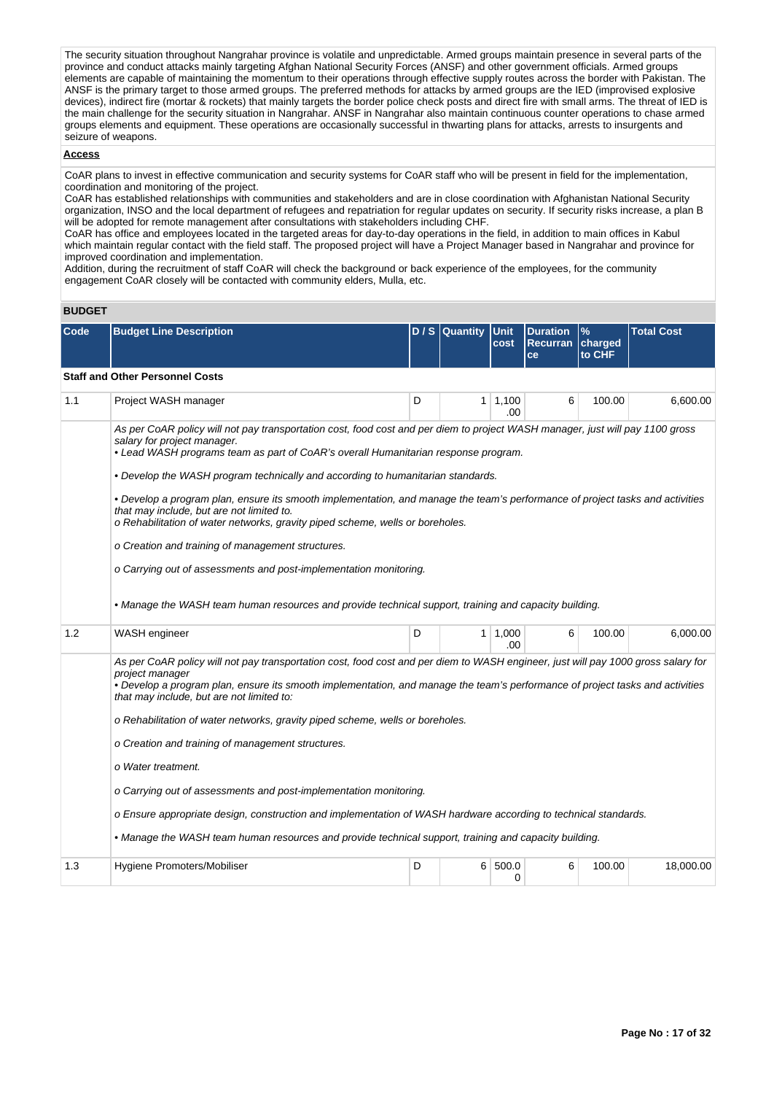The security situation throughout Nangrahar province is volatile and unpredictable. Armed groups maintain presence in several parts of the province and conduct attacks mainly targeting Afghan National Security Forces (ANSF) and other government officials. Armed groups elements are capable of maintaining the momentum to their operations through effective supply routes across the border with Pakistan. The ANSF is the primary target to those armed groups. The preferred methods for attacks by armed groups are the IED (improvised explosive devices), indirect fire (mortar & rockets) that mainly targets the border police check posts and direct fire with small arms. The threat of IED is the main challenge for the security situation in Nangrahar. ANSF in Nangrahar also maintain continuous counter operations to chase armed groups elements and equipment. These operations are occasionally successful in thwarting plans for attacks, arrests to insurgents and seizure of weapons.

# **Access**

CoAR plans to invest in effective communication and security systems for CoAR staff who will be present in field for the implementation, coordination and monitoring of the project.

CoAR has established relationships with communities and stakeholders and are in close coordination with Afghanistan National Security organization, INSO and the local department of refugees and repatriation for regular updates on security. If security risks increase, a plan B will be adopted for remote management after consultations with stakeholders including CHF.

CoAR has office and employees located in the targeted areas for day-to-day operations in the field, in addition to main offices in Kabul which maintain regular contact with the field staff. The proposed project will have a Project Manager based in Nangrahar and province for improved coordination and implementation.

Addition, during the recruitment of staff CoAR will check the background or back experience of the employees, for the community engagement CoAR closely will be contacted with community elders, Mulla, etc.

# **BUDGET**

| Code | <b>Budget Line Description</b>                                                                                                                                                                                                                                                                                                                                                                                                                                                                                                                                                                                                                                                                                                                                                                  |   | D / S Quantity | <b>Unit</b><br>cost | <b>Duration</b><br><b>Recurran</b><br>ce | %<br>charged<br>to CHF | <b>Total Cost</b> |  |  |  |
|------|-------------------------------------------------------------------------------------------------------------------------------------------------------------------------------------------------------------------------------------------------------------------------------------------------------------------------------------------------------------------------------------------------------------------------------------------------------------------------------------------------------------------------------------------------------------------------------------------------------------------------------------------------------------------------------------------------------------------------------------------------------------------------------------------------|---|----------------|---------------------|------------------------------------------|------------------------|-------------------|--|--|--|
|      | <b>Staff and Other Personnel Costs</b>                                                                                                                                                                                                                                                                                                                                                                                                                                                                                                                                                                                                                                                                                                                                                          |   |                |                     |                                          |                        |                   |  |  |  |
| 1.1  | Project WASH manager                                                                                                                                                                                                                                                                                                                                                                                                                                                                                                                                                                                                                                                                                                                                                                            | D | 1              | 1,100<br>.00        | 6                                        | 100.00                 | 6,600.00          |  |  |  |
|      | As per CoAR policy will not pay transportation cost, food cost and per diem to project WASH manager, just will pay 1100 gross<br>salary for project manager.<br>• Lead WASH programs team as part of CoAR's overall Humanitarian response program.                                                                                                                                                                                                                                                                                                                                                                                                                                                                                                                                              |   |                |                     |                                          |                        |                   |  |  |  |
|      | • Develop the WASH program technically and according to humanitarian standards.                                                                                                                                                                                                                                                                                                                                                                                                                                                                                                                                                                                                                                                                                                                 |   |                |                     |                                          |                        |                   |  |  |  |
|      | • Develop a program plan, ensure its smooth implementation, and manage the team's performance of project tasks and activities<br>that may include, but are not limited to.<br>o Rehabilitation of water networks, gravity piped scheme, wells or boreholes.                                                                                                                                                                                                                                                                                                                                                                                                                                                                                                                                     |   |                |                     |                                          |                        |                   |  |  |  |
|      | o Creation and training of management structures.                                                                                                                                                                                                                                                                                                                                                                                                                                                                                                                                                                                                                                                                                                                                               |   |                |                     |                                          |                        |                   |  |  |  |
|      | o Carrying out of assessments and post-implementation monitoring.                                                                                                                                                                                                                                                                                                                                                                                                                                                                                                                                                                                                                                                                                                                               |   |                |                     |                                          |                        |                   |  |  |  |
|      | • Manage the WASH team human resources and provide technical support, training and capacity building.                                                                                                                                                                                                                                                                                                                                                                                                                                                                                                                                                                                                                                                                                           |   |                |                     |                                          |                        |                   |  |  |  |
| 1.2  | WASH engineer                                                                                                                                                                                                                                                                                                                                                                                                                                                                                                                                                                                                                                                                                                                                                                                   | D | $\mathbf{1}$   | 1,000<br>.00        | 6                                        | 100.00                 | 6,000.00          |  |  |  |
|      | As per CoAR policy will not pay transportation cost, food cost and per diem to WASH engineer, just will pay 1000 gross salary for<br>project manager<br>• Develop a program plan, ensure its smooth implementation, and manage the team's performance of project tasks and activities<br>that may include, but are not limited to:<br>o Rehabilitation of water networks, gravity piped scheme, wells or boreholes.<br>o Creation and training of management structures.<br>o Water treatment.<br>o Carrying out of assessments and post-implementation monitoring.<br>o Ensure appropriate design, construction and implementation of WASH hardware according to technical standards.<br>• Manage the WASH team human resources and provide technical support, training and capacity building. |   |                |                     |                                          |                        |                   |  |  |  |
| 1.3  | Hygiene Promoters/Mobiliser                                                                                                                                                                                                                                                                                                                                                                                                                                                                                                                                                                                                                                                                                                                                                                     | D | 6              | 500.0<br>0          | 6                                        | 100.00                 | 18,000.00         |  |  |  |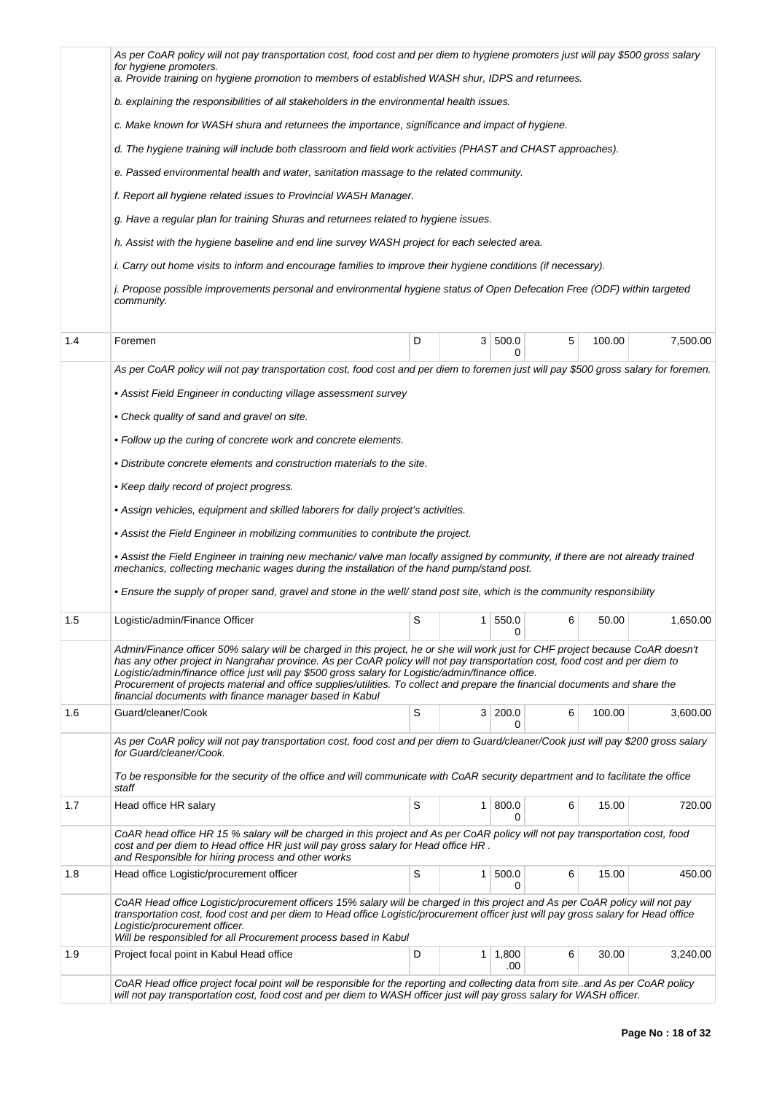|     | As per CoAR policy will not pay transportation cost, food cost and per diem to hygiene promoters just will pay \$500 gross salary                                                                                                                                                                                                                                                                                                                                                                                                                              |   |   |                       |   |        |          |
|-----|----------------------------------------------------------------------------------------------------------------------------------------------------------------------------------------------------------------------------------------------------------------------------------------------------------------------------------------------------------------------------------------------------------------------------------------------------------------------------------------------------------------------------------------------------------------|---|---|-----------------------|---|--------|----------|
|     | for hygiene promoters.<br>a. Provide training on hygiene promotion to members of established WASH shur, IDPS and returnees.                                                                                                                                                                                                                                                                                                                                                                                                                                    |   |   |                       |   |        |          |
|     | b. explaining the responsibilities of all stakeholders in the environmental health issues.                                                                                                                                                                                                                                                                                                                                                                                                                                                                     |   |   |                       |   |        |          |
|     | c. Make known for WASH shura and returnees the importance, significance and impact of hygiene.                                                                                                                                                                                                                                                                                                                                                                                                                                                                 |   |   |                       |   |        |          |
|     | d. The hygiene training will include both classroom and field work activities (PHAST and CHAST approaches).                                                                                                                                                                                                                                                                                                                                                                                                                                                    |   |   |                       |   |        |          |
|     | e. Passed environmental health and water, sanitation massage to the related community.                                                                                                                                                                                                                                                                                                                                                                                                                                                                         |   |   |                       |   |        |          |
|     | f. Report all hygiene related issues to Provincial WASH Manager.                                                                                                                                                                                                                                                                                                                                                                                                                                                                                               |   |   |                       |   |        |          |
|     | g. Have a regular plan for training Shuras and returnees related to hygiene issues.                                                                                                                                                                                                                                                                                                                                                                                                                                                                            |   |   |                       |   |        |          |
|     | h. Assist with the hygiene baseline and end line survey WASH project for each selected area.                                                                                                                                                                                                                                                                                                                                                                                                                                                                   |   |   |                       |   |        |          |
|     | i. Carry out home visits to inform and encourage families to improve their hygiene conditions (if necessary).                                                                                                                                                                                                                                                                                                                                                                                                                                                  |   |   |                       |   |        |          |
|     | j. Propose possible improvements personal and environmental hygiene status of Open Defecation Free (ODF) within targeted<br>community.                                                                                                                                                                                                                                                                                                                                                                                                                         |   |   |                       |   |        |          |
| 1.4 | Foremen                                                                                                                                                                                                                                                                                                                                                                                                                                                                                                                                                        | D | 3 | 500.0                 | 5 | 100.00 | 7,500.00 |
|     |                                                                                                                                                                                                                                                                                                                                                                                                                                                                                                                                                                |   |   |                       |   |        |          |
|     | As per CoAR policy will not pay transportation cost, food cost and per diem to foremen just will pay \$500 gross salary for foremen.                                                                                                                                                                                                                                                                                                                                                                                                                           |   |   |                       |   |        |          |
|     | • Assist Field Engineer in conducting village assessment survey                                                                                                                                                                                                                                                                                                                                                                                                                                                                                                |   |   |                       |   |        |          |
|     | • Check quality of sand and gravel on site.                                                                                                                                                                                                                                                                                                                                                                                                                                                                                                                    |   |   |                       |   |        |          |
|     | • Follow up the curing of concrete work and concrete elements.                                                                                                                                                                                                                                                                                                                                                                                                                                                                                                 |   |   |                       |   |        |          |
|     | • Distribute concrete elements and construction materials to the site.                                                                                                                                                                                                                                                                                                                                                                                                                                                                                         |   |   |                       |   |        |          |
|     | • Keep daily record of project progress.                                                                                                                                                                                                                                                                                                                                                                                                                                                                                                                       |   |   |                       |   |        |          |
|     | • Assign vehicles, equipment and skilled laborers for daily project's activities.                                                                                                                                                                                                                                                                                                                                                                                                                                                                              |   |   |                       |   |        |          |
|     | • Assist the Field Engineer in mobilizing communities to contribute the project.                                                                                                                                                                                                                                                                                                                                                                                                                                                                               |   |   |                       |   |        |          |
|     | · Assist the Field Engineer in training new mechanic/valve man locally assigned by community, if there are not already trained<br>mechanics, collecting mechanic wages during the installation of the hand pump/stand post.                                                                                                                                                                                                                                                                                                                                    |   |   |                       |   |        |          |
|     | • Ensure the supply of proper sand, gravel and stone in the well/ stand post site, which is the community responsibility                                                                                                                                                                                                                                                                                                                                                                                                                                       |   |   |                       |   |        |          |
| 1.5 | Logistic/admin/Finance Officer                                                                                                                                                                                                                                                                                                                                                                                                                                                                                                                                 | S | 1 | 550.0<br>U            | 6 | 50.00  | 1,650.00 |
|     | Admin/Finance officer 50% salary will be charged in this project, he or she will work just for CHF project because CoAR doesn't<br>has any other project in Nangrahar province. As per CoAR policy will not pay transportation cost, food cost and per diem to<br>Logistic/admin/finance office just will pay \$500 gross salary for Logistic/admin/finance office.<br>Procurement of projects material and office supplies/utilities. To collect and prepare the financial documents and share the<br>financial documents with finance manager based in Kabul |   |   |                       |   |        |          |
| 1.6 | Guard/cleaner/Cook                                                                                                                                                                                                                                                                                                                                                                                                                                                                                                                                             | S |   | 3 200.0<br>0          | 6 | 100.00 | 3,600.00 |
|     | As per CoAR policy will not pay transportation cost, food cost and per diem to Guard/cleaner/Cook just will pay \$200 gross salary<br>for Guard/cleaner/Cook.                                                                                                                                                                                                                                                                                                                                                                                                  |   |   |                       |   |        |          |
|     | To be responsible for the security of the office and will communicate with CoAR security department and to facilitate the office<br>staff                                                                                                                                                                                                                                                                                                                                                                                                                      |   |   |                       |   |        |          |
| 1.7 | Head office HR salary                                                                                                                                                                                                                                                                                                                                                                                                                                                                                                                                          | S | 1 | 800.0<br>0            | 6 | 15.00  | 720.00   |
|     | CoAR head office HR 15 % salary will be charged in this project and As per CoAR policy will not pay transportation cost, food<br>cost and per diem to Head office HR just will pay gross salary for Head office HR.<br>and Responsible for hiring process and other works                                                                                                                                                                                                                                                                                      |   |   |                       |   |        |          |
| 1.8 | Head office Logistic/procurement officer                                                                                                                                                                                                                                                                                                                                                                                                                                                                                                                       | S | 1 | 500.0<br>0            | 6 | 15.00  | 450.00   |
|     | CoAR Head office Logistic/procurement officers 15% salary will be charged in this project and As per CoAR policy will not pay<br>transportation cost, food cost and per diem to Head office Logistic/procurement officer just will pay gross salary for Head office<br>Logistic/procurement officer.<br>Will be responsibled for all Procurement process based in Kabul                                                                                                                                                                                        |   |   |                       |   |        |          |
| 1.9 | Project focal point in Kabul Head office                                                                                                                                                                                                                                                                                                                                                                                                                                                                                                                       | D |   | $1 \mid 1,800$<br>.00 | 6 | 30.00  | 3,240.00 |
|     | CoAR Head office project focal point will be responsible for the reporting and collecting data from site. and As per CoAR policy<br>will not pay transportation cost, food cost and per diem to WASH officer just will pay gross salary for WASH officer.                                                                                                                                                                                                                                                                                                      |   |   |                       |   |        |          |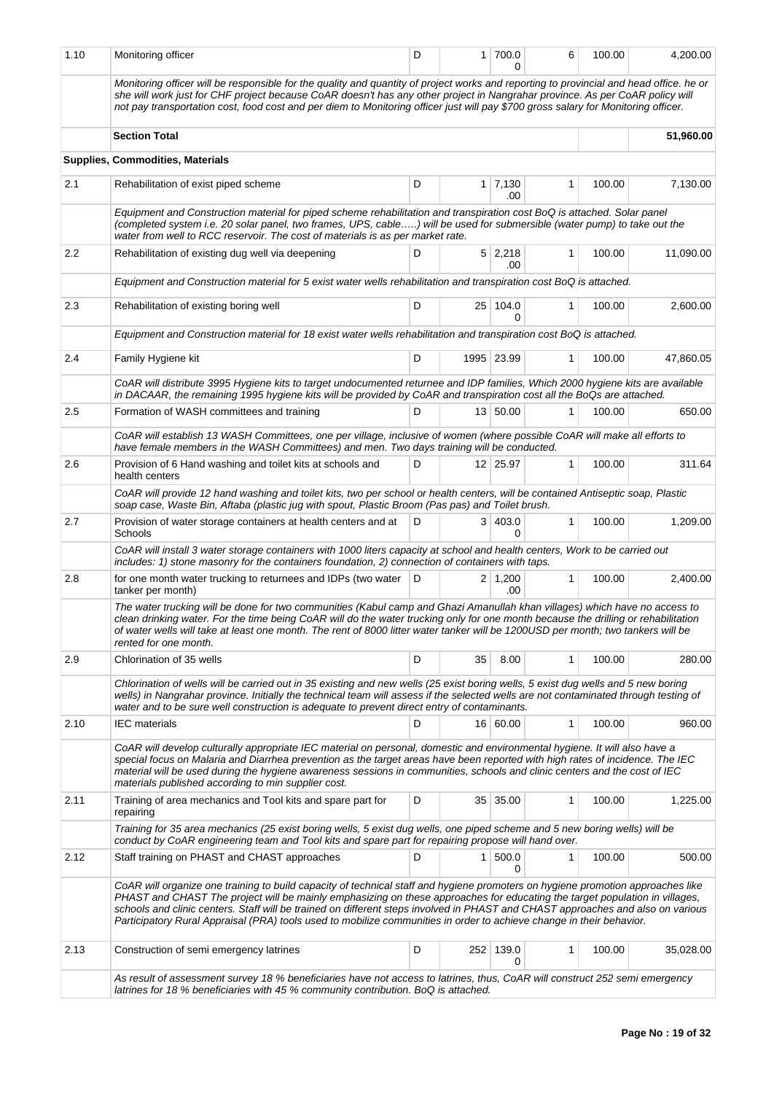| 1.10 | Monitoring officer                                                                                                                                                                                                                                                                                                                                                                                                                                                                                                        | D |                | 1 700.0               | 6            | 100.00 | 4,200.00  |
|------|---------------------------------------------------------------------------------------------------------------------------------------------------------------------------------------------------------------------------------------------------------------------------------------------------------------------------------------------------------------------------------------------------------------------------------------------------------------------------------------------------------------------------|---|----------------|-----------------------|--------------|--------|-----------|
|      | Monitoring officer will be responsible for the quality and quantity of project works and reporting to provincial and head office. he or<br>she will work just for CHF project because CoAR doesn't has any other project in Nangrahar province. As per CoAR policy will<br>not pay transportation cost, food cost and per diem to Monitoring officer just will pay \$700 gross salary for Monitoring officer.                                                                                                             |   |                |                       |              |        |           |
|      | <b>Section Total</b>                                                                                                                                                                                                                                                                                                                                                                                                                                                                                                      |   |                |                       |              |        | 51,960.00 |
|      | <b>Supplies, Commodities, Materials</b>                                                                                                                                                                                                                                                                                                                                                                                                                                                                                   |   |                |                       |              |        |           |
| 2.1  | Rehabilitation of exist piped scheme                                                                                                                                                                                                                                                                                                                                                                                                                                                                                      | D |                | $1 \mid 7,130$<br>.00 | 1            | 100.00 | 7,130.00  |
|      | Equipment and Construction material for piped scheme rehabilitation and transpiration cost BoQ is attached. Solar panel<br>(completed system i.e. 20 solar panel, two frames, UPS, cable) will be used for submersible (water pump) to take out the<br>water from well to RCC reservoir. The cost of materials is as per market rate.                                                                                                                                                                                     |   |                |                       |              |        |           |
| 2.2  | Rehabilitation of existing dug well via deepening                                                                                                                                                                                                                                                                                                                                                                                                                                                                         | D |                | $5 \mid 2,218$<br>.00 | 1            | 100.00 | 11,090.00 |
|      | Equipment and Construction material for 5 exist water wells rehabilitation and transpiration cost BoQ is attached.                                                                                                                                                                                                                                                                                                                                                                                                        |   |                |                       |              |        |           |
| 2.3  | Rehabilitation of existing boring well                                                                                                                                                                                                                                                                                                                                                                                                                                                                                    | D |                | 25 104.0<br>0         | 1            | 100.00 | 2,600.00  |
|      | Equipment and Construction material for 18 exist water wells rehabilitation and transpiration cost BoQ is attached.                                                                                                                                                                                                                                                                                                                                                                                                       |   |                |                       |              |        |           |
| 2.4  | Family Hygiene kit                                                                                                                                                                                                                                                                                                                                                                                                                                                                                                        | D |                | 1995 23.99            | 1            | 100.00 | 47,860.05 |
|      | CoAR will distribute 3995 Hygiene kits to target undocumented returnee and IDP families, Which 2000 hygiene kits are available<br>in DACAAR, the remaining 1995 hygiene kits will be provided by CoAR and transpiration cost all the BoQs are attached.                                                                                                                                                                                                                                                                   |   |                |                       |              |        |           |
| 2.5  | Formation of WASH committees and training                                                                                                                                                                                                                                                                                                                                                                                                                                                                                 | D |                | 13 50.00              | $\mathbf{1}$ | 100.00 | 650.00    |
|      | CoAR will establish 13 WASH Committees, one per village, inclusive of women (where possible CoAR will make all efforts to<br>have female members in the WASH Committees) and men. Two days training will be conducted.                                                                                                                                                                                                                                                                                                    |   |                |                       |              |        |           |
| 2.6  | Provision of 6 Hand washing and toilet kits at schools and<br>health centers                                                                                                                                                                                                                                                                                                                                                                                                                                              | D |                | 12 25.97              | 1            | 100.00 | 311.64    |
|      | CoAR will provide 12 hand washing and toilet kits, two per school or health centers, will be contained Antiseptic soap, Plastic<br>soap case, Waste Bin, Aftaba (plastic jug with spout, Plastic Broom (Pas pas) and Toilet brush.                                                                                                                                                                                                                                                                                        |   |                |                       |              |        |           |
| 2.7  | Provision of water storage containers at health centers and at<br>Schools                                                                                                                                                                                                                                                                                                                                                                                                                                                 | D |                | 3   403.0<br>0        | $\mathbf{1}$ | 100.00 | 1,209.00  |
|      | CoAR will install 3 water storage containers with 1000 liters capacity at school and health centers, Work to be carried out<br>includes: 1) stone masonry for the containers foundation, 2) connection of containers with taps.                                                                                                                                                                                                                                                                                           |   |                |                       |              |        |           |
| 2.8  | for one month water trucking to returnees and IDPs (two water<br>tanker per month)                                                                                                                                                                                                                                                                                                                                                                                                                                        | D |                | $2 \mid 1,200$<br>.00 | 1            | 100.00 | 2,400.00  |
|      | The water trucking will be done for two communities (Kabul camp and Ghazi Amanullah khan villages) which have no access to<br>clean drinking water. For the time being CoAR will do the water trucking only for one month because the drilling or rehabilitation<br>of water wells will take at least one month. The rent of 8000 litter water tanker will be 1200USD per month; two tankers will be<br>rented for one month.                                                                                             |   |                |                       |              |        |           |
| 2.9  | Chlorination of 35 wells                                                                                                                                                                                                                                                                                                                                                                                                                                                                                                  | D | 35             | 8.00                  | 1            | 100.00 | 280.00    |
|      | Chlorination of wells will be carried out in 35 existing and new wells (25 exist boring wells, 5 exist dug wells and 5 new boring<br>wells) in Nangrahar province. Initially the technical team will assess if the selected wells are not contaminated through testing of<br>water and to be sure well construction is adequate to prevent direct entry of contaminants.                                                                                                                                                  |   |                |                       |              |        |           |
| 2.10 | <b>IEC</b> materials                                                                                                                                                                                                                                                                                                                                                                                                                                                                                                      | D |                | 16 60.00              | $\mathbf{1}$ | 100.00 | 960.00    |
|      | CoAR will develop culturally appropriate IEC material on personal, domestic and environmental hygiene. It will also have a<br>special focus on Malaria and Diarrhea prevention as the target areas have been reported with high rates of incidence. The IEC<br>material will be used during the hygiene awareness sessions in communities, schools and clinic centers and the cost of IEC<br>materials published according to min supplier cost.                                                                          |   |                |                       |              |        |           |
| 2.11 | Training of area mechanics and Tool kits and spare part for<br>repairing                                                                                                                                                                                                                                                                                                                                                                                                                                                  | D |                | 35 35.00              | $\mathbf{1}$ | 100.00 | 1,225.00  |
|      | Training for 35 area mechanics (25 exist boring wells, 5 exist dug wells, one piped scheme and 5 new boring wells) will be<br>conduct by CoAR engineering team and Tool kits and spare part for repairing propose will hand over.                                                                                                                                                                                                                                                                                         |   |                |                       |              |        |           |
| 2.12 | Staff training on PHAST and CHAST approaches                                                                                                                                                                                                                                                                                                                                                                                                                                                                              | D | 1 <sup>1</sup> | 500.0<br>0            | 1            | 100.00 | 500.00    |
|      | CoAR will organize one training to build capacity of technical staff and hygiene promoters on hygiene promotion approaches like<br>PHAST and CHAST The project will be mainly emphasizing on these approaches for educating the target population in villages,<br>schools and clinic centers. Staff will be trained on different steps involved in PHAST and CHAST approaches and also on various<br>Participatory Rural Appraisal (PRA) tools used to mobilize communities in order to achieve change in their behavior. |   |                |                       |              |        |           |
| 2.13 | Construction of semi emergency latrines                                                                                                                                                                                                                                                                                                                                                                                                                                                                                   | D |                | 252 139.0<br>0        | 1            | 100.00 | 35,028.00 |
|      | As result of assessment survey 18 % beneficiaries have not access to latrines, thus, CoAR will construct 252 semi emergency<br>latrines for 18 % beneficiaries with 45 % community contribution. BoQ is attached.                                                                                                                                                                                                                                                                                                         |   |                |                       |              |        |           |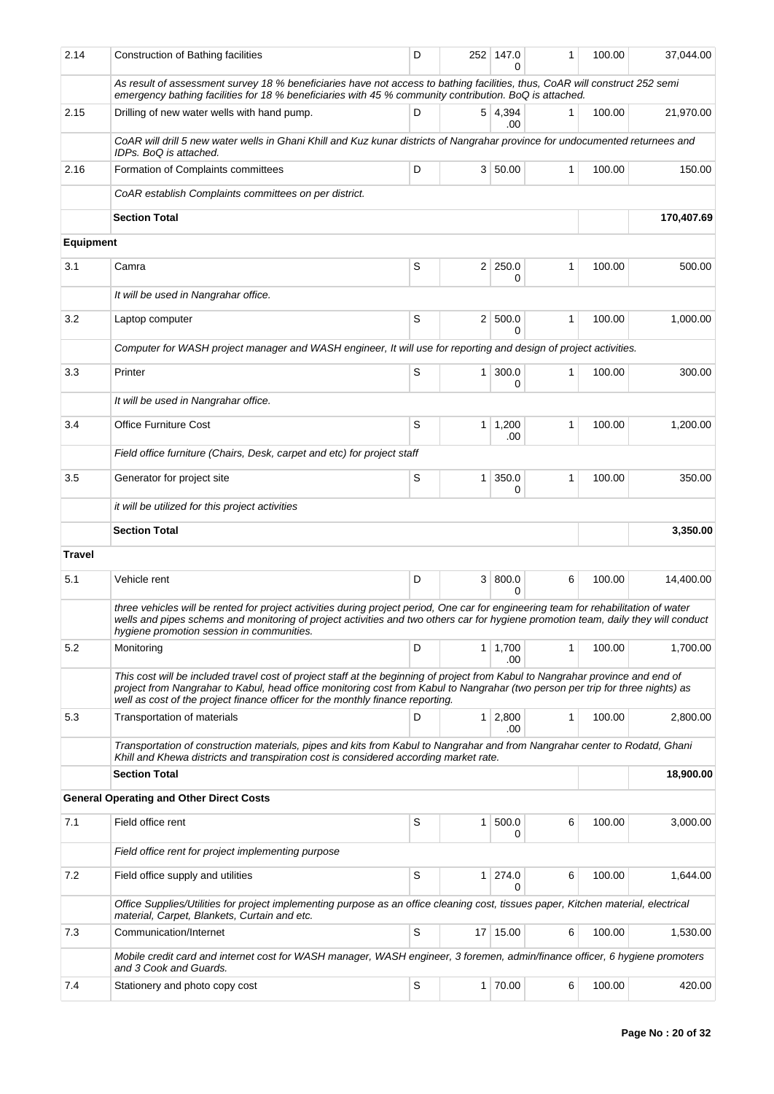| 2.14             | Construction of Bathing facilities                                                                                                                                                                                                                                                                                                                  | D |              | 252 147.0<br>$\Omega$ | 1            | 100.00 | 37,044.00  |
|------------------|-----------------------------------------------------------------------------------------------------------------------------------------------------------------------------------------------------------------------------------------------------------------------------------------------------------------------------------------------------|---|--------------|-----------------------|--------------|--------|------------|
|                  | As result of assessment survey 18 % beneficiaries have not access to bathing facilities, thus, CoAR will construct 252 semi<br>emergency bathing facilities for 18 % beneficiaries with 45 % community contribution. BoQ is attached.                                                                                                               |   |              |                       |              |        |            |
| 2.15             | Drilling of new water wells with hand pump.                                                                                                                                                                                                                                                                                                         | D |              | 5 4,394<br>.00        | 1            | 100.00 | 21,970.00  |
|                  | CoAR will drill 5 new water wells in Ghani Khill and Kuz kunar districts of Nangrahar province for undocumented returnees and<br>IDPs. BoQ is attached.                                                                                                                                                                                             |   |              |                       |              |        |            |
| 2.16             | Formation of Complaints committees                                                                                                                                                                                                                                                                                                                  | D |              | 3 50.00               | $\mathbf{1}$ | 100.00 | 150.00     |
|                  | CoAR establish Complaints committees on per district.                                                                                                                                                                                                                                                                                               |   |              |                       |              |        |            |
|                  | <b>Section Total</b>                                                                                                                                                                                                                                                                                                                                |   |              |                       |              |        | 170,407.69 |
| <b>Equipment</b> |                                                                                                                                                                                                                                                                                                                                                     |   |              |                       |              |        |            |
| 3.1              | Camra                                                                                                                                                                                                                                                                                                                                               | S |              | $2 \mid 250.0$<br>0   | 1            | 100.00 | 500.00     |
|                  | It will be used in Nangrahar office.                                                                                                                                                                                                                                                                                                                |   |              |                       |              |        |            |
| 3.2              | Laptop computer                                                                                                                                                                                                                                                                                                                                     | S |              | 2 500.0<br>0          | $\mathbf{1}$ | 100.00 | 1,000.00   |
|                  | Computer for WASH project manager and WASH engineer, It will use for reporting and design of project activities.                                                                                                                                                                                                                                    |   |              |                       |              |        |            |
| 3.3              | Printer                                                                                                                                                                                                                                                                                                                                             | S | $\mathbf{1}$ | 300.0<br>0            | $\mathbf{1}$ | 100.00 | 300.00     |
|                  | It will be used in Nangrahar office.                                                                                                                                                                                                                                                                                                                |   |              |                       |              |        |            |
| 3.4              | <b>Office Furniture Cost</b>                                                                                                                                                                                                                                                                                                                        | S | $\mathbf{1}$ | 1,200<br>.00          | 1            | 100.00 | 1,200.00   |
|                  | Field office furniture (Chairs, Desk, carpet and etc) for project staff                                                                                                                                                                                                                                                                             |   |              |                       |              |        |            |
| 3.5              | Generator for project site                                                                                                                                                                                                                                                                                                                          | S | $\mathbf{1}$ | 350.0<br>0            | 1            | 100.00 | 350.00     |
|                  | it will be utilized for this project activities                                                                                                                                                                                                                                                                                                     |   |              |                       |              |        |            |
|                  | <b>Section Total</b>                                                                                                                                                                                                                                                                                                                                |   |              |                       |              |        | 3,350.00   |
| <b>Travel</b>    |                                                                                                                                                                                                                                                                                                                                                     |   |              |                       |              |        |            |
| 5.1              | Vehicle rent                                                                                                                                                                                                                                                                                                                                        | D |              | 3   800.0<br>0        | 6            | 100.00 | 14,400.00  |
|                  | three vehicles will be rented for project activities during project period, One car for engineering team for rehabilitation of water<br>wells and pipes schems and monitoring of project activities and two others car for hygiene promotion team, daily they will conduct<br>hygiene promotion session in communities.                             |   |              |                       |              |        |            |
| 5.2              | Monitoring                                                                                                                                                                                                                                                                                                                                          | D | 1            | 1,700<br>.00          | 1            | 100.00 | 1,700.00   |
|                  | This cost will be included travel cost of project staff at the beginning of project from Kabul to Nangrahar province and end of<br>project from Nangrahar to Kabul, head office monitoring cost from Kabul to Nangrahar (two person per trip for three nights) as<br>well as cost of the project finance officer for the monthly finance reporting. |   |              |                       |              |        |            |
| 5.3              | Transportation of materials                                                                                                                                                                                                                                                                                                                         | D |              | $1 \mid 2,800$<br>.00 | $\mathbf{1}$ | 100.00 | 2,800.00   |
|                  | Transportation of construction materials, pipes and kits from Kabul to Nangrahar and from Nangrahar center to Rodatd, Ghani<br>Khill and Khewa districts and transpiration cost is considered according market rate.                                                                                                                                |   |              |                       |              |        |            |
|                  | <b>Section Total</b>                                                                                                                                                                                                                                                                                                                                |   |              |                       |              |        | 18,900.00  |
|                  | <b>General Operating and Other Direct Costs</b>                                                                                                                                                                                                                                                                                                     |   |              |                       |              |        |            |
| 7.1              | Field office rent                                                                                                                                                                                                                                                                                                                                   | S | 1            | 500.0<br>0            | 6            | 100.00 | 3,000.00   |
|                  | Field office rent for project implementing purpose                                                                                                                                                                                                                                                                                                  |   |              |                       |              |        |            |
| 7.2              | Field office supply and utilities                                                                                                                                                                                                                                                                                                                   | S | $\mathbf{1}$ | 274.0<br>0            | 6            | 100.00 | 1,644.00   |
|                  | Office Supplies/Utilities for project implementing purpose as an office cleaning cost, tissues paper, Kitchen material, electrical<br>material, Carpet, Blankets, Curtain and etc.                                                                                                                                                                  |   |              |                       |              |        |            |
| 7.3              | Communication/Internet                                                                                                                                                                                                                                                                                                                              | S |              | 17 15.00              | 6            | 100.00 | 1,530.00   |
|                  | Mobile credit card and internet cost for WASH manager, WASH engineer, 3 foremen, admin/finance officer, 6 hygiene promoters<br>and 3 Cook and Guards.                                                                                                                                                                                               |   |              |                       |              |        |            |
| 7.4              | Stationery and photo copy cost                                                                                                                                                                                                                                                                                                                      | S |              | 1 70.00               | 6            | 100.00 | 420.00     |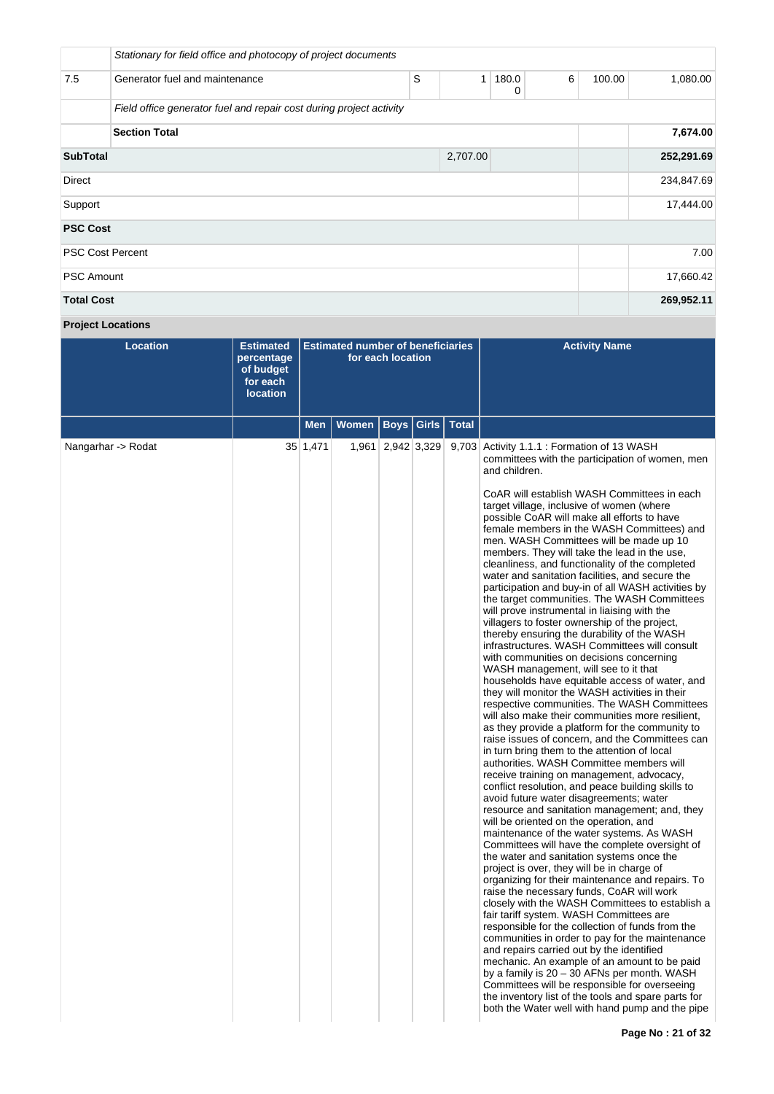|                         | Stationary for field office and photocopy of project documents      |   |              |            |   |                    |            |  |  |  |  |
|-------------------------|---------------------------------------------------------------------|---|--------------|------------|---|--------------------|------------|--|--|--|--|
| 7.5                     | Generator fuel and maintenance                                      | S | $\mathbf{1}$ | 180.0<br>0 | 6 | 100.00<br>1,080.00 |            |  |  |  |  |
|                         | Field office generator fuel and repair cost during project activity |   |              |            |   |                    |            |  |  |  |  |
|                         | <b>Section Total</b>                                                |   |              |            |   |                    | 7,674.00   |  |  |  |  |
| <b>SubTotal</b>         |                                                                     |   | 2,707.00     |            |   |                    | 252,291.69 |  |  |  |  |
| <b>Direct</b>           |                                                                     |   |              |            |   |                    | 234,847.69 |  |  |  |  |
| Support                 |                                                                     |   |              |            |   |                    | 17,444.00  |  |  |  |  |
| <b>PSC Cost</b>         |                                                                     |   |              |            |   |                    |            |  |  |  |  |
| <b>PSC Cost Percent</b> |                                                                     |   |              |            |   |                    | 7.00       |  |  |  |  |
| <b>PSC Amount</b>       |                                                                     |   |              |            |   |                    | 17,660.42  |  |  |  |  |
| <b>Total Cost</b>       |                                                                     |   |              |            |   |                    | 269,952.11 |  |  |  |  |

# **Project Locations**

| <b>Location</b>    | <b>Estimated</b><br>percentage<br>of budget<br>for each<br><b>location</b> |          | <b>Estimated number of beneficiaries</b> | for each location     |              | <b>Activity Name</b>                                                                                                                                                                                                                                                                                                                                                                                                                                                                                                                                                                                                                                                                                                                                                                                                                                                                                                                                                                                                                                                                                                                                                                                                                                                                                                                                                                                                                                                                                                                                                                                                                                                                                                                                                                                                                                                                                                                                                                                                                                                                                                                                                                                                                                                                                                                                        |
|--------------------|----------------------------------------------------------------------------|----------|------------------------------------------|-----------------------|--------------|-------------------------------------------------------------------------------------------------------------------------------------------------------------------------------------------------------------------------------------------------------------------------------------------------------------------------------------------------------------------------------------------------------------------------------------------------------------------------------------------------------------------------------------------------------------------------------------------------------------------------------------------------------------------------------------------------------------------------------------------------------------------------------------------------------------------------------------------------------------------------------------------------------------------------------------------------------------------------------------------------------------------------------------------------------------------------------------------------------------------------------------------------------------------------------------------------------------------------------------------------------------------------------------------------------------------------------------------------------------------------------------------------------------------------------------------------------------------------------------------------------------------------------------------------------------------------------------------------------------------------------------------------------------------------------------------------------------------------------------------------------------------------------------------------------------------------------------------------------------------------------------------------------------------------------------------------------------------------------------------------------------------------------------------------------------------------------------------------------------------------------------------------------------------------------------------------------------------------------------------------------------------------------------------------------------------------------------------------------------|
|                    |                                                                            | Men      | <b>Women</b>                             | <b>Boys   Girls  </b> | <b>Total</b> |                                                                                                                                                                                                                                                                                                                                                                                                                                                                                                                                                                                                                                                                                                                                                                                                                                                                                                                                                                                                                                                                                                                                                                                                                                                                                                                                                                                                                                                                                                                                                                                                                                                                                                                                                                                                                                                                                                                                                                                                                                                                                                                                                                                                                                                                                                                                                             |
| Nangarhar -> Rodat |                                                                            | 35 1,471 |                                          | 1,961 2,942 3,329     |              | 9,703 Activity 1.1.1 : Formation of 13 WASH<br>committees with the participation of women, men<br>and children.<br>CoAR will establish WASH Committees in each<br>target village, inclusive of women (where<br>possible CoAR will make all efforts to have<br>female members in the WASH Committees) and<br>men. WASH Committees will be made up 10<br>members. They will take the lead in the use,<br>cleanliness, and functionality of the completed<br>water and sanitation facilities, and secure the<br>participation and buy-in of all WASH activities by<br>the target communities. The WASH Committees<br>will prove instrumental in liaising with the<br>villagers to foster ownership of the project,<br>thereby ensuring the durability of the WASH<br>infrastructures. WASH Committees will consult<br>with communities on decisions concerning<br>WASH management, will see to it that<br>households have equitable access of water, and<br>they will monitor the WASH activities in their<br>respective communities. The WASH Committees<br>will also make their communities more resilient,<br>as they provide a platform for the community to<br>raise issues of concern, and the Committees can<br>in turn bring them to the attention of local<br>authorities. WASH Committee members will<br>receive training on management, advocacy,<br>conflict resolution, and peace building skills to<br>avoid future water disagreements; water<br>resource and sanitation management; and, they<br>will be oriented on the operation, and<br>maintenance of the water systems. As WASH<br>Committees will have the complete oversight of<br>the water and sanitation systems once the<br>project is over, they will be in charge of<br>organizing for their maintenance and repairs. To<br>raise the necessary funds, CoAR will work<br>closely with the WASH Committees to establish a<br>fair tariff system. WASH Committees are<br>responsible for the collection of funds from the<br>communities in order to pay for the maintenance<br>and repairs carried out by the identified<br>mechanic. An example of an amount to be paid<br>by a family is 20 - 30 AFNs per month. WASH<br>Committees will be responsible for overseeing<br>the inventory list of the tools and spare parts for<br>both the Water well with hand pump and the pipe |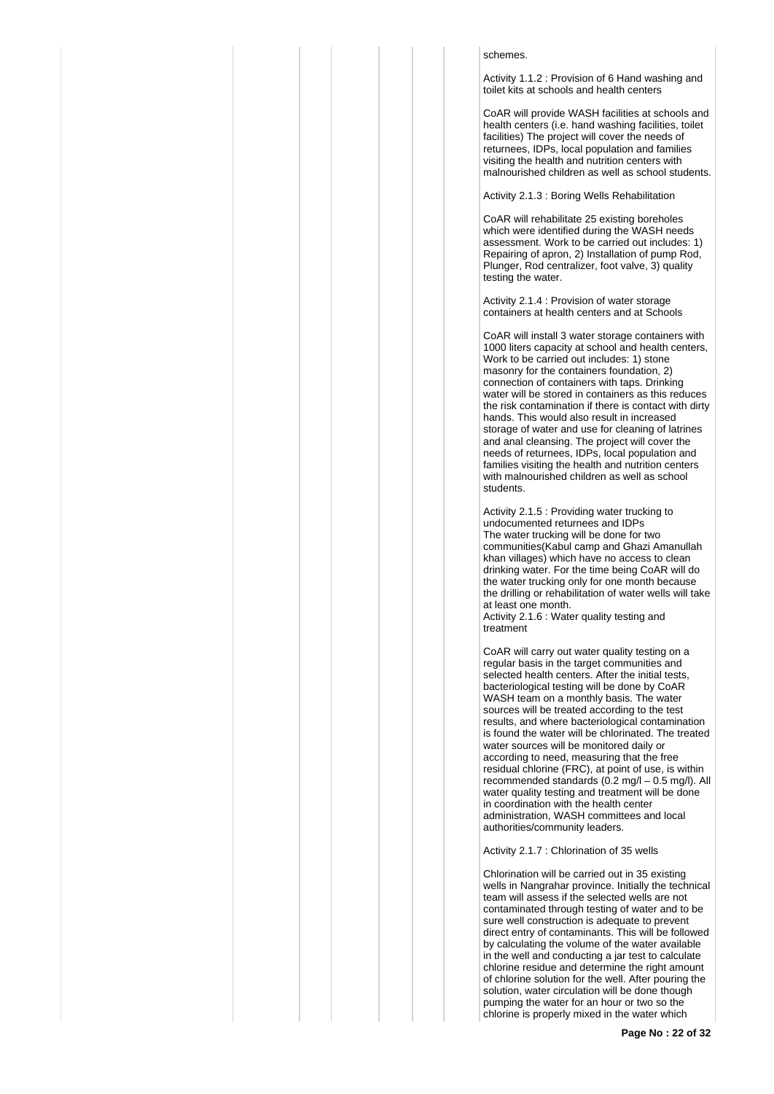### schemes.

Activity 1.1.2 : Provision of 6 Hand washing and toilet kits at schools and health centers

CoAR will provide WASH facilities at schools and health centers (i.e. hand washing facilities, toilet facilities) The project will cover the needs of returnees, IDPs, local population and families visiting the health and nutrition centers with malnourished children as well as school students.

Activity 2.1.3 : Boring Wells Rehabilitation

CoAR will rehabilitate 25 existing boreholes which were identified during the WASH needs assessment. Work to be carried out includes: 1) Repairing of apron, 2) Installation of pump Rod, Plunger, Rod centralizer, foot valve, 3) quality testing the water.

Activity 2.1.4 : Provision of water storage containers at health centers and at Schools

CoAR will install 3 water storage containers with 1000 liters capacity at school and health centers, Work to be carried out includes: 1) stone masonry for the containers foundation, 2) connection of containers with taps. Drinking water will be stored in containers as this reduces the risk contamination if there is contact with dirty hands. This would also result in increased storage of water and use for cleaning of latrines and anal cleansing. The project will cover the needs of returnees, IDPs, local population and families visiting the health and nutrition centers with malnourished children as well as school students.

Activity 2.1.5 : Providing water trucking to undocumented returnees and IDPs The water trucking will be done for two communities(Kabul camp and Ghazi Amanullah khan villages) which have no access to clean drinking water. For the time being CoAR will do the water trucking only for one month because the drilling or rehabilitation of water wells will take at least one month.

Activity 2.1.6 : Water quality testing and treatment

CoAR will carry out water quality testing on a regular basis in the target communities and selected health centers. After the initial tests, bacteriological testing will be done by CoAR WASH team on a monthly basis. The water sources will be treated according to the test results, and where bacteriological contamination is found the water will be chlorinated. The treated water sources will be monitored daily or according to need, measuring that the free residual chlorine (FRC), at point of use, is within recommended standards (0.2 mg/l – 0.5 mg/l). All water quality testing and treatment will be done in coordination with the health center administration, WASH committees and local authorities/community leaders.

Activity 2.1.7 : Chlorination of 35 wells

Chlorination will be carried out in 35 existing wells in Nangrahar province. Initially the technical team will assess if the selected wells are not contaminated through testing of water and to be sure well construction is adequate to prevent direct entry of contaminants. This will be followed by calculating the volume of the water available in the well and conducting a jar test to calculate chlorine residue and determine the right amount of chlorine solution for the well. After pouring the solution, water circulation will be done though pumping the water for an hour or two so the chlorine is properly mixed in the water which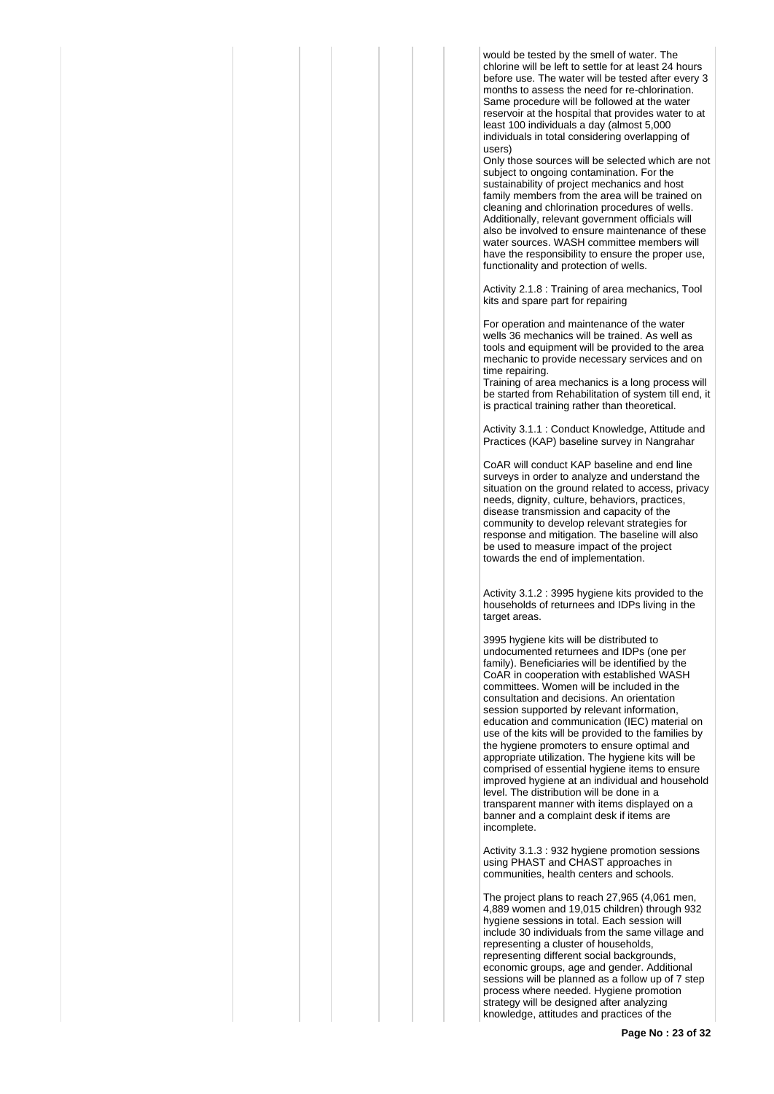would be tested by the smell of water. The chlorine will be left to settle for at least 24 hours before use. The water will be tested after every 3 months to assess the need for re-chlorination. Same procedure will be followed at the water reservoir at the hospital that provides water to at least 100 individuals a day (almost 5,000 individuals in total considering overlapping of users)

Only those sources will be selected which are not subject to ongoing contamination. For the sustainability of project mechanics and host family members from the area will be trained on cleaning and chlorination procedures of wells. Additionally, relevant government officials will also be involved to ensure maintenance of these water sources. WASH committee members will have the responsibility to ensure the proper use, functionality and protection of wells.

Activity 2.1.8 : Training of area mechanics, Tool kits and spare part for repairing

For operation and maintenance of the water wells 36 mechanics will be trained. As well as tools and equipment will be provided to the area mechanic to provide necessary services and on time repairing.

Training of area mechanics is a long process will be started from Rehabilitation of system till end, it is practical training rather than theoretical.

Activity 3.1.1 : Conduct Knowledge, Attitude and Practices (KAP) baseline survey in Nangrahar

CoAR will conduct KAP baseline and end line surveys in order to analyze and understand the situation on the ground related to access, privacy needs, dignity, culture, behaviors, practices, disease transmission and capacity of the community to develop relevant strategies for response and mitigation. The baseline will also be used to measure impact of the project towards the end of implementation.

Activity 3.1.2 : 3995 hygiene kits provided to the households of returnees and IDPs living in the target areas.

3995 hygiene kits will be distributed to undocumented returnees and IDPs (one per family). Beneficiaries will be identified by the CoAR in cooperation with established WASH committees. Women will be included in the consultation and decisions. An orientation session supported by relevant information, education and communication (IEC) material on use of the kits will be provided to the families by the hygiene promoters to ensure optimal and appropriate utilization. The hygiene kits will be comprised of essential hygiene items to ensure improved hygiene at an individual and household level. The distribution will be done in a transparent manner with items displayed on a banner and a complaint desk if items are incomplete.

Activity 3.1.3 : 932 hygiene promotion sessions using PHAST and CHAST approaches in communities, health centers and schools.

The project plans to reach 27,965 (4,061 men, 4,889 women and 19,015 children) through 932 hygiene sessions in total. Each session will include 30 individuals from the same village and representing a cluster of households, representing different social backgrounds, economic groups, age and gender. Additional sessions will be planned as a follow up of 7 step process where needed. Hygiene promotion strategy will be designed after analyzing knowledge, attitudes and practices of the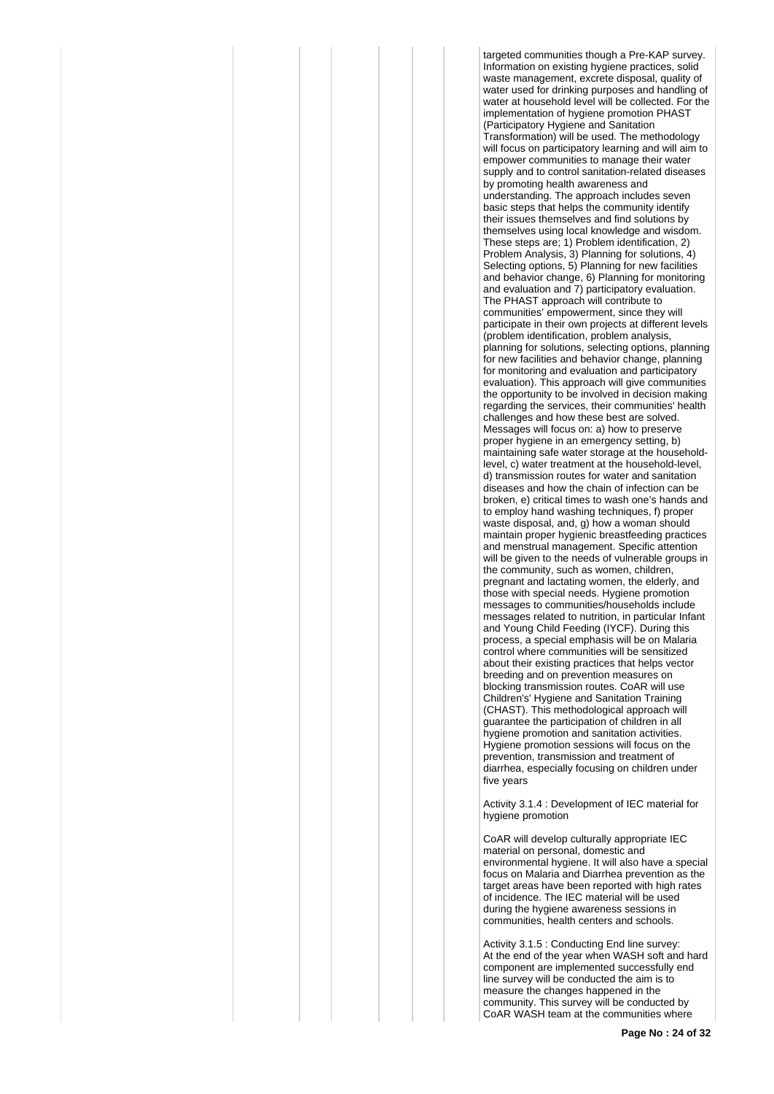targeted communities though a Pre-KAP survey. Information on existing hygiene practices, solid waste management, excrete disposal, quality of water used for drinking purposes and handling of water at household level will be collected. For the implementation of hygiene promotion PHAST (Participatory Hygiene and Sanitation Transformation) will be used. The methodology will focus on participatory learning and will aim to empower communities to manage their water supply and to control sanitation-related diseases by promoting health awareness and understanding. The approach includes seven basic steps that helps the community identify their issues themselves and find solutions by themselves using local knowledge and wisdom. These steps are; 1) Problem identification, 2) Problem Analysis, 3) Planning for solutions, 4) Selecting options, 5) Planning for new facilities and behavior change, 6) Planning for monitoring and evaluation and 7) participatory evaluation. The PHAST approach will contribute to communities' empowerment, since they will participate in their own projects at different levels (problem identification, problem analysis, planning for solutions, selecting options, planning for new facilities and behavior change, planning for monitoring and evaluation and participatory evaluation). This approach will give communities the opportunity to be involved in decision making regarding the services, their communities' health challenges and how these best are solved. Messages will focus on: a) how to preserve proper hygiene in an emergency setting, b) maintaining safe water storage at the householdlevel, c) water treatment at the household-level, d) transmission routes for water and sanitation diseases and how the chain of infection can be broken, e) critical times to wash one's hands and to employ hand washing techniques, f) proper waste disposal, and, g) how a woman should maintain proper hygienic breastfeeding practices and menstrual management. Specific attention will be given to the needs of vulnerable groups in the community, such as women, children, pregnant and lactating women, the elderly, and those with special needs. Hygiene promotion messages to communities/households include messages related to nutrition, in particular Infant and Young Child Feeding (IYCF). During this process, a special emphasis will be on Malaria control where communities will be sensitized about their existing practices that helps vector breeding and on prevention measures on blocking transmission routes. CoAR will use Children's' Hygiene and Sanitation Training (CHAST). This methodological approach will guarantee the participation of children in all hygiene promotion and sanitation activities. Hygiene promotion sessions will focus on the prevention, transmission and treatment of diarrhea, especially focusing on children under five years

Activity 3.1.4 : Development of IEC material for hygiene promotion

CoAR will develop culturally appropriate IEC material on personal, domestic and environmental hygiene. It will also have a special focus on Malaria and Diarrhea prevention as the target areas have been reported with high rates of incidence. The IEC material will be used during the hygiene awareness sessions in communities, health centers and schools.

Activity 3.1.5 : Conducting End line survey: At the end of the year when WASH soft and hard component are implemented successfully end line survey will be conducted the aim is to measure the changes happened in the community. This survey will be conducted by CoAR WASH team at the communities where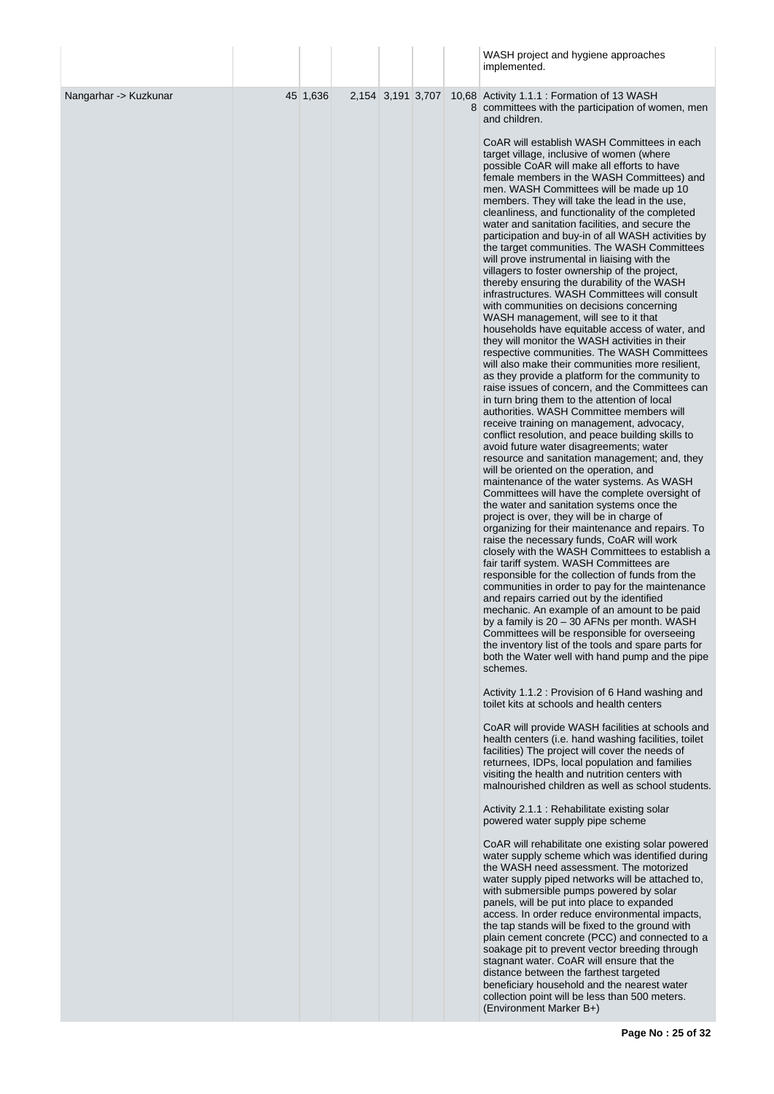|                       |          |                   |  | WASH project and hygiene approaches<br>implemented.                                                                                                                                                                                                                                                                                                                                                                                                                                                                                                                                                                                                                                                                                                                                                                                                                                                                                                                                                                                                                                                                                                                                                                                                                                                                                                                                                                                                                                                                                                                                                                                                                                                                                                                                                                                                                                                                                                                                                                                                                                                                                                                                                                                                                                                                                                                                                                                                                                                                                                                                                                                                                                                                                                                                                                                                                                                                                                                                                                                                                                                                                                                                                                                                                                                                                                                                                                                                                                                                                                                                                               |
|-----------------------|----------|-------------------|--|-------------------------------------------------------------------------------------------------------------------------------------------------------------------------------------------------------------------------------------------------------------------------------------------------------------------------------------------------------------------------------------------------------------------------------------------------------------------------------------------------------------------------------------------------------------------------------------------------------------------------------------------------------------------------------------------------------------------------------------------------------------------------------------------------------------------------------------------------------------------------------------------------------------------------------------------------------------------------------------------------------------------------------------------------------------------------------------------------------------------------------------------------------------------------------------------------------------------------------------------------------------------------------------------------------------------------------------------------------------------------------------------------------------------------------------------------------------------------------------------------------------------------------------------------------------------------------------------------------------------------------------------------------------------------------------------------------------------------------------------------------------------------------------------------------------------------------------------------------------------------------------------------------------------------------------------------------------------------------------------------------------------------------------------------------------------------------------------------------------------------------------------------------------------------------------------------------------------------------------------------------------------------------------------------------------------------------------------------------------------------------------------------------------------------------------------------------------------------------------------------------------------------------------------------------------------------------------------------------------------------------------------------------------------------------------------------------------------------------------------------------------------------------------------------------------------------------------------------------------------------------------------------------------------------------------------------------------------------------------------------------------------------------------------------------------------------------------------------------------------------------------------------------------------------------------------------------------------------------------------------------------------------------------------------------------------------------------------------------------------------------------------------------------------------------------------------------------------------------------------------------------------------------------------------------------------------------------------------------------------|
| Nangarhar -> Kuzkunar | 45 1,636 | 2,154 3,191 3,707 |  | 10,68 Activity 1.1.1 : Formation of 13 WASH<br>8 committees with the participation of women, men<br>and children.<br>CoAR will establish WASH Committees in each<br>target village, inclusive of women (where<br>possible CoAR will make all efforts to have<br>female members in the WASH Committees) and<br>men. WASH Committees will be made up 10<br>members. They will take the lead in the use,<br>cleanliness, and functionality of the completed<br>water and sanitation facilities, and secure the<br>participation and buy-in of all WASH activities by<br>the target communities. The WASH Committees<br>will prove instrumental in liaising with the<br>villagers to foster ownership of the project,<br>thereby ensuring the durability of the WASH<br>infrastructures. WASH Committees will consult<br>with communities on decisions concerning<br>WASH management, will see to it that<br>households have equitable access of water, and<br>they will monitor the WASH activities in their<br>respective communities. The WASH Committees<br>will also make their communities more resilient,<br>as they provide a platform for the community to<br>raise issues of concern, and the Committees can<br>in turn bring them to the attention of local<br>authorities. WASH Committee members will<br>receive training on management, advocacy,<br>conflict resolution, and peace building skills to<br>avoid future water disagreements; water<br>resource and sanitation management; and, they<br>will be oriented on the operation, and<br>maintenance of the water systems. As WASH<br>Committees will have the complete oversight of<br>the water and sanitation systems once the<br>project is over, they will be in charge of<br>organizing for their maintenance and repairs. To<br>raise the necessary funds, CoAR will work<br>closely with the WASH Committees to establish a<br>fair tariff system. WASH Committees are<br>responsible for the collection of funds from the<br>communities in order to pay for the maintenance<br>and repairs carried out by the identified<br>mechanic. An example of an amount to be paid<br>by a family is 20 - 30 AFNs per month. WASH<br>Committees will be responsible for overseeing<br>the inventory list of the tools and spare parts for<br>both the Water well with hand pump and the pipe<br>schemes.<br>Activity 1.1.2 : Provision of 6 Hand washing and<br>toilet kits at schools and health centers<br>CoAR will provide WASH facilities at schools and<br>health centers (i.e. hand washing facilities, toilet<br>facilities) The project will cover the needs of<br>returnees, IDPs, local population and families<br>visiting the health and nutrition centers with<br>malnourished children as well as school students.<br>Activity 2.1.1: Rehabilitate existing solar<br>powered water supply pipe scheme<br>CoAR will rehabilitate one existing solar powered<br>water supply scheme which was identified during<br>the WASH need assessment. The motorized<br>water supply piped networks will be attached to,<br>with submersible pumps powered by solar<br>panels, will be put into place to expanded<br>access. In order reduce environmental impacts,<br>the tap stands will be fixed to the ground with<br>plain cement concrete (PCC) and connected to a<br>soakage pit to prevent vector breeding through<br>stagnant water. CoAR will ensure that the<br>distance between the farthest targeted<br>beneficiary household and the nearest water<br>collection point will be less than 500 meters.<br>(Environment Marker B+) |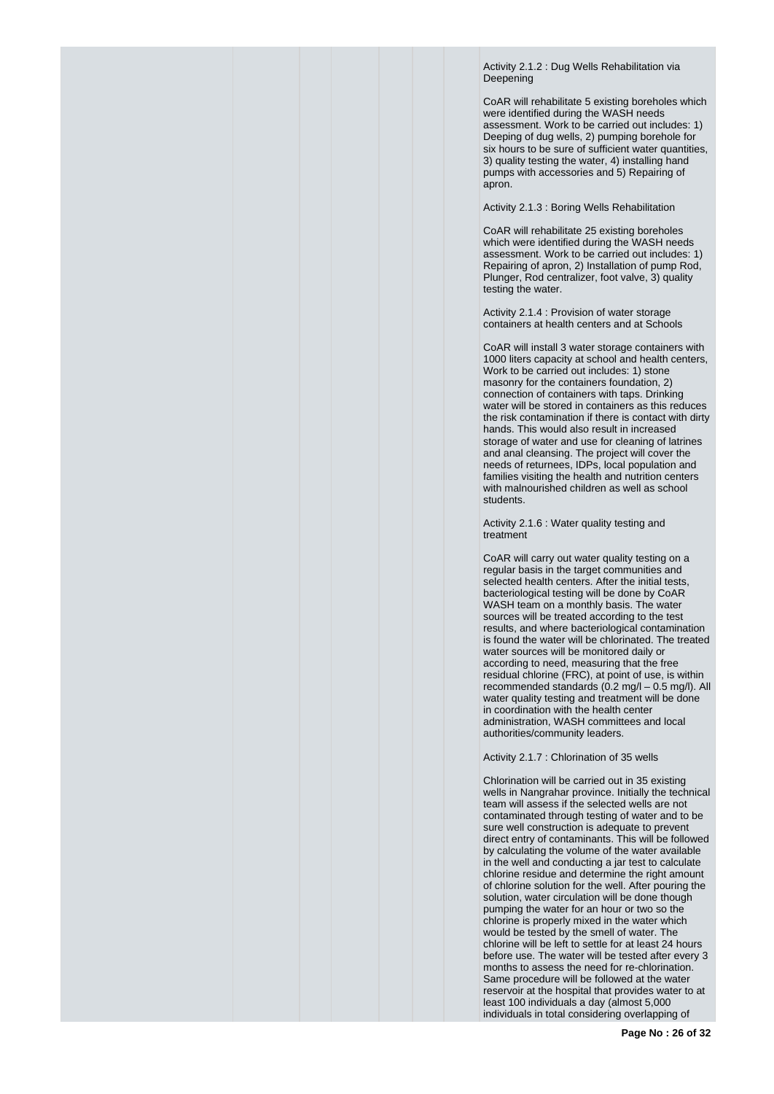Activity 2.1.2 : Dug Wells Rehabilitation via Deepening

CoAR will rehabilitate 5 existing boreholes which were identified during the WASH needs assessment. Work to be carried out includes: 1) Deeping of dug wells, 2) pumping borehole for six hours to be sure of sufficient water quantities, 3) quality testing the water, 4) installing hand pumps with accessories and 5) Repairing of apron.

Activity 2.1.3 : Boring Wells Rehabilitation

CoAR will rehabilitate 25 existing boreholes which were identified during the WASH needs assessment. Work to be carried out includes: 1) Repairing of apron, 2) Installation of pump Rod, Plunger, Rod centralizer, foot valve, 3) quality testing the water.

Activity 2.1.4 : Provision of water storage containers at health centers and at Schools

CoAR will install 3 water storage containers with 1000 liters capacity at school and health centers, Work to be carried out includes: 1) stone masonry for the containers foundation, 2) connection of containers with taps. Drinking water will be stored in containers as this reduces the risk contamination if there is contact with dirty hands. This would also result in increased storage of water and use for cleaning of latrines and anal cleansing. The project will cover the needs of returnees, IDPs, local population and families visiting the health and nutrition centers with malnourished children as well as school students.

Activity 2.1.6 : Water quality testing and treatment

CoAR will carry out water quality testing on a regular basis in the target communities and selected health centers. After the initial tests, bacteriological testing will be done by CoAR WASH team on a monthly basis. The water sources will be treated according to the test results, and where bacteriological contamination is found the water will be chlorinated. The treated water sources will be monitored daily or according to need, measuring that the free residual chlorine (FRC), at point of use, is within recommended standards (0.2 mg/l – 0.5 mg/l). All water quality testing and treatment will be done in coordination with the health center administration, WASH committees and local authorities/community leaders.

Activity 2.1.7 : Chlorination of 35 wells

Chlorination will be carried out in 35 existing wells in Nangrahar province. Initially the technical team will assess if the selected wells are not contaminated through testing of water and to be sure well construction is adequate to prevent direct entry of contaminants. This will be followed by calculating the volume of the water available in the well and conducting a jar test to calculate chlorine residue and determine the right amount of chlorine solution for the well. After pouring the solution, water circulation will be done though pumping the water for an hour or two so the chlorine is properly mixed in the water which would be tested by the smell of water. The chlorine will be left to settle for at least 24 hours before use. The water will be tested after every 3 months to assess the need for re-chlorination. Same procedure will be followed at the water reservoir at the hospital that provides water to at least 100 individuals a day (almost 5,000 individuals in total considering overlapping of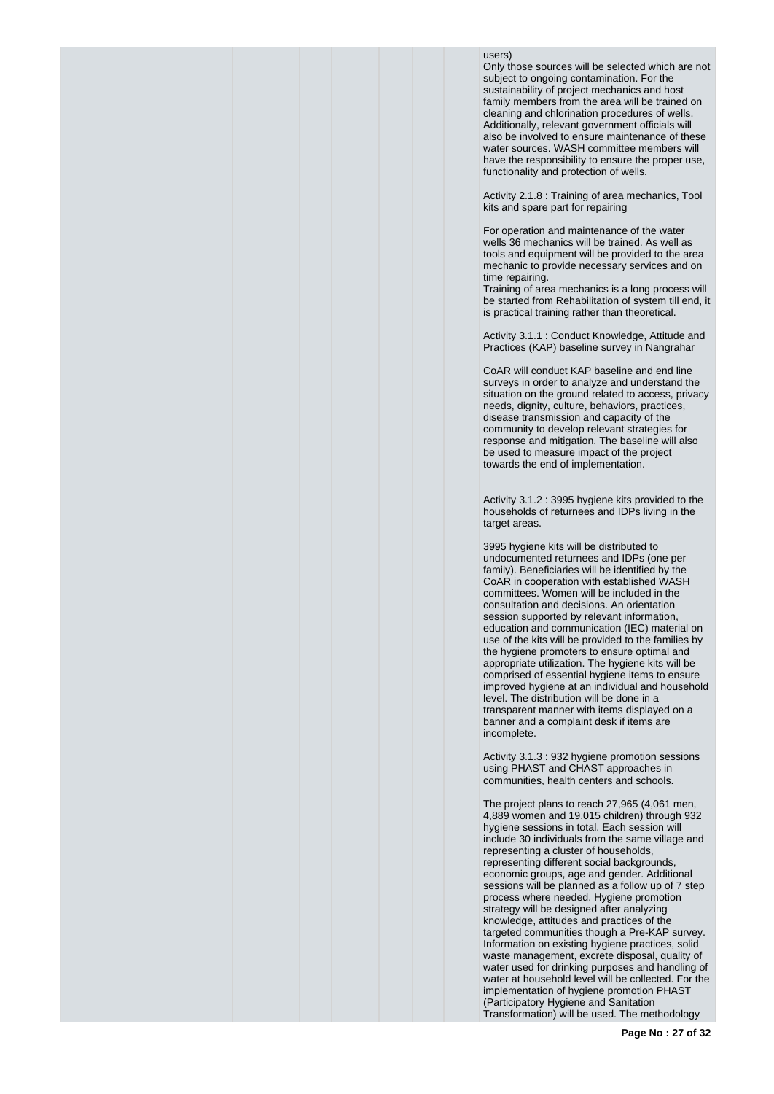### users)

Only those sources will be selected which are not subject to ongoing contamination. For the sustainability of project mechanics and host family members from the area will be trained on cleaning and chlorination procedures of wells. Additionally, relevant government officials will also be involved to ensure maintenance of these water sources. WASH committee members will have the responsibility to ensure the proper use, functionality and protection of wells.

Activity 2.1.8 : Training of area mechanics, Tool kits and spare part for repairing

For operation and maintenance of the water wells 36 mechanics will be trained. As well as tools and equipment will be provided to the area mechanic to provide necessary services and on time repairing.

Training of area mechanics is a long process will be started from Rehabilitation of system till end, it is practical training rather than theoretical.

Activity 3.1.1 : Conduct Knowledge, Attitude and Practices (KAP) baseline survey in Nangrahar

CoAR will conduct KAP baseline and end line surveys in order to analyze and understand the situation on the ground related to access, privacy needs, dignity, culture, behaviors, practices, disease transmission and capacity of the community to develop relevant strategies for response and mitigation. The baseline will also be used to measure impact of the project towards the end of implementation.

Activity 3.1.2 : 3995 hygiene kits provided to the households of returnees and IDPs living in the target areas.

3995 hygiene kits will be distributed to undocumented returnees and IDPs (one per family). Beneficiaries will be identified by the CoAR in cooperation with established WASH committees. Women will be included in the consultation and decisions. An orientation session supported by relevant information, education and communication (IEC) material on use of the kits will be provided to the families by the hygiene promoters to ensure optimal and appropriate utilization. The hygiene kits will be comprised of essential hygiene items to ensure improved hygiene at an individual and household level. The distribution will be done in a transparent manner with items displayed on a banner and a complaint desk if items are incomplete.

Activity 3.1.3 : 932 hygiene promotion sessions using PHAST and CHAST approaches in communities, health centers and schools.

The project plans to reach 27,965 (4,061 men, 4,889 women and 19,015 children) through 932 hygiene sessions in total. Each session will include 30 individuals from the same village and representing a cluster of households, representing different social backgrounds, economic groups, age and gender. Additional sessions will be planned as a follow up of 7 step process where needed. Hygiene promotion strategy will be designed after analyzing knowledge, attitudes and practices of the targeted communities though a Pre-KAP survey. Information on existing hygiene practices, solid waste management, excrete disposal, quality of water used for drinking purposes and handling of water at household level will be collected. For the implementation of hygiene promotion PHAST (Participatory Hygiene and Sanitation Transformation) will be used. The methodology

**Page No : 27 of 32**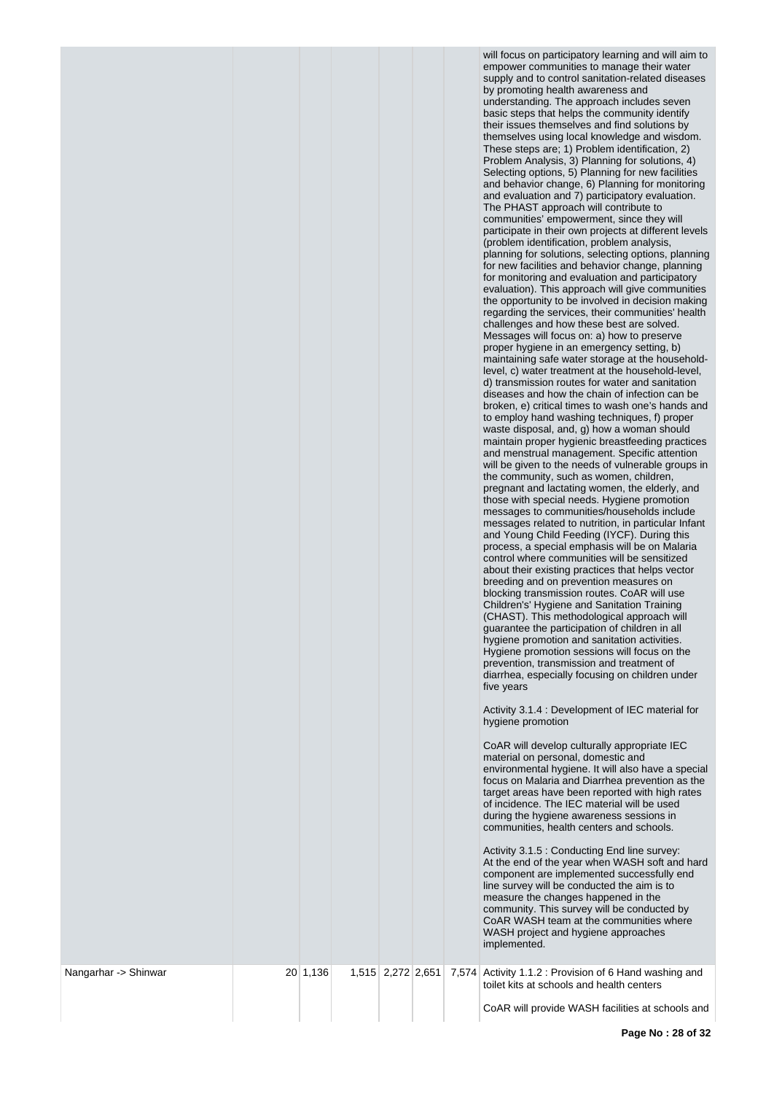| Nangarhar -> Shinwar | 20 1,136 | 1,515 2,272 2,651 |  | supply and to control sanitation-related diseases<br>by promoting health awareness and<br>understanding. The approach includes seven<br>basic steps that helps the community identify<br>their issues themselves and find solutions by<br>themselves using local knowledge and wisdom.<br>These steps are; 1) Problem identification, 2)<br>Problem Analysis, 3) Planning for solutions, 4)<br>Selecting options, 5) Planning for new facilities<br>and behavior change, 6) Planning for monitoring<br>and evaluation and 7) participatory evaluation.<br>The PHAST approach will contribute to<br>communities' empowerment, since they will<br>participate in their own projects at different levels<br>(problem identification, problem analysis,<br>planning for solutions, selecting options, planning<br>for new facilities and behavior change, planning<br>for monitoring and evaluation and participatory<br>evaluation). This approach will give communities<br>the opportunity to be involved in decision making<br>regarding the services, their communities' health<br>challenges and how these best are solved.<br>Messages will focus on: a) how to preserve<br>proper hygiene in an emergency setting, b)<br>maintaining safe water storage at the household-<br>level, c) water treatment at the household-level,<br>d) transmission routes for water and sanitation<br>diseases and how the chain of infection can be<br>broken, e) critical times to wash one's hands and<br>to employ hand washing techniques, f) proper<br>waste disposal, and, g) how a woman should<br>maintain proper hygienic breastfeeding practices<br>and menstrual management. Specific attention<br>will be given to the needs of vulnerable groups in<br>the community, such as women, children,<br>pregnant and lactating women, the elderly, and<br>those with special needs. Hygiene promotion<br>messages to communities/households include<br>messages related to nutrition, in particular Infant<br>and Young Child Feeding (IYCF). During this<br>process, a special emphasis will be on Malaria<br>control where communities will be sensitized<br>about their existing practices that helps vector<br>breeding and on prevention measures on<br>blocking transmission routes. CoAR will use<br>Children's' Hygiene and Sanitation Training<br>(CHAST). This methodological approach will<br>guarantee the participation of children in all<br>hygiene promotion and sanitation activities.<br>Hygiene promotion sessions will focus on the<br>prevention, transmission and treatment of<br>diarrhea, especially focusing on children under<br>five years<br>Activity 3.1.4 : Development of IEC material for<br>hygiene promotion<br>CoAR will develop culturally appropriate IEC<br>material on personal, domestic and<br>environmental hygiene. It will also have a special<br>focus on Malaria and Diarrhea prevention as the<br>target areas have been reported with high rates<br>of incidence. The IEC material will be used<br>during the hygiene awareness sessions in<br>communities, health centers and schools.<br>Activity 3.1.5 : Conducting End line survey:<br>At the end of the year when WASH soft and hard<br>component are implemented successfully end<br>line survey will be conducted the aim is to<br>measure the changes happened in the<br>community. This survey will be conducted by<br>CoAR WASH team at the communities where<br>WASH project and hygiene approaches<br>implemented.<br>7,574 Activity 1.1.2 : Provision of 6 Hand washing and<br>toilet kits at schools and health centers |
|----------------------|----------|-------------------|--|---------------------------------------------------------------------------------------------------------------------------------------------------------------------------------------------------------------------------------------------------------------------------------------------------------------------------------------------------------------------------------------------------------------------------------------------------------------------------------------------------------------------------------------------------------------------------------------------------------------------------------------------------------------------------------------------------------------------------------------------------------------------------------------------------------------------------------------------------------------------------------------------------------------------------------------------------------------------------------------------------------------------------------------------------------------------------------------------------------------------------------------------------------------------------------------------------------------------------------------------------------------------------------------------------------------------------------------------------------------------------------------------------------------------------------------------------------------------------------------------------------------------------------------------------------------------------------------------------------------------------------------------------------------------------------------------------------------------------------------------------------------------------------------------------------------------------------------------------------------------------------------------------------------------------------------------------------------------------------------------------------------------------------------------------------------------------------------------------------------------------------------------------------------------------------------------------------------------------------------------------------------------------------------------------------------------------------------------------------------------------------------------------------------------------------------------------------------------------------------------------------------------------------------------------------------------------------------------------------------------------------------------------------------------------------------------------------------------------------------------------------------------------------------------------------------------------------------------------------------------------------------------------------------------------------------------------------------------------------------------------------------------------------------------------------------------------------------------------------------------------------------------------------------------------------------------------------------------------------------------------------------------------------------------------------------------------------------------------------------------------------------------------------------------------------------------------------------------------------------------------------------------------------------------------------------------------------------------------------------------------------|
|                      |          |                   |  | CoAR will provide WASH facilities at schools and                                                                                                                                                                                                                                                                                                                                                                                                                                                                                                                                                                                                                                                                                                                                                                                                                                                                                                                                                                                                                                                                                                                                                                                                                                                                                                                                                                                                                                                                                                                                                                                                                                                                                                                                                                                                                                                                                                                                                                                                                                                                                                                                                                                                                                                                                                                                                                                                                                                                                                                                                                                                                                                                                                                                                                                                                                                                                                                                                                                                                                                                                                                                                                                                                                                                                                                                                                                                                                                                                                                                                                                |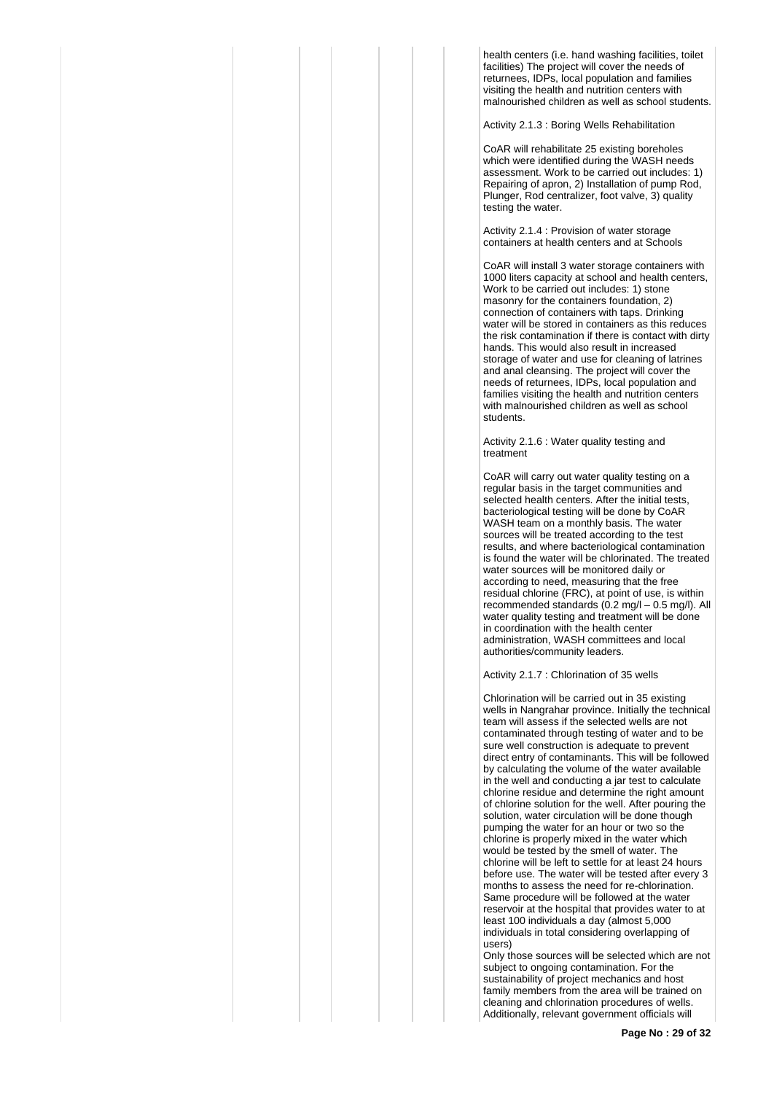health centers (i.e. hand washing facilities, toilet facilities) The project will cover the needs of returnees, IDPs, local population and families visiting the health and nutrition centers with malnourished children as well as school students.

Activity 2.1.3 : Boring Wells Rehabilitation

CoAR will rehabilitate 25 existing boreholes which were identified during the WASH needs assessment. Work to be carried out includes: 1) Repairing of apron, 2) Installation of pump Rod, Plunger, Rod centralizer, foot valve, 3) quality testing the water.

Activity 2.1.4 : Provision of water storage containers at health centers and at Schools

CoAR will install 3 water storage containers with 1000 liters capacity at school and health centers, Work to be carried out includes: 1) stone masonry for the containers foundation, 2) connection of containers with taps. Drinking water will be stored in containers as this reduces the risk contamination if there is contact with dirty hands. This would also result in increased storage of water and use for cleaning of latrines and anal cleansing. The project will cover the needs of returnees, IDPs, local population and families visiting the health and nutrition centers with malnourished children as well as school students.

Activity 2.1.6 : Water quality testing and treatment

CoAR will carry out water quality testing on a regular basis in the target communities and selected health centers. After the initial tests, bacteriological testing will be done by CoAR WASH team on a monthly basis. The water sources will be treated according to the test results, and where bacteriological contamination is found the water will be chlorinated. The treated water sources will be monitored daily or according to need, measuring that the free residual chlorine (FRC), at point of use, is within recommended standards (0.2 mg/l – 0.5 mg/l). All water quality testing and treatment will be done in coordination with the health center administration, WASH committees and local authorities/community leaders.

Activity 2.1.7 : Chlorination of 35 wells

Chlorination will be carried out in 35 existing wells in Nangrahar province. Initially the technical team will assess if the selected wells are not contaminated through testing of water and to be sure well construction is adequate to prevent direct entry of contaminants. This will be followed by calculating the volume of the water available in the well and conducting a jar test to calculate chlorine residue and determine the right amount of chlorine solution for the well. After pouring the solution, water circulation will be done though pumping the water for an hour or two so the chlorine is properly mixed in the water which would be tested by the smell of water. The chlorine will be left to settle for at least 24 hours before use. The water will be tested after every 3 months to assess the need for re-chlorination. Same procedure will be followed at the water reservoir at the hospital that provides water to at least 100 individuals a day (almost 5,000 individuals in total considering overlapping of users)

Only those sources will be selected which are not subject to ongoing contamination. For the sustainability of project mechanics and host family members from the area will be trained on cleaning and chlorination procedures of wells. Additionally, relevant government officials will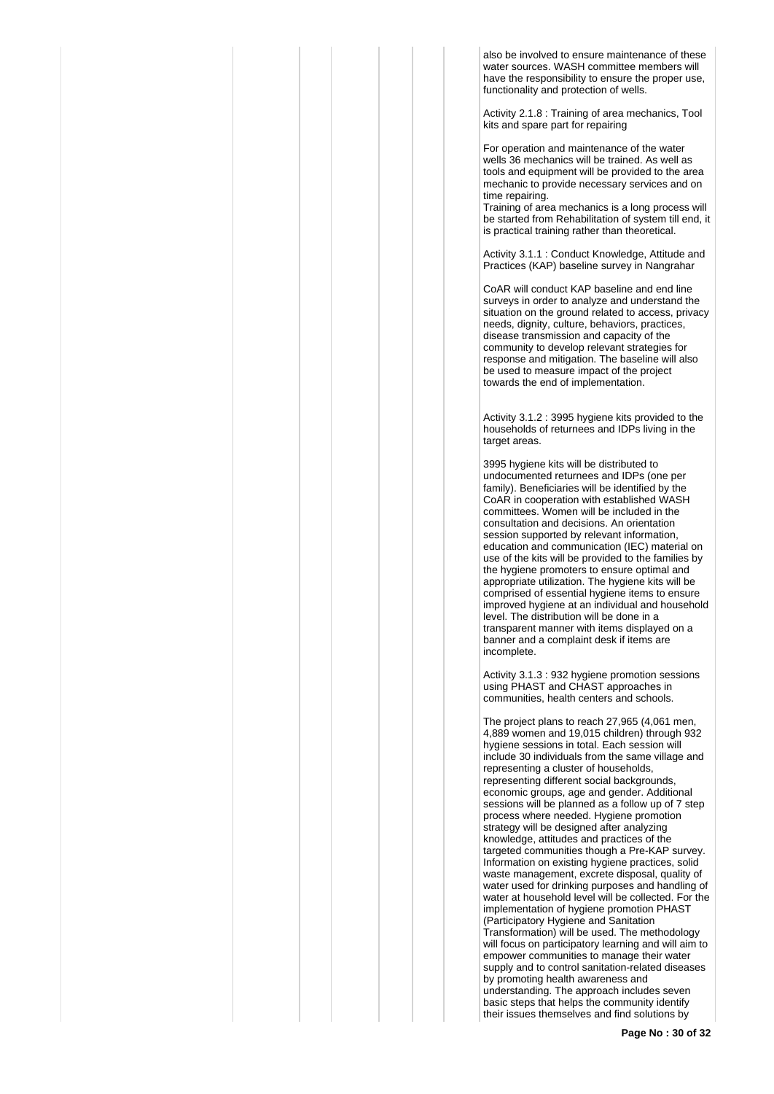also be involved to ensure maintenance of these water sources. WASH committee members will have the responsibility to ensure the proper use, functionality and protection of wells.

Activity 2.1.8 : Training of area mechanics, Tool kits and spare part for repairing

For operation and maintenance of the water wells 36 mechanics will be trained. As well as tools and equipment will be provided to the area mechanic to provide necessary services and on time repairing.

Training of area mechanics is a long process will be started from Rehabilitation of system till end, it is practical training rather than theoretical.

Activity 3.1.1 : Conduct Knowledge, Attitude and Practices (KAP) baseline survey in Nangrahar

CoAR will conduct KAP baseline and end line surveys in order to analyze and understand the situation on the ground related to access, privacy needs, dignity, culture, behaviors, practices, disease transmission and capacity of the community to develop relevant strategies for response and mitigation. The baseline will also be used to measure impact of the project towards the end of implementation.

Activity 3.1.2 : 3995 hygiene kits provided to the households of returnees and IDPs living in the target areas.

3995 hygiene kits will be distributed to undocumented returnees and IDPs (one per family). Beneficiaries will be identified by the CoAR in cooperation with established WASH committees. Women will be included in the consultation and decisions. An orientation session supported by relevant information, education and communication (IEC) material on use of the kits will be provided to the families by the hygiene promoters to ensure optimal and appropriate utilization. The hygiene kits will be comprised of essential hygiene items to ensure improved hygiene at an individual and household level. The distribution will be done in a transparent manner with items displayed on a banner and a complaint desk if items are incomplete.

Activity 3.1.3 : 932 hygiene promotion sessions using PHAST and CHAST approaches in communities, health centers and schools.

The project plans to reach 27,965 (4,061 men, 4,889 women and 19,015 children) through 932 hygiene sessions in total. Each session will include 30 individuals from the same village and representing a cluster of households, representing different social backgrounds, economic groups, age and gender. Additional sessions will be planned as a follow up of 7 step process where needed. Hygiene promotion strategy will be designed after analyzing knowledge, attitudes and practices of the targeted communities though a Pre-KAP survey. Information on existing hygiene practices, solid waste management, excrete disposal, quality of water used for drinking purposes and handling of water at household level will be collected. For the implementation of hygiene promotion PHAST (Participatory Hygiene and Sanitation Transformation) will be used. The methodology will focus on participatory learning and will aim to empower communities to manage their water supply and to control sanitation-related diseases by promoting health awareness and understanding. The approach includes seven basic steps that helps the community identify their issues themselves and find solutions by

**Page No : 30 of 32**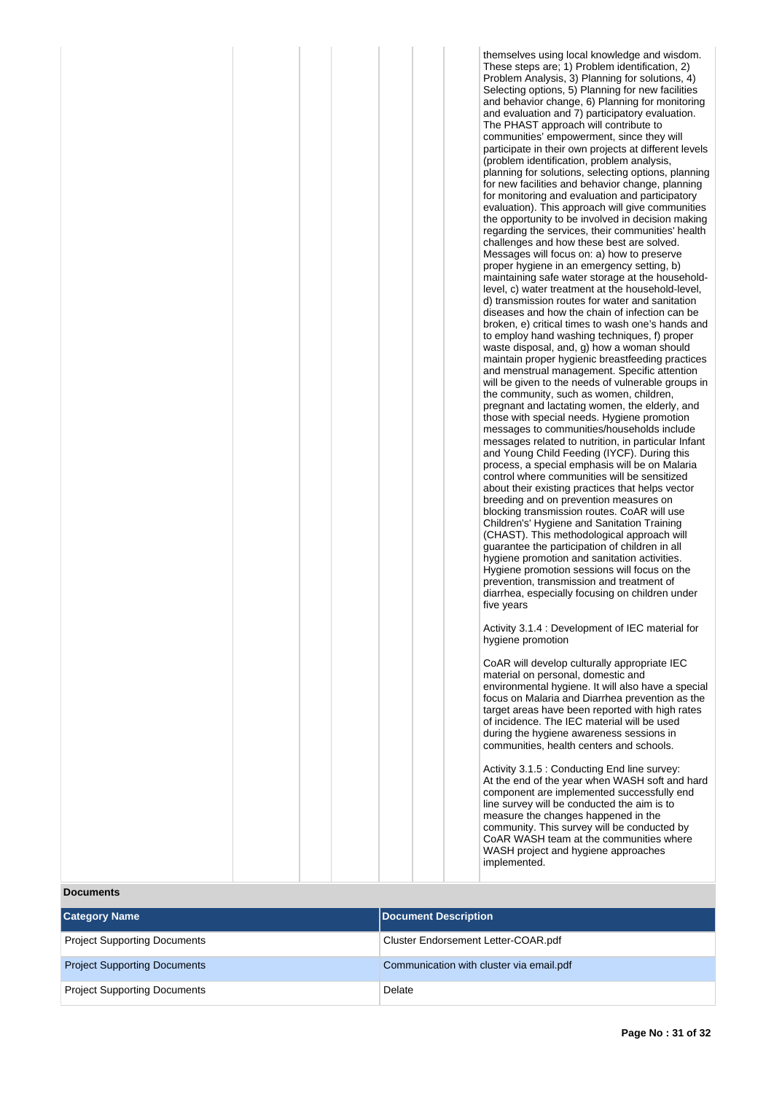| themselves using local knowledge and wisdom.<br>These steps are; 1) Problem identification, 2)<br>Problem Analysis, 3) Planning for solutions, 4)<br>Selecting options, 5) Planning for new facilities<br>and behavior change, 6) Planning for monitoring<br>and evaluation and 7) participatory evaluation.<br>The PHAST approach will contribute to<br>communities' empowerment, since they will<br>participate in their own projects at different levels<br>(problem identification, problem analysis,<br>planning for solutions, selecting options, planning<br>for new facilities and behavior change, planning<br>for monitoring and evaluation and participatory<br>evaluation). This approach will give communities<br>the opportunity to be involved in decision making<br>regarding the services, their communities' health<br>challenges and how these best are solved.<br>Messages will focus on: a) how to preserve<br>proper hygiene in an emergency setting, b)<br>maintaining safe water storage at the household-<br>level, c) water treatment at the household-level,<br>d) transmission routes for water and sanitation<br>diseases and how the chain of infection can be<br>broken, e) critical times to wash one's hands and<br>to employ hand washing techniques, f) proper<br>waste disposal, and, g) how a woman should<br>maintain proper hygienic breastfeeding practices<br>and menstrual management. Specific attention<br>will be given to the needs of vulnerable groups in<br>the community, such as women, children,<br>pregnant and lactating women, the elderly, and<br>those with special needs. Hygiene promotion<br>messages to communities/households include<br>messages related to nutrition, in particular Infant<br>and Young Child Feeding (IYCF). During this<br>process, a special emphasis will be on Malaria<br>control where communities will be sensitized<br>about their existing practices that helps vector<br>breeding and on prevention measures on<br>blocking transmission routes. CoAR will use<br>Children's' Hygiene and Sanitation Training<br>(CHAST). This methodological approach will<br>guarantee the participation of children in all<br>hygiene promotion and sanitation activities.<br>Hygiene promotion sessions will focus on the<br>prevention, transmission and treatment of<br>diarrhea, especially focusing on children under<br>five years |
|-----------------------------------------------------------------------------------------------------------------------------------------------------------------------------------------------------------------------------------------------------------------------------------------------------------------------------------------------------------------------------------------------------------------------------------------------------------------------------------------------------------------------------------------------------------------------------------------------------------------------------------------------------------------------------------------------------------------------------------------------------------------------------------------------------------------------------------------------------------------------------------------------------------------------------------------------------------------------------------------------------------------------------------------------------------------------------------------------------------------------------------------------------------------------------------------------------------------------------------------------------------------------------------------------------------------------------------------------------------------------------------------------------------------------------------------------------------------------------------------------------------------------------------------------------------------------------------------------------------------------------------------------------------------------------------------------------------------------------------------------------------------------------------------------------------------------------------------------------------------------------------------------------------------------------------------------------------------------------------------------------------------------------------------------------------------------------------------------------------------------------------------------------------------------------------------------------------------------------------------------------------------------------------------------------------------------------------------------------------------------------------------------------------------------|
| Activity 3.1.4 : Development of IEC material for<br>hygiene promotion                                                                                                                                                                                                                                                                                                                                                                                                                                                                                                                                                                                                                                                                                                                                                                                                                                                                                                                                                                                                                                                                                                                                                                                                                                                                                                                                                                                                                                                                                                                                                                                                                                                                                                                                                                                                                                                                                                                                                                                                                                                                                                                                                                                                                                                                                                                                                 |
| CoAR will develop culturally appropriate IEC                                                                                                                                                                                                                                                                                                                                                                                                                                                                                                                                                                                                                                                                                                                                                                                                                                                                                                                                                                                                                                                                                                                                                                                                                                                                                                                                                                                                                                                                                                                                                                                                                                                                                                                                                                                                                                                                                                                                                                                                                                                                                                                                                                                                                                                                                                                                                                          |
| material on personal, domestic and<br>environmental hygiene. It will also have a special<br>focus on Malaria and Diarrhea prevention as the                                                                                                                                                                                                                                                                                                                                                                                                                                                                                                                                                                                                                                                                                                                                                                                                                                                                                                                                                                                                                                                                                                                                                                                                                                                                                                                                                                                                                                                                                                                                                                                                                                                                                                                                                                                                                                                                                                                                                                                                                                                                                                                                                                                                                                                                           |

target areas have been reported with high rates of incidence. The IEC material will be used during the hygiene awareness sessions in communities, health centers and schools. Activity 3.1.5 : Conducting End line survey: At the end of the year when WASH soft and hard component are implemented successfully end line survey will be conducted the aim is to measure the changes happened in the community. This survey will be conducted by CoAR WASH team at the communities where WASH project and hygiene approaches

implemented.

### **Documents**

| <b>Category Name</b>                | Document Description                     |
|-------------------------------------|------------------------------------------|
| <b>Project Supporting Documents</b> | Cluster Endorsement Letter-COAR.pdf      |
| <b>Project Supporting Documents</b> | Communication with cluster via email.pdf |
| <b>Project Supporting Documents</b> | Delate                                   |